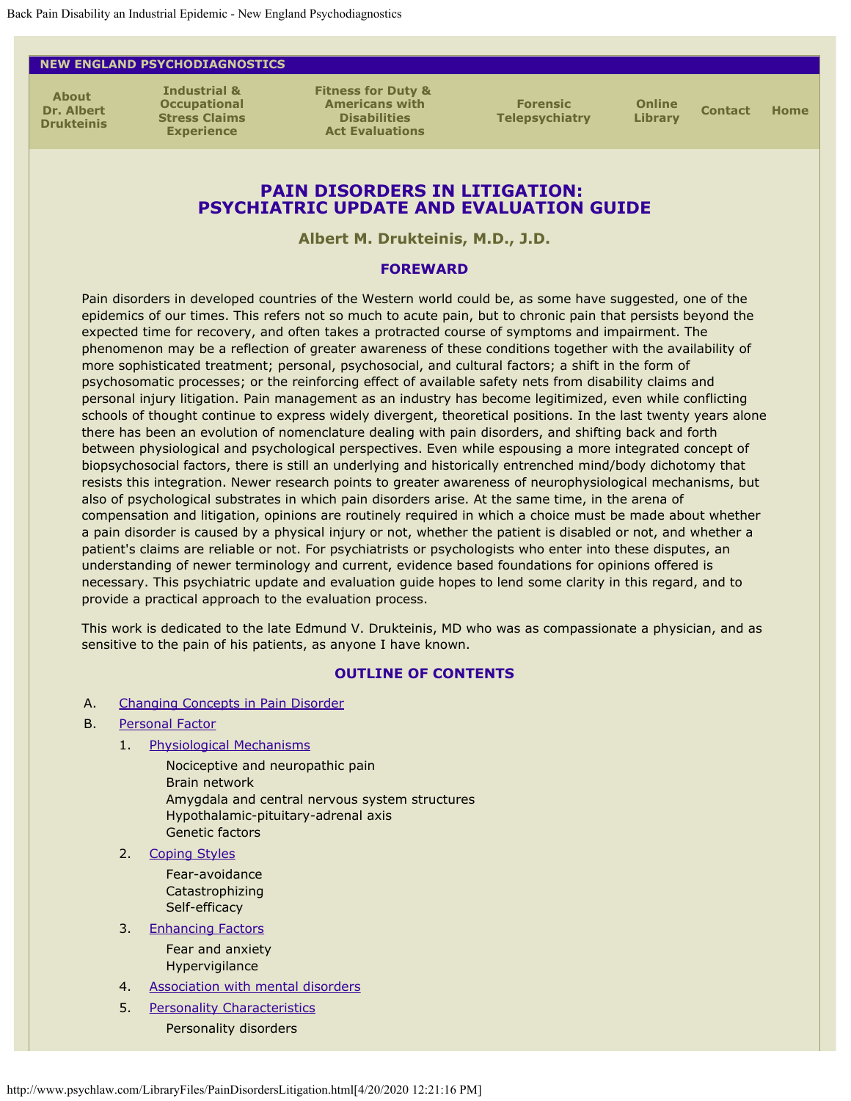#### <span id="page-0-1"></span><span id="page-0-0"></span>**NEW ENGLAND PSYCHODIAGNOSTICS**

**[About](http://www.psychlaw.com/About.html)  [Dr. Albert](http://www.psychlaw.com/About.html) [Drukteinis](http://www.psychlaw.com/About.html)**

**[Industrial &](http://www.psychlaw.com/StressClaims.html) [Occupational](http://www.psychlaw.com/StressClaims.html) [Stress Claims](http://www.psychlaw.com/StressClaims.html) [Experience](http://www.psychlaw.com/StressClaims.html)**

**[Fitness for Duty &](http://www.psychlaw.com/FFD_ADA.html)  [Americans with](http://www.psychlaw.com/FFD_ADA.html) [Disabilities](http://www.psychlaw.com/FFD_ADA.html) [Act Evaluations](http://www.psychlaw.com/FFD_ADA.html)**

**[Forensic](http://www.psychlaw.com/VideoConf.html) [Telepsychiatry](http://www.psychlaw.com/VideoConf.html)**

**[Online](http://www.psychlaw.com/OnlineLibrary.html)**

**[Library](http://www.psychlaw.com/OnlineLibrary.html) [Contact](http://www.psychlaw.com/Contact.html) [Home](http://www.psychlaw.com/index.html)**

## **PAIN DISORDERS IN LITIGATION: PSYCHIATRIC UPDATE AND EVALUATION GUIDE**

**Albert M. Drukteinis, M.D., J.D.**

#### **FOREWARD**

Pain disorders in developed countries of the Western world could be, as some have suggested, one of the epidemics of our times. This refers not so much to acute pain, but to chronic pain that persists beyond the expected time for recovery, and often takes a protracted course of symptoms and impairment. The phenomenon may be a reflection of greater awareness of these conditions together with the availability of more sophisticated treatment; personal, psychosocial, and cultural factors; a shift in the form of psychosomatic processes; or the reinforcing effect of available safety nets from disability claims and personal injury litigation. Pain management as an industry has become legitimized, even while conflicting schools of thought continue to express widely divergent, theoretical positions. In the last twenty years alone there has been an evolution of nomenclature dealing with pain disorders, and shifting back and forth between physiological and psychological perspectives. Even while espousing a more integrated concept of biopsychosocial factors, there is still an underlying and historically entrenched mind/body dichotomy that resists this integration. Newer research points to greater awareness of neurophysiological mechanisms, but also of psychological substrates in which pain disorders arise. At the same time, in the arena of compensation and litigation, opinions are routinely required in which a choice must be made about whether a pain disorder is caused by a physical injury or not, whether the patient is disabled or not, and whether a patient's claims are reliable or not. For psychiatrists or psychologists who enter into these disputes, an understanding of newer terminology and current, evidence based foundations for opinions offered is necessary. This psychiatric update and evaluation guide hopes to lend some clarity in this regard, and to provide a practical approach to the evaluation process.

This work is dedicated to the late Edmund V. Drukteinis, MD who was as compassionate a physician, and as sensitive to the pain of his patients, as anyone I have known.

## **OUTLINE OF CONTENTS**

- A. [Changing Concepts in Pain Disorder](#page-2-0)
- B. [Personal Factor](#page-4-0)
	- 1. [Physiological Mechanisms](#page-4-1)

Nociceptive and neuropathic pain Brain network Amygdala and central nervous system structures Hypothalamic-pituitary-adrenal axis Genetic factors

2. [Coping Styles](#page-5-0)

Fear-avoidance Catastrophizing Self-efficacy

3. [Enhancing Factors](#page-6-0)

Fear and anxiety Hypervigilance

- 4. [Association with mental disorders](#page-7-0)
- 5. [Personality Characteristics](#page-0-0) Personality disorders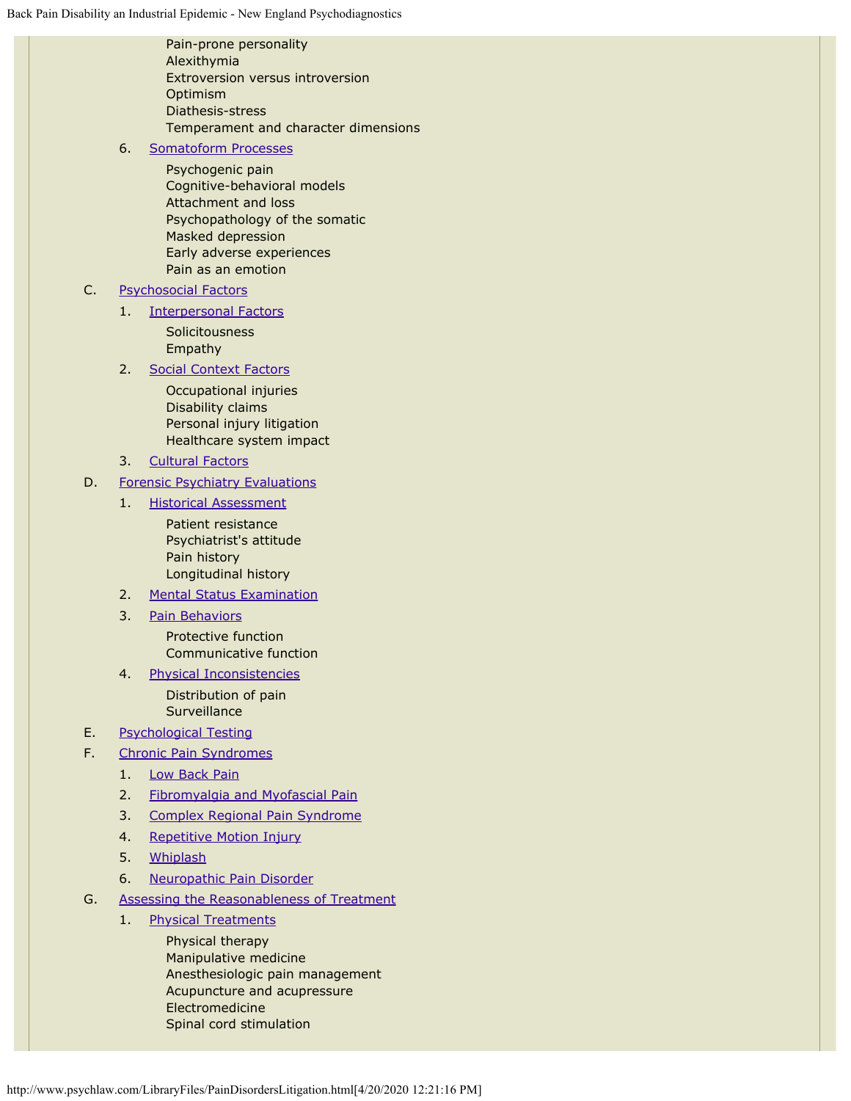|    |    | Pain-prone personality<br>Alexithymia<br><b>Extroversion versus introversion</b><br>Optimism<br>Diathesis-stress<br>Temperament and character dimensions                         |  |  |
|----|----|----------------------------------------------------------------------------------------------------------------------------------------------------------------------------------|--|--|
|    | 6. | <b>Somatoform Processes</b>                                                                                                                                                      |  |  |
|    |    | Psychogenic pain<br>Cognitive-behavioral models<br>Attachment and loss<br>Psychopathology of the somatic<br>Masked depression<br>Early adverse experiences<br>Pain as an emotion |  |  |
| C. |    | <b>Psychosocial Factors</b>                                                                                                                                                      |  |  |
|    | 1. | <b>Interpersonal Factors</b>                                                                                                                                                     |  |  |
|    |    | Solicitousness                                                                                                                                                                   |  |  |
|    |    | Empathy                                                                                                                                                                          |  |  |
|    | 2. | <b>Social Context Factors</b>                                                                                                                                                    |  |  |
|    |    | Occupational injuries                                                                                                                                                            |  |  |
|    |    | Disability claims<br>Personal injury litigation                                                                                                                                  |  |  |
|    |    | Healthcare system impact                                                                                                                                                         |  |  |
|    | 3. | <b>Cultural Factors</b>                                                                                                                                                          |  |  |
| D. |    | <b>Forensic Psychiatry Evaluations</b>                                                                                                                                           |  |  |
|    | 1. | <b>Historical Assessment</b>                                                                                                                                                     |  |  |
|    |    | Patient resistance<br>Psychiatrist's attitude<br>Pain history<br>Longitudinal history                                                                                            |  |  |
|    | 2. | <b>Mental Status Examination</b>                                                                                                                                                 |  |  |
|    | 3. | <b>Pain Behaviors</b>                                                                                                                                                            |  |  |
|    |    | Protective function<br>Communicative function                                                                                                                                    |  |  |
|    | 4. | <b>Physical Inconsistencies</b>                                                                                                                                                  |  |  |
|    |    | Distribution of pain<br>Surveillance                                                                                                                                             |  |  |
| Ε. |    | <b>Psychological Testing</b>                                                                                                                                                     |  |  |
| F. |    | <b>Chronic Pain Syndromes</b>                                                                                                                                                    |  |  |
|    | 1. | <b>Low Back Pain</b>                                                                                                                                                             |  |  |
|    | 2. | Fibromyalgia and Myofascial Pain                                                                                                                                                 |  |  |
|    | 3. | Complex Regional Pain Syndrome                                                                                                                                                   |  |  |
|    | 4. | Repetitive Motion Injury                                                                                                                                                         |  |  |
|    | 5. | Whiplash                                                                                                                                                                         |  |  |
|    | 6. | Neuropathic Pain Disorder                                                                                                                                                        |  |  |
| G. |    | <b>Assessing the Reasonableness of Treatment</b>                                                                                                                                 |  |  |
|    | 1. | <b>Physical Treatments</b>                                                                                                                                                       |  |  |
|    |    | Physical therapy<br>Manipulative medicine                                                                                                                                        |  |  |

Manipulative medicine Anesthesiologic pain management Acupuncture and acupressure Electromedicine Spinal cord stimulation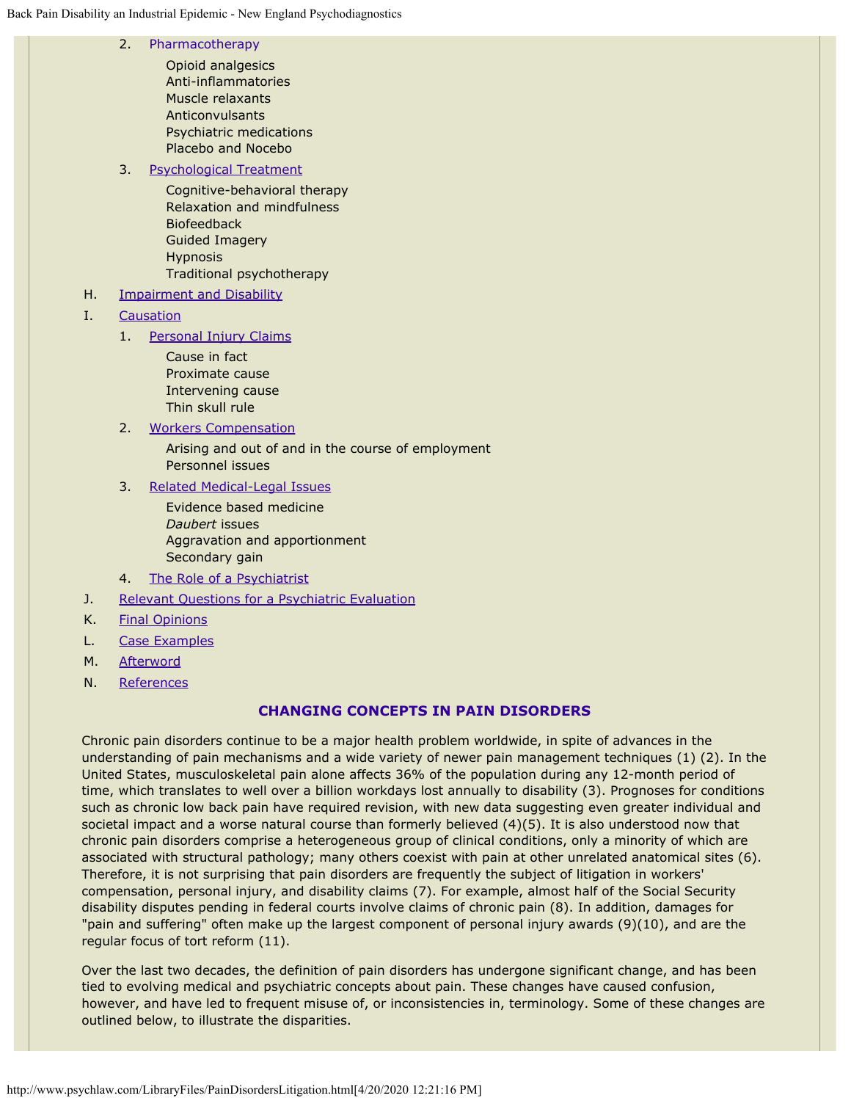|    | 2.                               | Pharmacotherapy<br>Opioid analgesics<br>Anti-inflammatories<br>Muscle relaxants<br>Anticonvulsants<br>Psychiatric medications<br>Placebo and Nocebo                                         |  |
|----|----------------------------------|---------------------------------------------------------------------------------------------------------------------------------------------------------------------------------------------|--|
|    | 3.                               | <b>Psychological Treatment</b><br>Cognitive-behavioral therapy<br>Relaxation and mindfulness<br><b>Biofeedback</b><br><b>Guided Imagery</b><br><b>Hypnosis</b><br>Traditional psychotherapy |  |
| Η. | <b>Impairment and Disability</b> |                                                                                                                                                                                             |  |
| I. |                                  | Causation                                                                                                                                                                                   |  |
|    | 1.                               | Personal Injury Claims<br>Cause in fact<br>Proximate cause<br>Intervening cause<br>Thin skull rule                                                                                          |  |
|    | 2.                               | <b>Workers Compensation</b>                                                                                                                                                                 |  |
|    |                                  | Arising and out of and in the course of employment<br>Personnel issues                                                                                                                      |  |
|    | 3.                               | <b>Related Medical-Legal Issues</b>                                                                                                                                                         |  |
|    |                                  | Evidence based medicine<br>Daubert issues<br>Aggravation and apportionment<br>Secondary gain                                                                                                |  |
|    | 4.                               | The Role of a Psychiatrist                                                                                                                                                                  |  |
| J. |                                  | Relevant Questions for a Psychiatric Evaluation                                                                                                                                             |  |
| K. | <b>Final Opinions</b>            |                                                                                                                                                                                             |  |

- L. [Case Examples](#page-0-0)
- M. [Afterword](#page-0-0)
- N. [References](#page-0-0)

## **CHANGING CONCEPTS IN PAIN DISORDERS**

<span id="page-2-0"></span>Chronic pain disorders continue to be a major health problem worldwide, in spite of advances in the understanding of pain mechanisms and a wide variety of newer pain management techniques (1) (2). In the United States, musculoskeletal pain alone affects 36% of the population during any 12-month period of time, which translates to well over a billion workdays lost annually to disability (3). Prognoses for conditions such as chronic low back pain have required revision, with new data suggesting even greater individual and societal impact and a worse natural course than formerly believed (4)(5). It is also understood now that chronic pain disorders comprise a heterogeneous group of clinical conditions, only a minority of which are associated with structural pathology; many others coexist with pain at other unrelated anatomical sites (6). Therefore, it is not surprising that pain disorders are frequently the subject of litigation in workers' compensation, personal injury, and disability claims (7). For example, almost half of the Social Security disability disputes pending in federal courts involve claims of chronic pain (8). In addition, damages for "pain and suffering" often make up the largest component of personal injury awards (9)(10), and are the regular focus of tort reform (11).

Over the last two decades, the definition of pain disorders has undergone significant change, and has been tied to evolving medical and psychiatric concepts about pain. These changes have caused confusion, however, and have led to frequent misuse of, or inconsistencies in, terminology. Some of these changes are outlined below, to illustrate the disparities.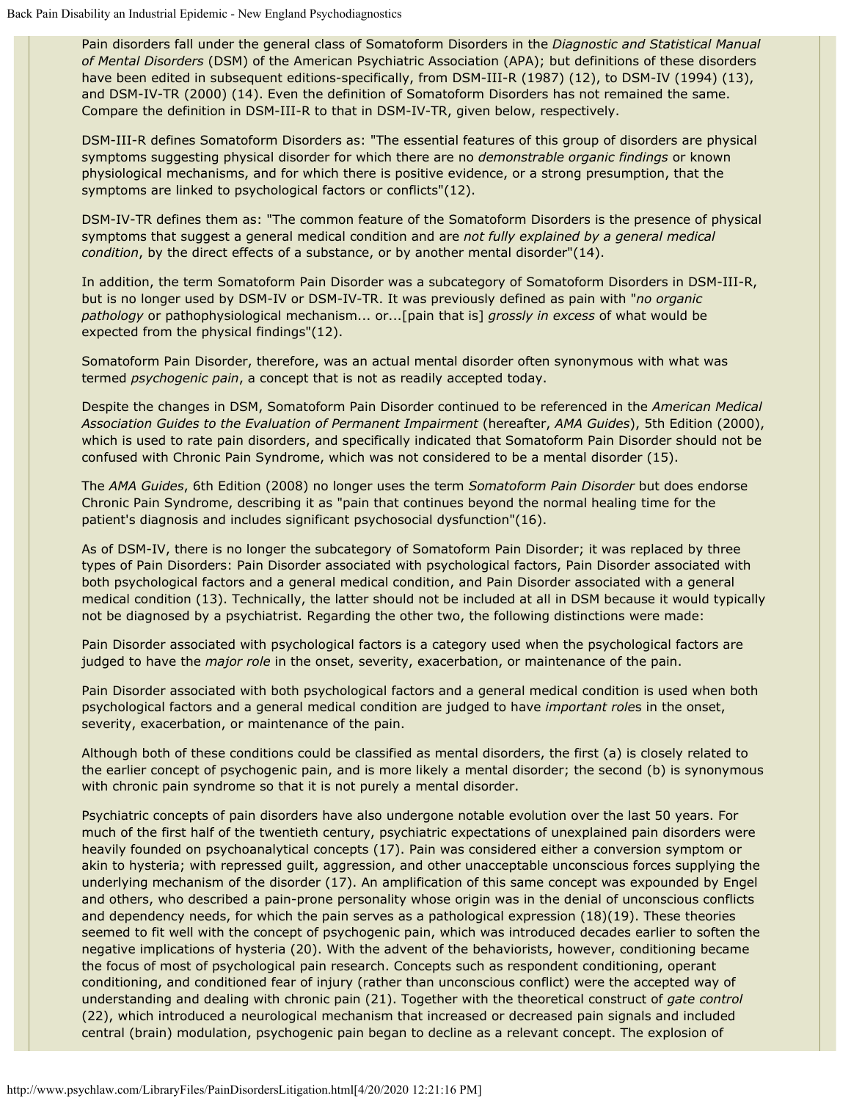Pain disorders fall under the general class of Somatoform Disorders in the *Diagnostic and Statistical Manual of Mental Disorders* (DSM) of the American Psychiatric Association (APA); but definitions of these disorders have been edited in subsequent editions-specifically, from DSM-III-R (1987) (12), to DSM-IV (1994) (13), and DSM-IV-TR (2000) (14). Even the definition of Somatoform Disorders has not remained the same. Compare the definition in DSM-III-R to that in DSM-IV-TR, given below, respectively.

DSM-III-R defines Somatoform Disorders as: "The essential features of this group of disorders are physical symptoms suggesting physical disorder for which there are no *demonstrable organic findings* or known physiological mechanisms, and for which there is positive evidence, or a strong presumption, that the symptoms are linked to psychological factors or conflicts"(12).

DSM-IV-TR defines them as: "The common feature of the Somatoform Disorders is the presence of physical symptoms that suggest a general medical condition and are *not fully explained by a general medical condition*, by the direct effects of a substance, or by another mental disorder"(14).

In addition, the term Somatoform Pain Disorder was a subcategory of Somatoform Disorders in DSM-III-R, but is no longer used by DSM-IV or DSM-IV-TR. It was previously defined as pain with "*no organic pathology* or pathophysiological mechanism... or...[pain that is] *grossly in excess* of what would be expected from the physical findings"(12).

Somatoform Pain Disorder, therefore, was an actual mental disorder often synonymous with what was termed *psychogenic pain*, a concept that is not as readily accepted today.

Despite the changes in DSM, Somatoform Pain Disorder continued to be referenced in the *American Medical Association Guides to the Evaluation of Permanent Impairment* (hereafter, *AMA Guides*), 5th Edition (2000), which is used to rate pain disorders, and specifically indicated that Somatoform Pain Disorder should not be confused with Chronic Pain Syndrome, which was not considered to be a mental disorder (15).

The *AMA Guides*, 6th Edition (2008) no longer uses the term *Somatoform Pain Disorder* but does endorse Chronic Pain Syndrome, describing it as "pain that continues beyond the normal healing time for the patient's diagnosis and includes significant psychosocial dysfunction"(16).

As of DSM-IV, there is no longer the subcategory of Somatoform Pain Disorder; it was replaced by three types of Pain Disorders: Pain Disorder associated with psychological factors, Pain Disorder associated with both psychological factors and a general medical condition, and Pain Disorder associated with a general medical condition (13). Technically, the latter should not be included at all in DSM because it would typically not be diagnosed by a psychiatrist. Regarding the other two, the following distinctions were made:

Pain Disorder associated with psychological factors is a category used when the psychological factors are judged to have the *major role* in the onset, severity, exacerbation, or maintenance of the pain.

Pain Disorder associated with both psychological factors and a general medical condition is used when both psychological factors and a general medical condition are judged to have *important role*s in the onset, severity, exacerbation, or maintenance of the pain.

Although both of these conditions could be classified as mental disorders, the first (a) is closely related to the earlier concept of psychogenic pain, and is more likely a mental disorder; the second (b) is synonymous with chronic pain syndrome so that it is not purely a mental disorder.

Psychiatric concepts of pain disorders have also undergone notable evolution over the last 50 years. For much of the first half of the twentieth century, psychiatric expectations of unexplained pain disorders were heavily founded on psychoanalytical concepts (17). Pain was considered either a conversion symptom or akin to hysteria; with repressed guilt, aggression, and other unacceptable unconscious forces supplying the underlying mechanism of the disorder (17). An amplification of this same concept was expounded by Engel and others, who described a pain-prone personality whose origin was in the denial of unconscious conflicts and dependency needs, for which the pain serves as a pathological expression (18)(19). These theories seemed to fit well with the concept of psychogenic pain, which was introduced decades earlier to soften the negative implications of hysteria (20). With the advent of the behaviorists, however, conditioning became the focus of most of psychological pain research. Concepts such as respondent conditioning, operant conditioning, and conditioned fear of injury (rather than unconscious conflict) were the accepted way of understanding and dealing with chronic pain (21). Together with the theoretical construct of *gate control* (22), which introduced a neurological mechanism that increased or decreased pain signals and included central (brain) modulation, psychogenic pain began to decline as a relevant concept. The explosion of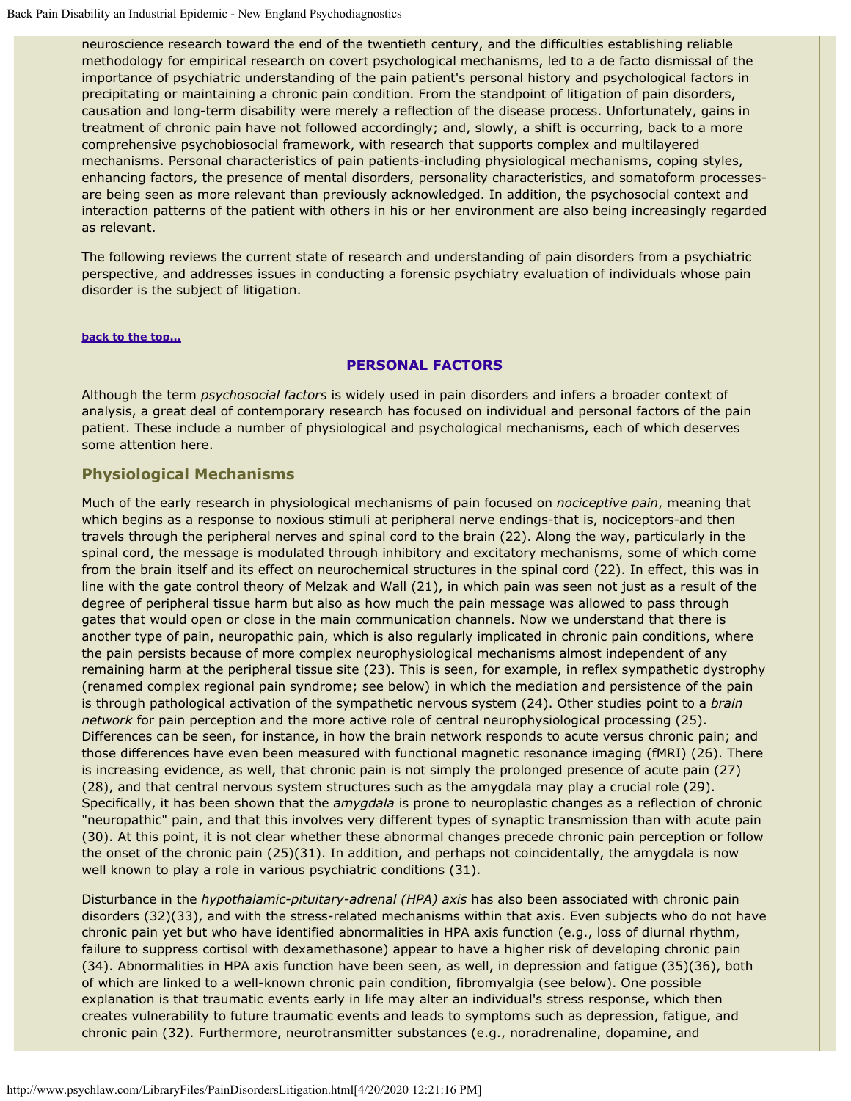neuroscience research toward the end of the twentieth century, and the difficulties establishing reliable methodology for empirical research on covert psychological mechanisms, led to a de facto dismissal of the importance of psychiatric understanding of the pain patient's personal history and psychological factors in precipitating or maintaining a chronic pain condition. From the standpoint of litigation of pain disorders, causation and long-term disability were merely a reflection of the disease process. Unfortunately, gains in treatment of chronic pain have not followed accordingly; and, slowly, a shift is occurring, back to a more comprehensive psychobiosocial framework, with research that supports complex and multilayered mechanisms. Personal characteristics of pain patients-including physiological mechanisms, coping styles, enhancing factors, the presence of mental disorders, personality characteristics, and somatoform processesare being seen as more relevant than previously acknowledged. In addition, the psychosocial context and interaction patterns of the patient with others in his or her environment are also being increasingly regarded as relevant.

The following reviews the current state of research and understanding of pain disorders from a psychiatric perspective, and addresses issues in conducting a forensic psychiatry evaluation of individuals whose pain disorder is the subject of litigation.

#### <span id="page-4-0"></span>**[back to the top...](#page-0-1)**

#### **PERSONAL FACTORS**

Although the term *psychosocial factors* is widely used in pain disorders and infers a broader context of analysis, a great deal of contemporary research has focused on individual and personal factors of the pain patient. These include a number of physiological and psychological mechanisms, each of which deserves some attention here.

## <span id="page-4-1"></span>**Physiological Mechanisms**

Much of the early research in physiological mechanisms of pain focused on *nociceptive pain*, meaning that which begins as a response to noxious stimuli at peripheral nerve endings-that is, nociceptors-and then travels through the peripheral nerves and spinal cord to the brain (22). Along the way, particularly in the spinal cord, the message is modulated through inhibitory and excitatory mechanisms, some of which come from the brain itself and its effect on neurochemical structures in the spinal cord (22). In effect, this was in line with the gate control theory of Melzak and Wall (21), in which pain was seen not just as a result of the degree of peripheral tissue harm but also as how much the pain message was allowed to pass through gates that would open or close in the main communication channels. Now we understand that there is another type of pain, neuropathic pain, which is also regularly implicated in chronic pain conditions, where the pain persists because of more complex neurophysiological mechanisms almost independent of any remaining harm at the peripheral tissue site (23). This is seen, for example, in reflex sympathetic dystrophy (renamed complex regional pain syndrome; see below) in which the mediation and persistence of the pain is through pathological activation of the sympathetic nervous system (24). Other studies point to a *brain network* for pain perception and the more active role of central neurophysiological processing (25). Differences can be seen, for instance, in how the brain network responds to acute versus chronic pain; and those differences have even been measured with functional magnetic resonance imaging (fMRI) (26). There is increasing evidence, as well, that chronic pain is not simply the prolonged presence of acute pain (27) (28), and that central nervous system structures such as the amygdala may play a crucial role (29). Specifically, it has been shown that the *amygdala* is prone to neuroplastic changes as a reflection of chronic "neuropathic" pain, and that this involves very different types of synaptic transmission than with acute pain (30). At this point, it is not clear whether these abnormal changes precede chronic pain perception or follow the onset of the chronic pain (25)(31). In addition, and perhaps not coincidentally, the amygdala is now well known to play a role in various psychiatric conditions (31).

Disturbance in the *hypothalamic-pituitary-adrenal (HPA) axis* has also been associated with chronic pain disorders (32)(33), and with the stress-related mechanisms within that axis. Even subjects who do not have chronic pain yet but who have identified abnormalities in HPA axis function (e.g., loss of diurnal rhythm, failure to suppress cortisol with dexamethasone) appear to have a higher risk of developing chronic pain (34). Abnormalities in HPA axis function have been seen, as well, in depression and fatigue (35)(36), both of which are linked to a well-known chronic pain condition, fibromyalgia (see below). One possible explanation is that traumatic events early in life may alter an individual's stress response, which then creates vulnerability to future traumatic events and leads to symptoms such as depression, fatigue, and chronic pain (32). Furthermore, neurotransmitter substances (e.g., noradrenaline, dopamine, and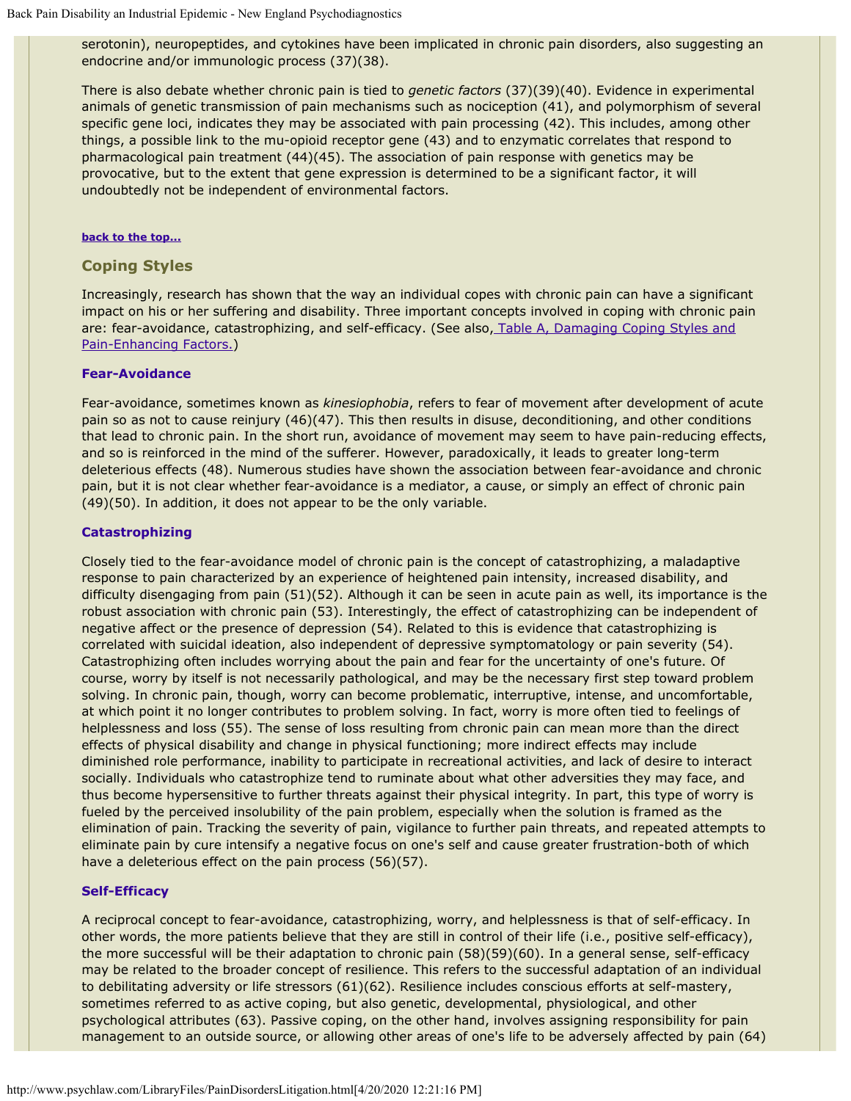serotonin), neuropeptides, and cytokines have been implicated in chronic pain disorders, also suggesting an endocrine and/or immunologic process (37)(38).

There is also debate whether chronic pain is tied to *genetic factors* (37)(39)(40). Evidence in experimental animals of genetic transmission of pain mechanisms such as nociception (41), and polymorphism of several specific gene loci, indicates they may be associated with pain processing (42). This includes, among other things, a possible link to the mu-opioid receptor gene (43) and to enzymatic correlates that respond to pharmacological pain treatment (44)(45). The association of pain response with genetics may be provocative, but to the extent that gene expression is determined to be a significant factor, it will undoubtedly not be independent of environmental factors.

#### **[back to the top...](#page-0-1)**

#### <span id="page-5-0"></span>**Coping Styles**

Increasingly, research has shown that the way an individual copes with chronic pain can have a significant impact on his or her suffering and disability. Three important concepts involved in coping with chronic pain are: fear-avoidance, catastrophizing, and self-efficacy. (See also[, Table A, Damaging Coping Styles and](#page-0-0) [Pain-Enhancing Factors.\)](#page-0-0)

#### **Fear-Avoidance**

Fear-avoidance, sometimes known as *kinesiophobia*, refers to fear of movement after development of acute pain so as not to cause reinjury (46)(47). This then results in disuse, deconditioning, and other conditions that lead to chronic pain. In the short run, avoidance of movement may seem to have pain-reducing effects, and so is reinforced in the mind of the sufferer. However, paradoxically, it leads to greater long-term deleterious effects (48). Numerous studies have shown the association between fear-avoidance and chronic pain, but it is not clear whether fear-avoidance is a mediator, a cause, or simply an effect of chronic pain (49)(50). In addition, it does not appear to be the only variable.

#### **Catastrophizing**

Closely tied to the fear-avoidance model of chronic pain is the concept of catastrophizing, a maladaptive response to pain characterized by an experience of heightened pain intensity, increased disability, and difficulty disengaging from pain (51)(52). Although it can be seen in acute pain as well, its importance is the robust association with chronic pain (53). Interestingly, the effect of catastrophizing can be independent of negative affect or the presence of depression (54). Related to this is evidence that catastrophizing is correlated with suicidal ideation, also independent of depressive symptomatology or pain severity (54). Catastrophizing often includes worrying about the pain and fear for the uncertainty of one's future. Of course, worry by itself is not necessarily pathological, and may be the necessary first step toward problem solving. In chronic pain, though, worry can become problematic, interruptive, intense, and uncomfortable, at which point it no longer contributes to problem solving. In fact, worry is more often tied to feelings of helplessness and loss (55). The sense of loss resulting from chronic pain can mean more than the direct effects of physical disability and change in physical functioning; more indirect effects may include diminished role performance, inability to participate in recreational activities, and lack of desire to interact socially. Individuals who catastrophize tend to ruminate about what other adversities they may face, and thus become hypersensitive to further threats against their physical integrity. In part, this type of worry is fueled by the perceived insolubility of the pain problem, especially when the solution is framed as the elimination of pain. Tracking the severity of pain, vigilance to further pain threats, and repeated attempts to eliminate pain by cure intensify a negative focus on one's self and cause greater frustration-both of which have a deleterious effect on the pain process (56)(57).

#### **Self-Efficacy**

A reciprocal concept to fear-avoidance, catastrophizing, worry, and helplessness is that of self-efficacy. In other words, the more patients believe that they are still in control of their life (i.e., positive self-efficacy), the more successful will be their adaptation to chronic pain (58)(59)(60). In a general sense, self-efficacy may be related to the broader concept of resilience. This refers to the successful adaptation of an individual to debilitating adversity or life stressors (61)(62). Resilience includes conscious efforts at self-mastery, sometimes referred to as active coping, but also genetic, developmental, physiological, and other psychological attributes (63). Passive coping, on the other hand, involves assigning responsibility for pain management to an outside source, or allowing other areas of one's life to be adversely affected by pain (64)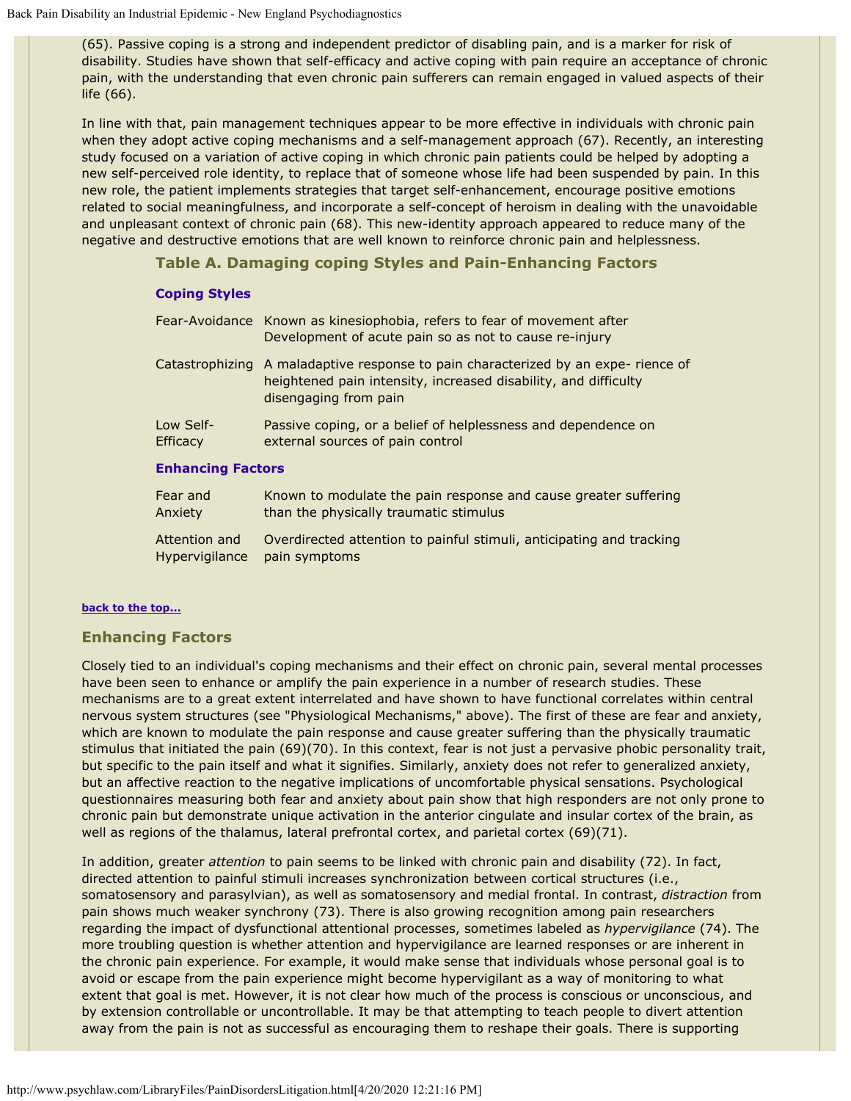(65). Passive coping is a strong and independent predictor of disabling pain, and is a marker for risk of disability. Studies have shown that self-efficacy and active coping with pain require an acceptance of chronic pain, with the understanding that even chronic pain sufferers can remain engaged in valued aspects of their life (66).

In line with that, pain management techniques appear to be more effective in individuals with chronic pain when they adopt active coping mechanisms and a self-management approach (67). Recently, an interesting study focused on a variation of active coping in which chronic pain patients could be helped by adopting a new self-perceived role identity, to replace that of someone whose life had been suspended by pain. In this new role, the patient implements strategies that target self-enhancement, encourage positive emotions related to social meaningfulness, and incorporate a self-concept of heroism in dealing with the unavoidable and unpleasant context of chronic pain (68). This new-identity approach appeared to reduce many of the negative and destructive emotions that are well known to reinforce chronic pain and helplessness.

## **Table A. Damaging coping Styles and Pain-Enhancing Factors**

## **Coping Styles**

|                              | Fear-Avoidance Known as kinesiophobia, refers to fear of movement after<br>Development of acute pain so as not to cause re-injury                                              |  |  |  |
|------------------------------|--------------------------------------------------------------------------------------------------------------------------------------------------------------------------------|--|--|--|
|                              | Catastrophizing A maladaptive response to pain characterized by an expe- rience of<br>heightened pain intensity, increased disability, and difficulty<br>disengaging from pain |  |  |  |
| Low Self-<br><b>Efficacy</b> | Passive coping, or a belief of helplessness and dependence on<br>external sources of pain control                                                                              |  |  |  |
| <b>Enhancing Factors</b>     |                                                                                                                                                                                |  |  |  |
| Fear and<br>Anxiety          | Known to modulate the pain response and cause greater suffering<br>than the physically traumatic stimulus                                                                      |  |  |  |

Attention and Hypervigilance Overdirected attention to painful stimuli, anticipating and tracking pain symptoms

### **[back to the top...](#page-0-1)**

### <span id="page-6-0"></span>**Enhancing Factors**

Closely tied to an individual's coping mechanisms and their effect on chronic pain, several mental processes have been seen to enhance or amplify the pain experience in a number of research studies. These mechanisms are to a great extent interrelated and have shown to have functional correlates within central nervous system structures (see "Physiological Mechanisms," above). The first of these are fear and anxiety, which are known to modulate the pain response and cause greater suffering than the physically traumatic stimulus that initiated the pain (69)(70). In this context, fear is not just a pervasive phobic personality trait, but specific to the pain itself and what it signifies. Similarly, anxiety does not refer to generalized anxiety, but an affective reaction to the negative implications of uncomfortable physical sensations. Psychological questionnaires measuring both fear and anxiety about pain show that high responders are not only prone to chronic pain but demonstrate unique activation in the anterior cingulate and insular cortex of the brain, as well as regions of the thalamus, lateral prefrontal cortex, and parietal cortex (69)(71).

In addition, greater *attention* to pain seems to be linked with chronic pain and disability (72). In fact, directed attention to painful stimuli increases synchronization between cortical structures (i.e., somatosensory and parasylvian), as well as somatosensory and medial frontal. In contrast, *distraction* from pain shows much weaker synchrony (73). There is also growing recognition among pain researchers regarding the impact of dysfunctional attentional processes, sometimes labeled as *hypervigilance* (74). The more troubling question is whether attention and hypervigilance are learned responses or are inherent in the chronic pain experience. For example, it would make sense that individuals whose personal goal is to avoid or escape from the pain experience might become hypervigilant as a way of monitoring to what extent that goal is met. However, it is not clear how much of the process is conscious or unconscious, and by extension controllable or uncontrollable. It may be that attempting to teach people to divert attention away from the pain is not as successful as encouraging them to reshape their goals. There is supporting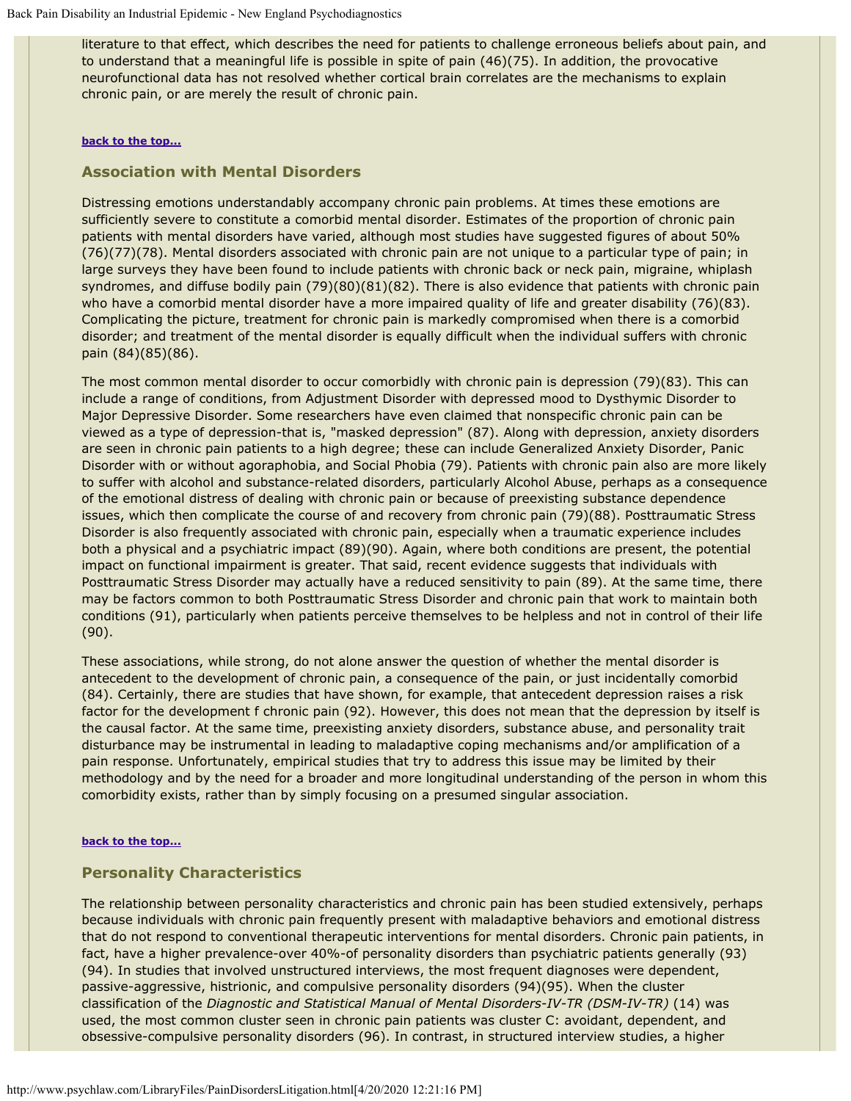literature to that effect, which describes the need for patients to challenge erroneous beliefs about pain, and to understand that a meaningful life is possible in spite of pain (46)(75). In addition, the provocative neurofunctional data has not resolved whether cortical brain correlates are the mechanisms to explain chronic pain, or are merely the result of chronic pain.

#### **[back to the top...](#page-0-1)**

## **Association with Mental Disorders**

Distressing emotions understandably accompany chronic pain problems. At times these emotions are sufficiently severe to constitute a comorbid mental disorder. Estimates of the proportion of chronic pain patients with mental disorders have varied, although most studies have suggested figures of about 50% (76)(77)(78). Mental disorders associated with chronic pain are not unique to a particular type of pain; in large surveys they have been found to include patients with chronic back or neck pain, migraine, whiplash syndromes, and diffuse bodily pain (79)(80)(81)(82). There is also evidence that patients with chronic pain who have a comorbid mental disorder have a more impaired quality of life and greater disability (76)(83). Complicating the picture, treatment for chronic pain is markedly compromised when there is a comorbid disorder; and treatment of the mental disorder is equally difficult when the individual suffers with chronic pain (84)(85)(86).

The most common mental disorder to occur comorbidly with chronic pain is depression (79)(83). This can include a range of conditions, from Adjustment Disorder with depressed mood to Dysthymic Disorder to Major Depressive Disorder. Some researchers have even claimed that nonspecific chronic pain can be viewed as a type of depression-that is, "masked depression" (87). Along with depression, anxiety disorders are seen in chronic pain patients to a high degree; these can include Generalized Anxiety Disorder, Panic Disorder with or without agoraphobia, and Social Phobia (79). Patients with chronic pain also are more likely to suffer with alcohol and substance-related disorders, particularly Alcohol Abuse, perhaps as a consequence of the emotional distress of dealing with chronic pain or because of preexisting substance dependence issues, which then complicate the course of and recovery from chronic pain (79)(88). Posttraumatic Stress Disorder is also frequently associated with chronic pain, especially when a traumatic experience includes both a physical and a psychiatric impact (89)(90). Again, where both conditions are present, the potential impact on functional impairment is greater. That said, recent evidence suggests that individuals with Posttraumatic Stress Disorder may actually have a reduced sensitivity to pain (89). At the same time, there may be factors common to both Posttraumatic Stress Disorder and chronic pain that work to maintain both conditions (91), particularly when patients perceive themselves to be helpless and not in control of their life (90).

These associations, while strong, do not alone answer the question of whether the mental disorder is antecedent to the development of chronic pain, a consequence of the pain, or just incidentally comorbid (84). Certainly, there are studies that have shown, for example, that antecedent depression raises a risk factor for the development f chronic pain (92). However, this does not mean that the depression by itself is the causal factor. At the same time, preexisting anxiety disorders, substance abuse, and personality trait disturbance may be instrumental in leading to maladaptive coping mechanisms and/or amplification of a pain response. Unfortunately, empirical studies that try to address this issue may be limited by their methodology and by the need for a broader and more longitudinal understanding of the person in whom this comorbidity exists, rather than by simply focusing on a presumed singular association.

#### **[back to the top...](#page-0-1)**

### <span id="page-7-0"></span>**Personality Characteristics**

The relationship between personality characteristics and chronic pain has been studied extensively, perhaps because individuals with chronic pain frequently present with maladaptive behaviors and emotional distress that do not respond to conventional therapeutic interventions for mental disorders. Chronic pain patients, in fact, have a higher prevalence-over 40%-of personality disorders than psychiatric patients generally (93) (94). In studies that involved unstructured interviews, the most frequent diagnoses were dependent, passive-aggressive, histrionic, and compulsive personality disorders (94)(95). When the cluster classification of the *Diagnostic and Statistical Manual of Mental Disorders-IV-TR (DSM-IV-TR)* (14) was used, the most common cluster seen in chronic pain patients was cluster C: avoidant, dependent, and obsessive-compulsive personality disorders (96). In contrast, in structured interview studies, a higher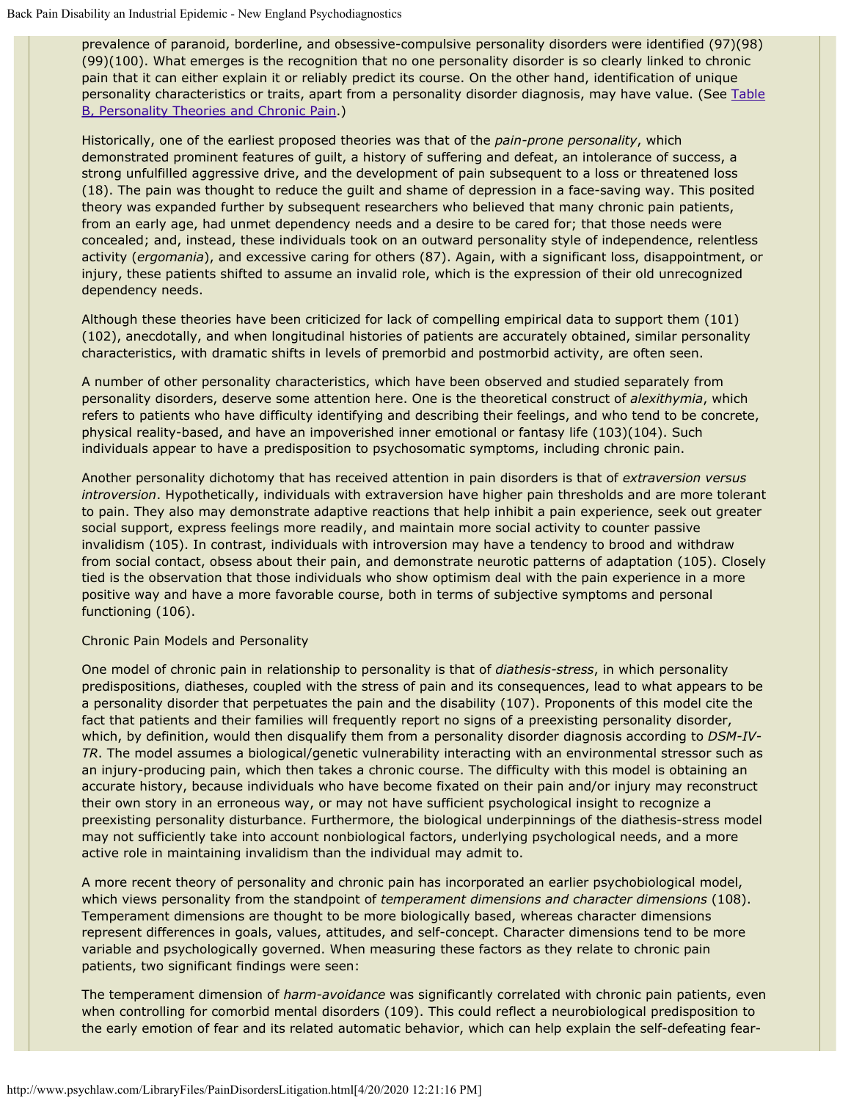prevalence of paranoid, borderline, and obsessive-compulsive personality disorders were identified (97)(98) (99)(100). What emerges is the recognition that no one personality disorder is so clearly linked to chronic pain that it can either explain it or reliably predict its course. On the other hand, identification of unique personality characteristics or traits, apart from a personality disorder diagnosis, may have value. (See [Table](#page-0-0) [B, Personality Theories and Chronic Pain.](#page-0-0))

Historically, one of the earliest proposed theories was that of the *pain-prone personality*, which demonstrated prominent features of guilt, a history of suffering and defeat, an intolerance of success, a strong unfulfilled aggressive drive, and the development of pain subsequent to a loss or threatened loss (18). The pain was thought to reduce the guilt and shame of depression in a face-saving way. This posited theory was expanded further by subsequent researchers who believed that many chronic pain patients, from an early age, had unmet dependency needs and a desire to be cared for; that those needs were concealed; and, instead, these individuals took on an outward personality style of independence, relentless activity (*ergomania*), and excessive caring for others (87). Again, with a significant loss, disappointment, or injury, these patients shifted to assume an invalid role, which is the expression of their old unrecognized dependency needs.

Although these theories have been criticized for lack of compelling empirical data to support them (101) (102), anecdotally, and when longitudinal histories of patients are accurately obtained, similar personality characteristics, with dramatic shifts in levels of premorbid and postmorbid activity, are often seen.

A number of other personality characteristics, which have been observed and studied separately from personality disorders, deserve some attention here. One is the theoretical construct of *alexithymia*, which refers to patients who have difficulty identifying and describing their feelings, and who tend to be concrete, physical reality-based, and have an impoverished inner emotional or fantasy life (103)(104). Such individuals appear to have a predisposition to psychosomatic symptoms, including chronic pain.

Another personality dichotomy that has received attention in pain disorders is that of *extraversion versus introversion*. Hypothetically, individuals with extraversion have higher pain thresholds and are more tolerant to pain. They also may demonstrate adaptive reactions that help inhibit a pain experience, seek out greater social support, express feelings more readily, and maintain more social activity to counter passive invalidism (105). In contrast, individuals with introversion may have a tendency to brood and withdraw from social contact, obsess about their pain, and demonstrate neurotic patterns of adaptation (105). Closely tied is the observation that those individuals who show optimism deal with the pain experience in a more positive way and have a more favorable course, both in terms of subjective symptoms and personal functioning (106).

### Chronic Pain Models and Personality

One model of chronic pain in relationship to personality is that of *diathesis-stress*, in which personality predispositions, diatheses, coupled with the stress of pain and its consequences, lead to what appears to be a personality disorder that perpetuates the pain and the disability (107). Proponents of this model cite the fact that patients and their families will frequently report no signs of a preexisting personality disorder, which, by definition, would then disqualify them from a personality disorder diagnosis according to *DSM-IV-TR*. The model assumes a biological/genetic vulnerability interacting with an environmental stressor such as an injury-producing pain, which then takes a chronic course. The difficulty with this model is obtaining an accurate history, because individuals who have become fixated on their pain and/or injury may reconstruct their own story in an erroneous way, or may not have sufficient psychological insight to recognize a preexisting personality disturbance. Furthermore, the biological underpinnings of the diathesis-stress model may not sufficiently take into account nonbiological factors, underlying psychological needs, and a more active role in maintaining invalidism than the individual may admit to.

A more recent theory of personality and chronic pain has incorporated an earlier psychobiological model, which views personality from the standpoint of *temperament dimensions and character dimensions* (108). Temperament dimensions are thought to be more biologically based, whereas character dimensions represent differences in goals, values, attitudes, and self-concept. Character dimensions tend to be more variable and psychologically governed. When measuring these factors as they relate to chronic pain patients, two significant findings were seen:

The temperament dimension of *harm-avoidance* was significantly correlated with chronic pain patients, even when controlling for comorbid mental disorders (109). This could reflect a neurobiological predisposition to the early emotion of fear and its related automatic behavior, which can help explain the self-defeating fear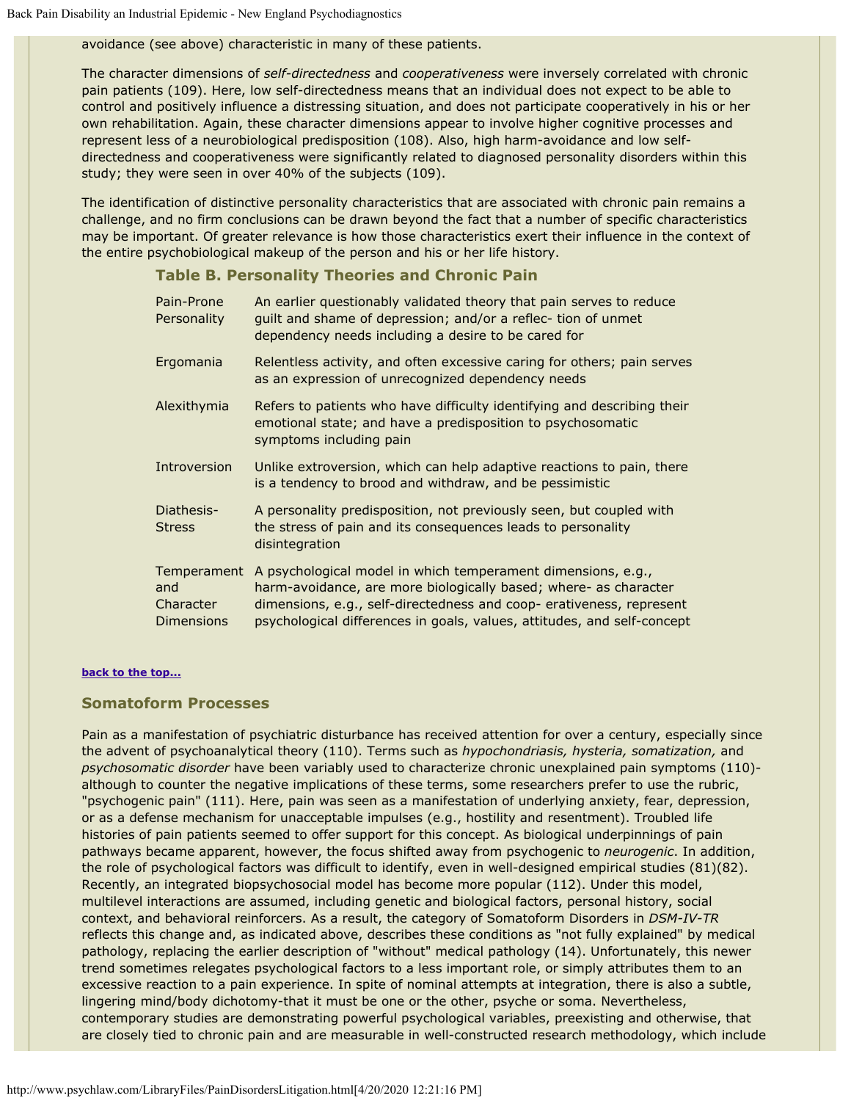avoidance (see above) characteristic in many of these patients.

The character dimensions of *self-directedness* and *cooperativeness* were inversely correlated with chronic pain patients (109). Here, low self-directedness means that an individual does not expect to be able to control and positively influence a distressing situation, and does not participate cooperatively in his or her own rehabilitation. Again, these character dimensions appear to involve higher cognitive processes and represent less of a neurobiological predisposition (108). Also, high harm-avoidance and low selfdirectedness and cooperativeness were significantly related to diagnosed personality disorders within this study; they were seen in over 40% of the subjects (109).

The identification of distinctive personality characteristics that are associated with chronic pain remains a challenge, and no firm conclusions can be drawn beyond the fact that a number of specific characteristics may be important. Of greater relevance is how those characteristics exert their influence in the context of the entire psychobiological makeup of the person and his or her life history.

#### **Table B. Personality Theories and Chronic Pain**

| Pain-Prone<br>Personality                            | An earlier questionably validated theory that pain serves to reduce<br>guilt and shame of depression; and/or a reflec- tion of unmet<br>dependency needs including a desire to be cared for                                                                                         |
|------------------------------------------------------|-------------------------------------------------------------------------------------------------------------------------------------------------------------------------------------------------------------------------------------------------------------------------------------|
| Ergomania                                            | Relentless activity, and often excessive caring for others; pain serves<br>as an expression of unrecognized dependency needs                                                                                                                                                        |
| Alexithymia                                          | Refers to patients who have difficulty identifying and describing their<br>emotional state; and have a predisposition to psychosomatic<br>symptoms including pain                                                                                                                   |
| Introversion                                         | Unlike extroversion, which can help adaptive reactions to pain, there<br>is a tendency to brood and withdraw, and be pessimistic                                                                                                                                                    |
| Diathesis-<br><b>Stress</b>                          | A personality predisposition, not previously seen, but coupled with<br>the stress of pain and its consequences leads to personality<br>disintegration                                                                                                                               |
| Temperament<br>and<br>Character<br><b>Dimensions</b> | A psychological model in which temperament dimensions, e.g.,<br>harm-avoidance, are more biologically based; where- as character<br>dimensions, e.g., self-directedness and coop- erativeness, represent<br>psychological differences in goals, values, attitudes, and self-concept |

#### **[back to the top...](#page-0-1)**

### <span id="page-9-0"></span>**Somatoform Processes**

Pain as a manifestation of psychiatric disturbance has received attention for over a century, especially since the advent of psychoanalytical theory (110). Terms such as *hypochondriasis, hysteria, somatization,* and *psychosomatic disorder* have been variably used to characterize chronic unexplained pain symptoms (110) although to counter the negative implications of these terms, some researchers prefer to use the rubric, "psychogenic pain" (111). Here, pain was seen as a manifestation of underlying anxiety, fear, depression, or as a defense mechanism for unacceptable impulses (e.g., hostility and resentment). Troubled life histories of pain patients seemed to offer support for this concept. As biological underpinnings of pain pathways became apparent, however, the focus shifted away from psychogenic to *neurogenic*. In addition, the role of psychological factors was difficult to identify, even in well-designed empirical studies (81)(82). Recently, an integrated biopsychosocial model has become more popular (112). Under this model, multilevel interactions are assumed, including genetic and biological factors, personal history, social context, and behavioral reinforcers. As a result, the category of Somatoform Disorders in *DSM-IV-TR* reflects this change and, as indicated above, describes these conditions as "not fully explained" by medical pathology, replacing the earlier description of "without" medical pathology (14). Unfortunately, this newer trend sometimes relegates psychological factors to a less important role, or simply attributes them to an excessive reaction to a pain experience. In spite of nominal attempts at integration, there is also a subtle, lingering mind/body dichotomy-that it must be one or the other, psyche or soma. Nevertheless, contemporary studies are demonstrating powerful psychological variables, preexisting and otherwise, that are closely tied to chronic pain and are measurable in well-constructed research methodology, which include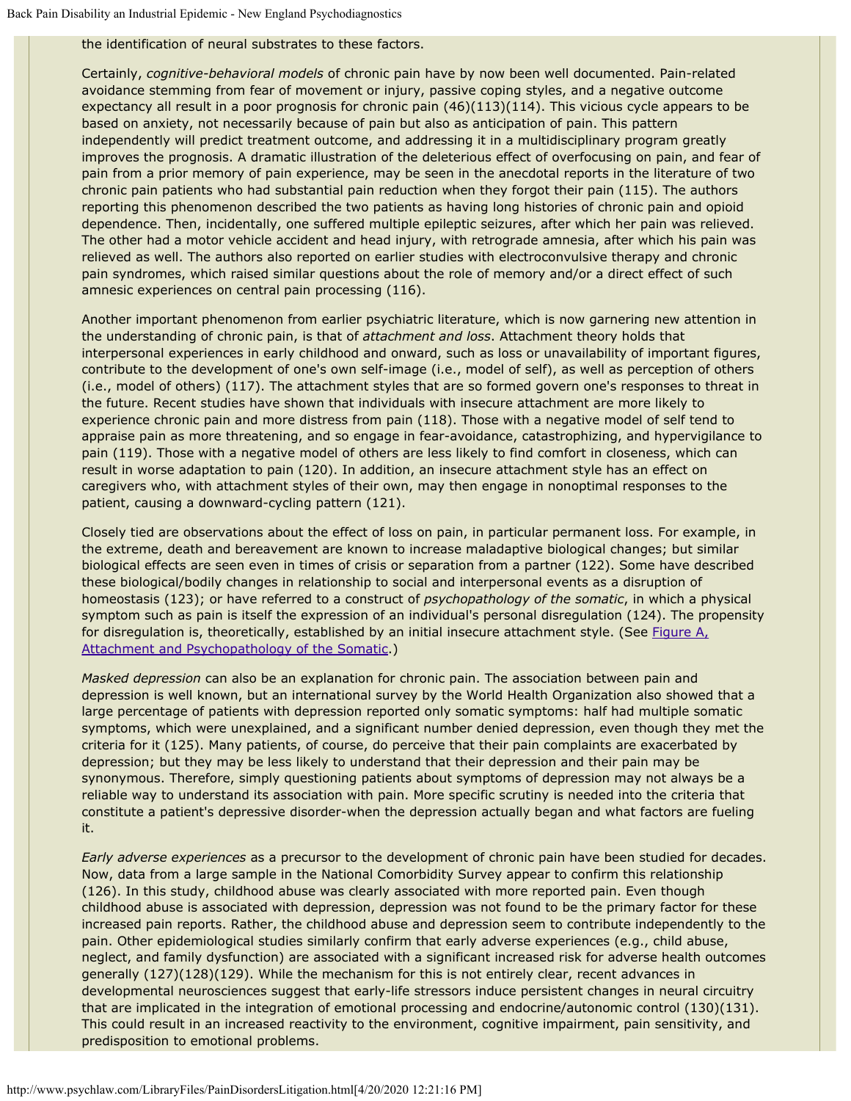the identification of neural substrates to these factors.

Certainly, *cognitive-behavioral models* of chronic pain have by now been well documented. Pain-related avoidance stemming from fear of movement or injury, passive coping styles, and a negative outcome expectancy all result in a poor prognosis for chronic pain (46)(113)(114). This vicious cycle appears to be based on anxiety, not necessarily because of pain but also as anticipation of pain. This pattern independently will predict treatment outcome, and addressing it in a multidisciplinary program greatly improves the prognosis. A dramatic illustration of the deleterious effect of overfocusing on pain, and fear of pain from a prior memory of pain experience, may be seen in the anecdotal reports in the literature of two chronic pain patients who had substantial pain reduction when they forgot their pain (115). The authors reporting this phenomenon described the two patients as having long histories of chronic pain and opioid dependence. Then, incidentally, one suffered multiple epileptic seizures, after which her pain was relieved. The other had a motor vehicle accident and head injury, with retrograde amnesia, after which his pain was relieved as well. The authors also reported on earlier studies with electroconvulsive therapy and chronic pain syndromes, which raised similar questions about the role of memory and/or a direct effect of such amnesic experiences on central pain processing (116).

Another important phenomenon from earlier psychiatric literature, which is now garnering new attention in the understanding of chronic pain, is that of *attachment and loss*. Attachment theory holds that interpersonal experiences in early childhood and onward, such as loss or unavailability of important figures, contribute to the development of one's own self-image (i.e., model of self), as well as perception of others (i.e., model of others) (117). The attachment styles that are so formed govern one's responses to threat in the future. Recent studies have shown that individuals with insecure attachment are more likely to experience chronic pain and more distress from pain (118). Those with a negative model of self tend to appraise pain as more threatening, and so engage in fear-avoidance, catastrophizing, and hypervigilance to pain (119). Those with a negative model of others are less likely to find comfort in closeness, which can result in worse adaptation to pain (120). In addition, an insecure attachment style has an effect on caregivers who, with attachment styles of their own, may then engage in nonoptimal responses to the patient, causing a downward-cycling pattern (121).

Closely tied are observations about the effect of loss on pain, in particular permanent loss. For example, in the extreme, death and bereavement are known to increase maladaptive biological changes; but similar biological effects are seen even in times of crisis or separation from a partner (122). Some have described these biological/bodily changes in relationship to social and interpersonal events as a disruption of homeostasis (123); or have referred to a construct of *psychopathology of the somatic*, in which a physical symptom such as pain is itself the expression of an individual's personal disregulation (124). The propensity for disregulation is, theoretically, established by an initial insecure attachment style. (See [Figure A,](#page-0-0) [Attachment and Psychopathology of the Somatic.](#page-0-0))

*Masked depression* can also be an explanation for chronic pain. The association between pain and depression is well known, but an international survey by the World Health Organization also showed that a large percentage of patients with depression reported only somatic symptoms: half had multiple somatic symptoms, which were unexplained, and a significant number denied depression, even though they met the criteria for it (125). Many patients, of course, do perceive that their pain complaints are exacerbated by depression; but they may be less likely to understand that their depression and their pain may be synonymous. Therefore, simply questioning patients about symptoms of depression may not always be a reliable way to understand its association with pain. More specific scrutiny is needed into the criteria that constitute a patient's depressive disorder-when the depression actually began and what factors are fueling it.

*Early adverse experiences* as a precursor to the development of chronic pain have been studied for decades. Now, data from a large sample in the National Comorbidity Survey appear to confirm this relationship (126). In this study, childhood abuse was clearly associated with more reported pain. Even though childhood abuse is associated with depression, depression was not found to be the primary factor for these increased pain reports. Rather, the childhood abuse and depression seem to contribute independently to the pain. Other epidemiological studies similarly confirm that early adverse experiences (e.g., child abuse, neglect, and family dysfunction) are associated with a significant increased risk for adverse health outcomes generally (127)(128)(129). While the mechanism for this is not entirely clear, recent advances in developmental neurosciences suggest that early-life stressors induce persistent changes in neural circuitry that are implicated in the integration of emotional processing and endocrine/autonomic control (130)(131). This could result in an increased reactivity to the environment, cognitive impairment, pain sensitivity, and predisposition to emotional problems.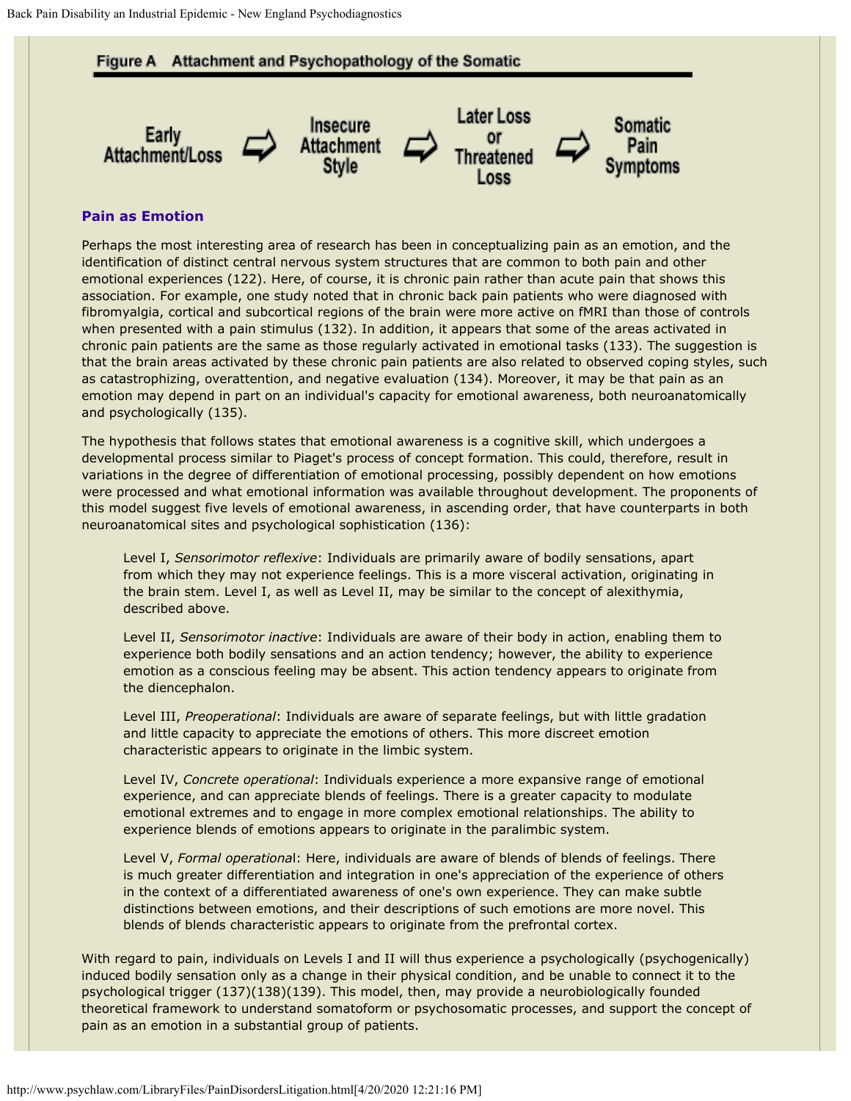#### **Figure A** Attachment and Psychopathology of the Somatic



#### **Pain as Emotion**

Perhaps the most interesting area of research has been in conceptualizing pain as an emotion, and the identification of distinct central nervous system structures that are common to both pain and other emotional experiences (122). Here, of course, it is chronic pain rather than acute pain that shows this association. For example, one study noted that in chronic back pain patients who were diagnosed with fibromyalgia, cortical and subcortical regions of the brain were more active on fMRI than those of controls when presented with a pain stimulus (132). In addition, it appears that some of the areas activated in chronic pain patients are the same as those regularly activated in emotional tasks (133). The suggestion is that the brain areas activated by these chronic pain patients are also related to observed coping styles, such as catastrophizing, overattention, and negative evaluation (134). Moreover, it may be that pain as an emotion may depend in part on an individual's capacity for emotional awareness, both neuroanatomically and psychologically (135).

The hypothesis that follows states that emotional awareness is a cognitive skill, which undergoes a developmental process similar to Piaget's process of concept formation. This could, therefore, result in variations in the degree of differentiation of emotional processing, possibly dependent on how emotions were processed and what emotional information was available throughout development. The proponents of this model suggest five levels of emotional awareness, in ascending order, that have counterparts in both neuroanatomical sites and psychological sophistication (136):

Level I, *Sensorimotor reflexive*: Individuals are primarily aware of bodily sensations, apart from which they may not experience feelings. This is a more visceral activation, originating in the brain stem. Level I, as well as Level II, may be similar to the concept of alexithymia, described above.

Level II, *Sensorimotor inactive*: Individuals are aware of their body in action, enabling them to experience both bodily sensations and an action tendency; however, the ability to experience emotion as a conscious feeling may be absent. This action tendency appears to originate from the diencephalon.

Level III, *Preoperational*: Individuals are aware of separate feelings, but with little gradation and little capacity to appreciate the emotions of others. This more discreet emotion characteristic appears to originate in the limbic system.

Level IV, *Concrete operational*: Individuals experience a more expansive range of emotional experience, and can appreciate blends of feelings. There is a greater capacity to modulate emotional extremes and to engage in more complex emotional relationships. The ability to experience blends of emotions appears to originate in the paralimbic system.

Level V, *Formal operationa*l: Here, individuals are aware of blends of blends of feelings. There is much greater differentiation and integration in one's appreciation of the experience of others in the context of a differentiated awareness of one's own experience. They can make subtle distinctions between emotions, and their descriptions of such emotions are more novel. This blends of blends characteristic appears to originate from the prefrontal cortex.

With regard to pain, individuals on Levels I and II will thus experience a psychologically (psychogenically) induced bodily sensation only as a change in their physical condition, and be unable to connect it to the psychological trigger (137)(138)(139). This model, then, may provide a neurobiologically founded theoretical framework to understand somatoform or psychosomatic processes, and support the concept of pain as an emotion in a substantial group of patients.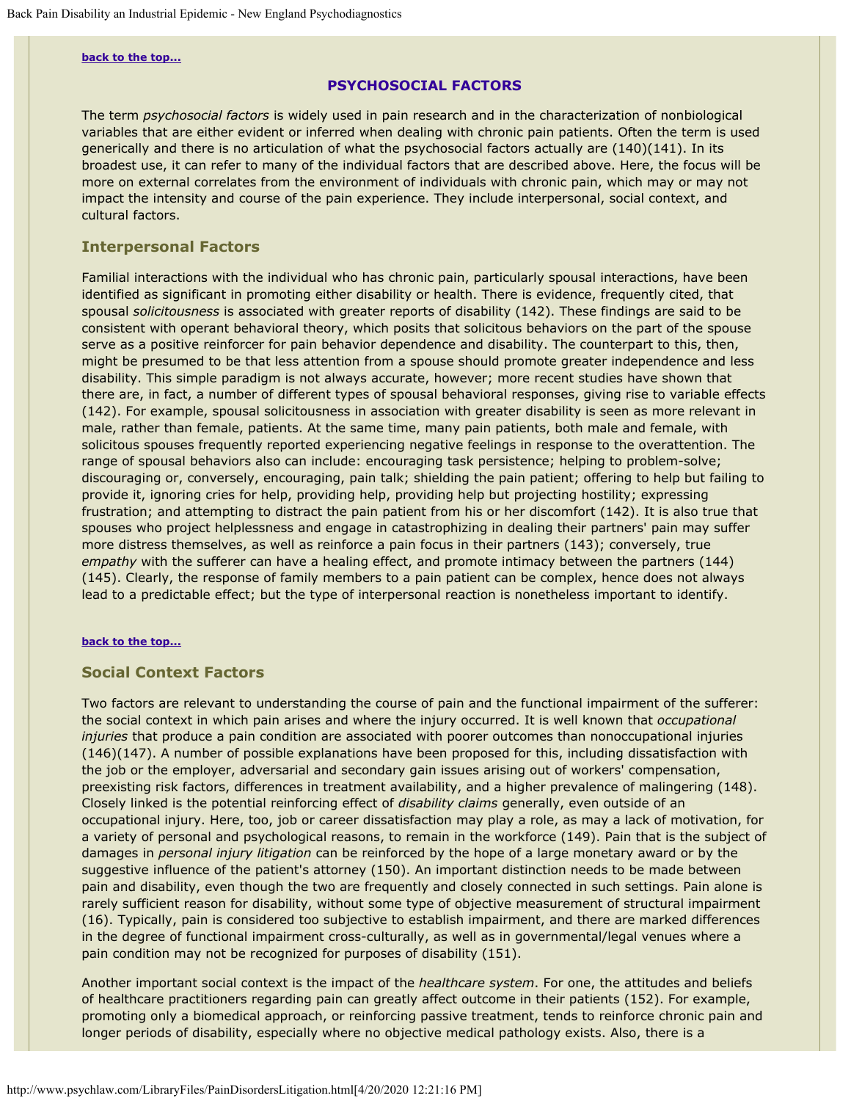#### <span id="page-12-0"></span>**[back to the top...](#page-0-1)**

## **PSYCHOSOCIAL FACTORS**

The term *psychosocial factors* is widely used in pain research and in the characterization of nonbiological variables that are either evident or inferred when dealing with chronic pain patients. Often the term is used generically and there is no articulation of what the psychosocial factors actually are (140)(141). In its broadest use, it can refer to many of the individual factors that are described above. Here, the focus will be more on external correlates from the environment of individuals with chronic pain, which may or may not impact the intensity and course of the pain experience. They include interpersonal, social context, and cultural factors.

## <span id="page-12-1"></span>**Interpersonal Factors**

Familial interactions with the individual who has chronic pain, particularly spousal interactions, have been identified as significant in promoting either disability or health. There is evidence, frequently cited, that spousal *solicitousness* is associated with greater reports of disability (142). These findings are said to be consistent with operant behavioral theory, which posits that solicitous behaviors on the part of the spouse serve as a positive reinforcer for pain behavior dependence and disability. The counterpart to this, then, might be presumed to be that less attention from a spouse should promote greater independence and less disability. This simple paradigm is not always accurate, however; more recent studies have shown that there are, in fact, a number of different types of spousal behavioral responses, giving rise to variable effects (142). For example, spousal solicitousness in association with greater disability is seen as more relevant in male, rather than female, patients. At the same time, many pain patients, both male and female, with solicitous spouses frequently reported experiencing negative feelings in response to the overattention. The range of spousal behaviors also can include: encouraging task persistence; helping to problem-solve; discouraging or, conversely, encouraging, pain talk; shielding the pain patient; offering to help but failing to provide it, ignoring cries for help, providing help, providing help but projecting hostility; expressing frustration; and attempting to distract the pain patient from his or her discomfort (142). It is also true that spouses who project helplessness and engage in catastrophizing in dealing their partners' pain may suffer more distress themselves, as well as reinforce a pain focus in their partners (143); conversely, true *empathy* with the sufferer can have a healing effect, and promote intimacy between the partners (144) (145). Clearly, the response of family members to a pain patient can be complex, hence does not always lead to a predictable effect; but the type of interpersonal reaction is nonetheless important to identify.

#### **[back to the top...](#page-0-1)**

## <span id="page-12-2"></span>**Social Context Factors**

Two factors are relevant to understanding the course of pain and the functional impairment of the sufferer: the social context in which pain arises and where the injury occurred. It is well known that *occupational injuries* that produce a pain condition are associated with poorer outcomes than nonoccupational injuries (146)(147). A number of possible explanations have been proposed for this, including dissatisfaction with the job or the employer, adversarial and secondary gain issues arising out of workers' compensation, preexisting risk factors, differences in treatment availability, and a higher prevalence of malingering (148). Closely linked is the potential reinforcing effect of *disability claims* generally, even outside of an occupational injury. Here, too, job or career dissatisfaction may play a role, as may a lack of motivation, for a variety of personal and psychological reasons, to remain in the workforce (149). Pain that is the subject of damages in *personal injury litigation* can be reinforced by the hope of a large monetary award or by the suggestive influence of the patient's attorney (150). An important distinction needs to be made between pain and disability, even though the two are frequently and closely connected in such settings. Pain alone is rarely sufficient reason for disability, without some type of objective measurement of structural impairment (16). Typically, pain is considered too subjective to establish impairment, and there are marked differences in the degree of functional impairment cross-culturally, as well as in governmental/legal venues where a pain condition may not be recognized for purposes of disability (151).

Another important social context is the impact of the *healthcare system*. For one, the attitudes and beliefs of healthcare practitioners regarding pain can greatly affect outcome in their patients (152). For example, promoting only a biomedical approach, or reinforcing passive treatment, tends to reinforce chronic pain and longer periods of disability, especially where no objective medical pathology exists. Also, there is a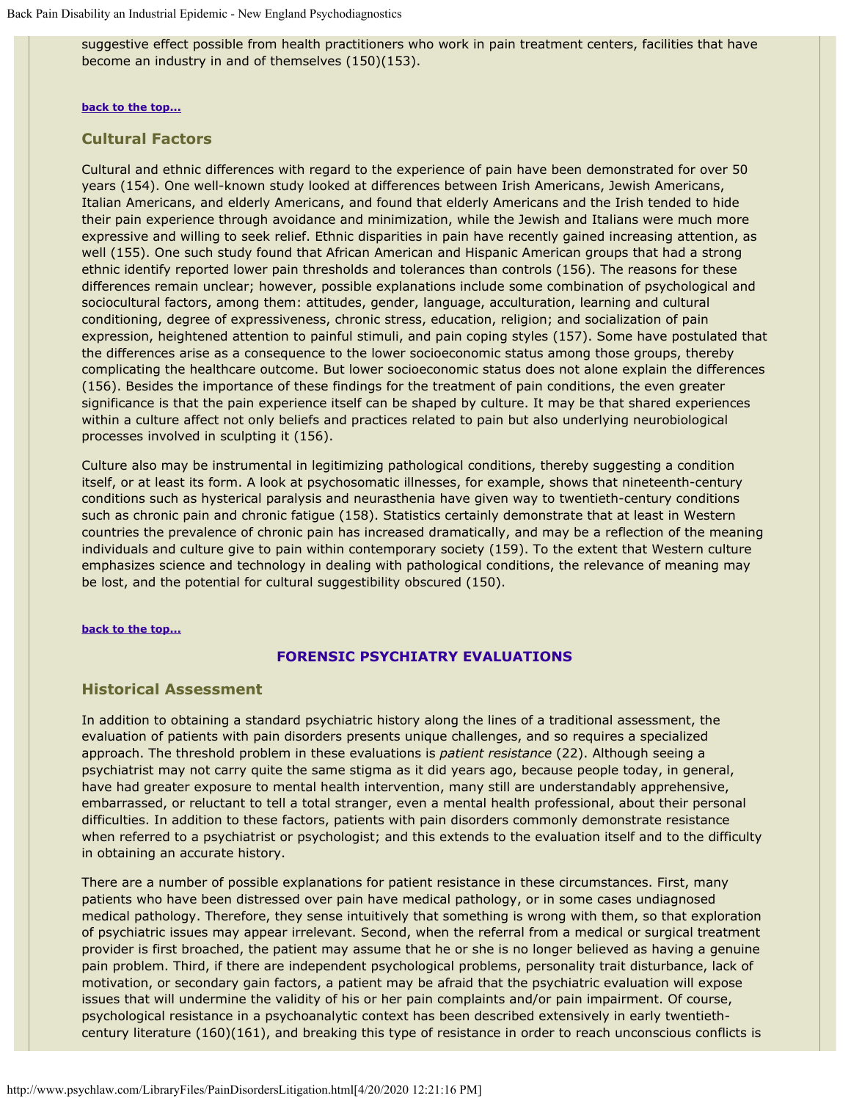suggestive effect possible from health practitioners who work in pain treatment centers, facilities that have become an industry in and of themselves (150)(153).

#### **[back to the top...](#page-0-1)**

## <span id="page-13-0"></span>**Cultural Factors**

Cultural and ethnic differences with regard to the experience of pain have been demonstrated for over 50 years (154). One well-known study looked at differences between Irish Americans, Jewish Americans, Italian Americans, and elderly Americans, and found that elderly Americans and the Irish tended to hide their pain experience through avoidance and minimization, while the Jewish and Italians were much more expressive and willing to seek relief. Ethnic disparities in pain have recently gained increasing attention, as well (155). One such study found that African American and Hispanic American groups that had a strong ethnic identify reported lower pain thresholds and tolerances than controls (156). The reasons for these differences remain unclear; however, possible explanations include some combination of psychological and sociocultural factors, among them: attitudes, gender, language, acculturation, learning and cultural conditioning, degree of expressiveness, chronic stress, education, religion; and socialization of pain expression, heightened attention to painful stimuli, and pain coping styles (157). Some have postulated that the differences arise as a consequence to the lower socioeconomic status among those groups, thereby complicating the healthcare outcome. But lower socioeconomic status does not alone explain the differences (156). Besides the importance of these findings for the treatment of pain conditions, the even greater significance is that the pain experience itself can be shaped by culture. It may be that shared experiences within a culture affect not only beliefs and practices related to pain but also underlying neurobiological processes involved in sculpting it (156).

Culture also may be instrumental in legitimizing pathological conditions, thereby suggesting a condition itself, or at least its form. A look at psychosomatic illnesses, for example, shows that nineteenth-century conditions such as hysterical paralysis and neurasthenia have given way to twentieth-century conditions such as chronic pain and chronic fatigue (158). Statistics certainly demonstrate that at least in Western countries the prevalence of chronic pain has increased dramatically, and may be a reflection of the meaning individuals and culture give to pain within contemporary society (159). To the extent that Western culture emphasizes science and technology in dealing with pathological conditions, the relevance of meaning may be lost, and the potential for cultural suggestibility obscured (150).

#### **[back to the top...](#page-0-1)**

## **FORENSIC PSYCHIATRY EVALUATIONS**

### <span id="page-13-1"></span>**Historical Assessment**

In addition to obtaining a standard psychiatric history along the lines of a traditional assessment, the evaluation of patients with pain disorders presents unique challenges, and so requires a specialized approach. The threshold problem in these evaluations is *patient resistance* (22). Although seeing a psychiatrist may not carry quite the same stigma as it did years ago, because people today, in general, have had greater exposure to mental health intervention, many still are understandably apprehensive, embarrassed, or reluctant to tell a total stranger, even a mental health professional, about their personal difficulties. In addition to these factors, patients with pain disorders commonly demonstrate resistance when referred to a psychiatrist or psychologist; and this extends to the evaluation itself and to the difficulty in obtaining an accurate history.

There are a number of possible explanations for patient resistance in these circumstances. First, many patients who have been distressed over pain have medical pathology, or in some cases undiagnosed medical pathology. Therefore, they sense intuitively that something is wrong with them, so that exploration of psychiatric issues may appear irrelevant. Second, when the referral from a medical or surgical treatment provider is first broached, the patient may assume that he or she is no longer believed as having a genuine pain problem. Third, if there are independent psychological problems, personality trait disturbance, lack of motivation, or secondary gain factors, a patient may be afraid that the psychiatric evaluation will expose issues that will undermine the validity of his or her pain complaints and/or pain impairment. Of course, psychological resistance in a psychoanalytic context has been described extensively in early twentiethcentury literature (160)(161), and breaking this type of resistance in order to reach unconscious conflicts is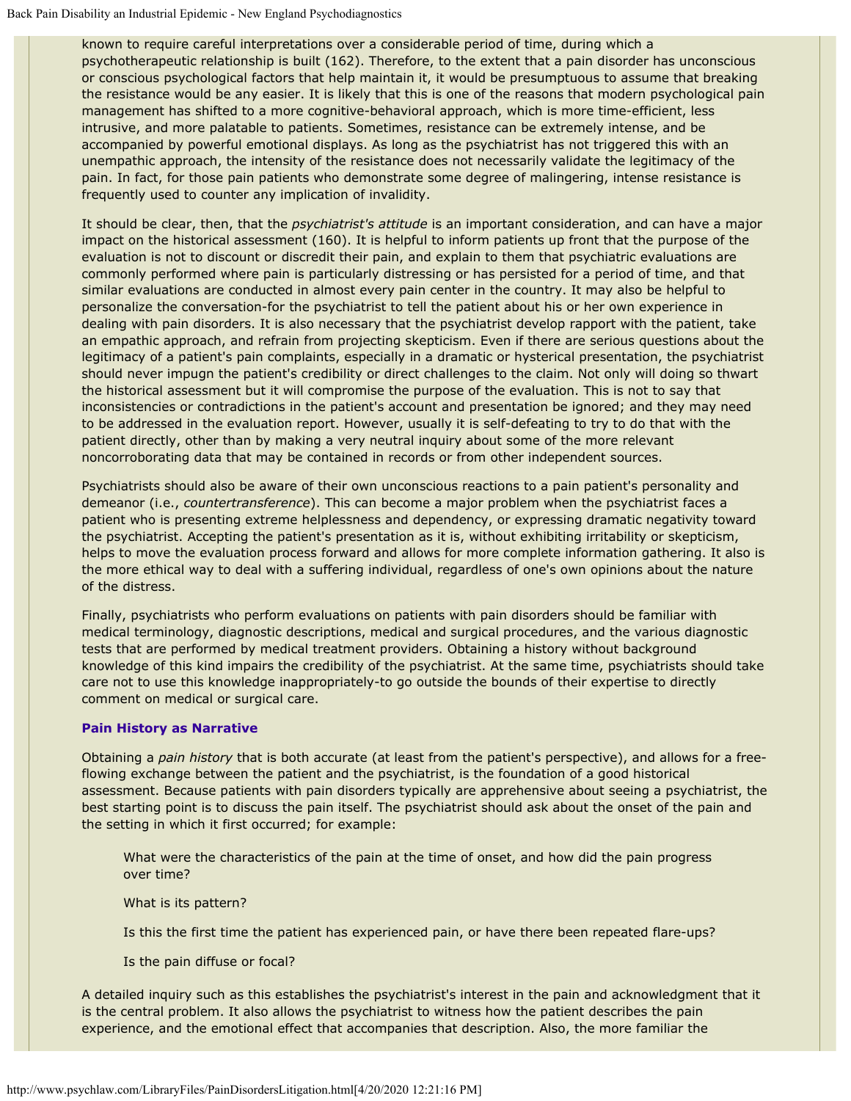known to require careful interpretations over a considerable period of time, during which a psychotherapeutic relationship is built (162). Therefore, to the extent that a pain disorder has unconscious or conscious psychological factors that help maintain it, it would be presumptuous to assume that breaking the resistance would be any easier. It is likely that this is one of the reasons that modern psychological pain management has shifted to a more cognitive-behavioral approach, which is more time-efficient, less intrusive, and more palatable to patients. Sometimes, resistance can be extremely intense, and be accompanied by powerful emotional displays. As long as the psychiatrist has not triggered this with an unempathic approach, the intensity of the resistance does not necessarily validate the legitimacy of the pain. In fact, for those pain patients who demonstrate some degree of malingering, intense resistance is frequently used to counter any implication of invalidity.

It should be clear, then, that the *psychiatrist's attitude* is an important consideration, and can have a major impact on the historical assessment (160). It is helpful to inform patients up front that the purpose of the evaluation is not to discount or discredit their pain, and explain to them that psychiatric evaluations are commonly performed where pain is particularly distressing or has persisted for a period of time, and that similar evaluations are conducted in almost every pain center in the country. It may also be helpful to personalize the conversation-for the psychiatrist to tell the patient about his or her own experience in dealing with pain disorders. It is also necessary that the psychiatrist develop rapport with the patient, take an empathic approach, and refrain from projecting skepticism. Even if there are serious questions about the legitimacy of a patient's pain complaints, especially in a dramatic or hysterical presentation, the psychiatrist should never impugn the patient's credibility or direct challenges to the claim. Not only will doing so thwart the historical assessment but it will compromise the purpose of the evaluation. This is not to say that inconsistencies or contradictions in the patient's account and presentation be ignored; and they may need to be addressed in the evaluation report. However, usually it is self-defeating to try to do that with the patient directly, other than by making a very neutral inquiry about some of the more relevant noncorroborating data that may be contained in records or from other independent sources.

Psychiatrists should also be aware of their own unconscious reactions to a pain patient's personality and demeanor (i.e., *countertransference*). This can become a major problem when the psychiatrist faces a patient who is presenting extreme helplessness and dependency, or expressing dramatic negativity toward the psychiatrist. Accepting the patient's presentation as it is, without exhibiting irritability or skepticism, helps to move the evaluation process forward and allows for more complete information gathering. It also is the more ethical way to deal with a suffering individual, regardless of one's own opinions about the nature of the distress.

Finally, psychiatrists who perform evaluations on patients with pain disorders should be familiar with medical terminology, diagnostic descriptions, medical and surgical procedures, and the various diagnostic tests that are performed by medical treatment providers. Obtaining a history without background knowledge of this kind impairs the credibility of the psychiatrist. At the same time, psychiatrists should take care not to use this knowledge inappropriately-to go outside the bounds of their expertise to directly comment on medical or surgical care.

### **Pain History as Narrative**

Obtaining a *pain history* that is both accurate (at least from the patient's perspective), and allows for a freeflowing exchange between the patient and the psychiatrist, is the foundation of a good historical assessment. Because patients with pain disorders typically are apprehensive about seeing a psychiatrist, the best starting point is to discuss the pain itself. The psychiatrist should ask about the onset of the pain and the setting in which it first occurred; for example:

What were the characteristics of the pain at the time of onset, and how did the pain progress over time?

What is its pattern?

Is this the first time the patient has experienced pain, or have there been repeated flare-ups?

Is the pain diffuse or focal?

A detailed inquiry such as this establishes the psychiatrist's interest in the pain and acknowledgment that it is the central problem. It also allows the psychiatrist to witness how the patient describes the pain experience, and the emotional effect that accompanies that description. Also, the more familiar the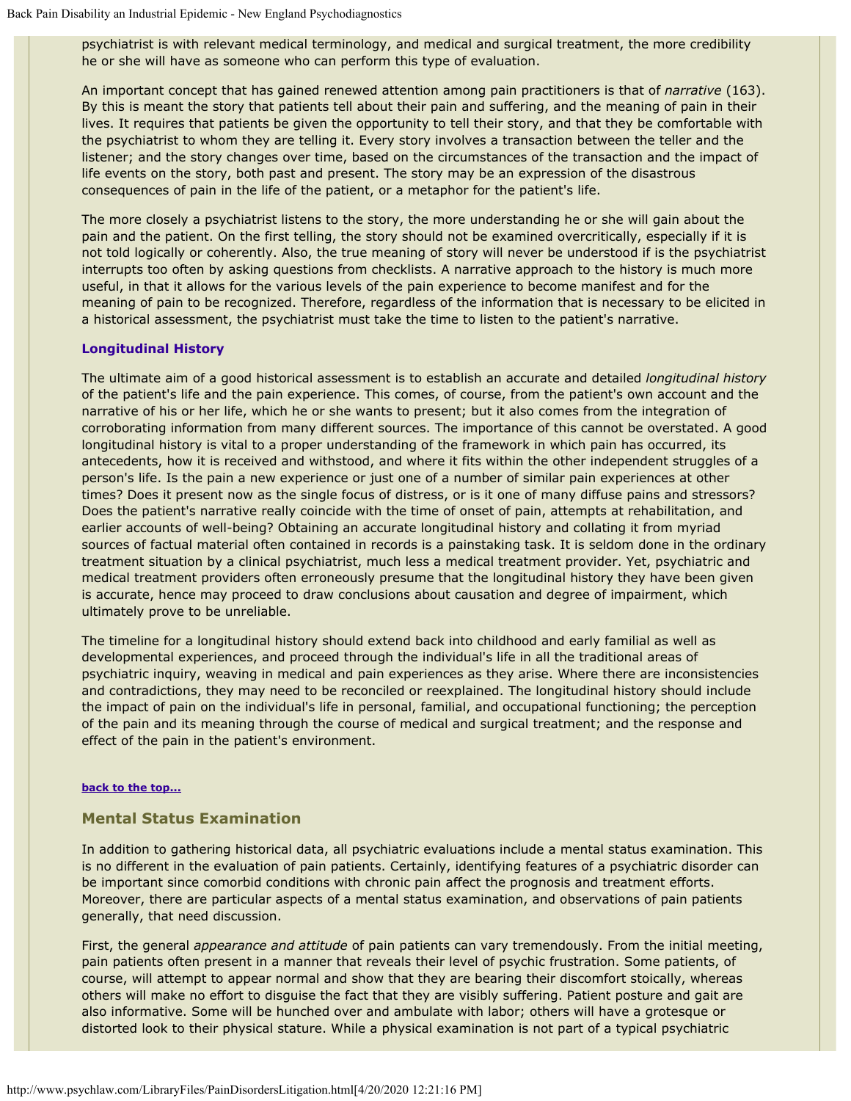psychiatrist is with relevant medical terminology, and medical and surgical treatment, the more credibility he or she will have as someone who can perform this type of evaluation.

An important concept that has gained renewed attention among pain practitioners is that of *narrative* (163). By this is meant the story that patients tell about their pain and suffering, and the meaning of pain in their lives. It requires that patients be given the opportunity to tell their story, and that they be comfortable with the psychiatrist to whom they are telling it. Every story involves a transaction between the teller and the listener; and the story changes over time, based on the circumstances of the transaction and the impact of life events on the story, both past and present. The story may be an expression of the disastrous consequences of pain in the life of the patient, or a metaphor for the patient's life.

The more closely a psychiatrist listens to the story, the more understanding he or she will gain about the pain and the patient. On the first telling, the story should not be examined overcritically, especially if it is not told logically or coherently. Also, the true meaning of story will never be understood if is the psychiatrist interrupts too often by asking questions from checklists. A narrative approach to the history is much more useful, in that it allows for the various levels of the pain experience to become manifest and for the meaning of pain to be recognized. Therefore, regardless of the information that is necessary to be elicited in a historical assessment, the psychiatrist must take the time to listen to the patient's narrative.

## **Longitudinal History**

The ultimate aim of a good historical assessment is to establish an accurate and detailed *longitudinal history* of the patient's life and the pain experience. This comes, of course, from the patient's own account and the narrative of his or her life, which he or she wants to present; but it also comes from the integration of corroborating information from many different sources. The importance of this cannot be overstated. A good longitudinal history is vital to a proper understanding of the framework in which pain has occurred, its antecedents, how it is received and withstood, and where it fits within the other independent struggles of a person's life. Is the pain a new experience or just one of a number of similar pain experiences at other times? Does it present now as the single focus of distress, or is it one of many diffuse pains and stressors? Does the patient's narrative really coincide with the time of onset of pain, attempts at rehabilitation, and earlier accounts of well-being? Obtaining an accurate longitudinal history and collating it from myriad sources of factual material often contained in records is a painstaking task. It is seldom done in the ordinary treatment situation by a clinical psychiatrist, much less a medical treatment provider. Yet, psychiatric and medical treatment providers often erroneously presume that the longitudinal history they have been given is accurate, hence may proceed to draw conclusions about causation and degree of impairment, which ultimately prove to be unreliable.

The timeline for a longitudinal history should extend back into childhood and early familial as well as developmental experiences, and proceed through the individual's life in all the traditional areas of psychiatric inquiry, weaving in medical and pain experiences as they arise. Where there are inconsistencies and contradictions, they may need to be reconciled or reexplained. The longitudinal history should include the impact of pain on the individual's life in personal, familial, and occupational functioning; the perception of the pain and its meaning through the course of medical and surgical treatment; and the response and effect of the pain in the patient's environment.

#### **[back to the top...](#page-0-1)**

### <span id="page-15-0"></span>**Mental Status Examination**

In addition to gathering historical data, all psychiatric evaluations include a mental status examination. This is no different in the evaluation of pain patients. Certainly, identifying features of a psychiatric disorder can be important since comorbid conditions with chronic pain affect the prognosis and treatment efforts. Moreover, there are particular aspects of a mental status examination, and observations of pain patients generally, that need discussion.

First, the general *appearance and attitude* of pain patients can vary tremendously. From the initial meeting, pain patients often present in a manner that reveals their level of psychic frustration. Some patients, of course, will attempt to appear normal and show that they are bearing their discomfort stoically, whereas others will make no effort to disguise the fact that they are visibly suffering. Patient posture and gait are also informative. Some will be hunched over and ambulate with labor; others will have a grotesque or distorted look to their physical stature. While a physical examination is not part of a typical psychiatric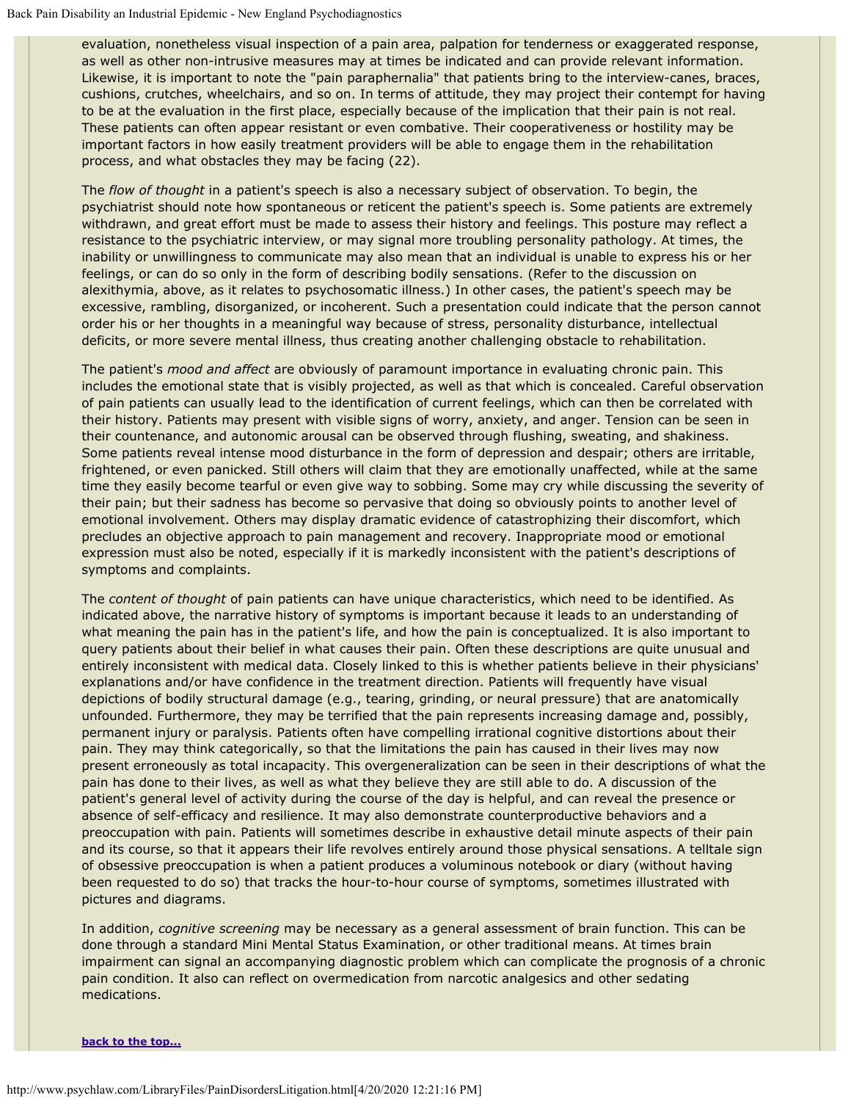evaluation, nonetheless visual inspection of a pain area, palpation for tenderness or exaggerated response, as well as other non-intrusive measures may at times be indicated and can provide relevant information. Likewise, it is important to note the "pain paraphernalia" that patients bring to the interview-canes, braces, cushions, crutches, wheelchairs, and so on. In terms of attitude, they may project their contempt for having to be at the evaluation in the first place, especially because of the implication that their pain is not real. These patients can often appear resistant or even combative. Their cooperativeness or hostility may be important factors in how easily treatment providers will be able to engage them in the rehabilitation process, and what obstacles they may be facing (22).

The *flow of thought* in a patient's speech is also a necessary subject of observation. To begin, the psychiatrist should note how spontaneous or reticent the patient's speech is. Some patients are extremely withdrawn, and great effort must be made to assess their history and feelings. This posture may reflect a resistance to the psychiatric interview, or may signal more troubling personality pathology. At times, the inability or unwillingness to communicate may also mean that an individual is unable to express his or her feelings, or can do so only in the form of describing bodily sensations. (Refer to the discussion on alexithymia, above, as it relates to psychosomatic illness.) In other cases, the patient's speech may be excessive, rambling, disorganized, or incoherent. Such a presentation could indicate that the person cannot order his or her thoughts in a meaningful way because of stress, personality disturbance, intellectual deficits, or more severe mental illness, thus creating another challenging obstacle to rehabilitation.

The patient's *mood and affect* are obviously of paramount importance in evaluating chronic pain. This includes the emotional state that is visibly projected, as well as that which is concealed. Careful observation of pain patients can usually lead to the identification of current feelings, which can then be correlated with their history. Patients may present with visible signs of worry, anxiety, and anger. Tension can be seen in their countenance, and autonomic arousal can be observed through flushing, sweating, and shakiness. Some patients reveal intense mood disturbance in the form of depression and despair; others are irritable, frightened, or even panicked. Still others will claim that they are emotionally unaffected, while at the same time they easily become tearful or even give way to sobbing. Some may cry while discussing the severity of their pain; but their sadness has become so pervasive that doing so obviously points to another level of emotional involvement. Others may display dramatic evidence of catastrophizing their discomfort, which precludes an objective approach to pain management and recovery. Inappropriate mood or emotional expression must also be noted, especially if it is markedly inconsistent with the patient's descriptions of symptoms and complaints.

The *content of thought* of pain patients can have unique characteristics, which need to be identified. As indicated above, the narrative history of symptoms is important because it leads to an understanding of what meaning the pain has in the patient's life, and how the pain is conceptualized. It is also important to query patients about their belief in what causes their pain. Often these descriptions are quite unusual and entirely inconsistent with medical data. Closely linked to this is whether patients believe in their physicians' explanations and/or have confidence in the treatment direction. Patients will frequently have visual depictions of bodily structural damage (e.g., tearing, grinding, or neural pressure) that are anatomically unfounded. Furthermore, they may be terrified that the pain represents increasing damage and, possibly, permanent injury or paralysis. Patients often have compelling irrational cognitive distortions about their pain. They may think categorically, so that the limitations the pain has caused in their lives may now present erroneously as total incapacity. This overgeneralization can be seen in their descriptions of what the pain has done to their lives, as well as what they believe they are still able to do. A discussion of the patient's general level of activity during the course of the day is helpful, and can reveal the presence or absence of self-efficacy and resilience. It may also demonstrate counterproductive behaviors and a preoccupation with pain. Patients will sometimes describe in exhaustive detail minute aspects of their pain and its course, so that it appears their life revolves entirely around those physical sensations. A telltale sign of obsessive preoccupation is when a patient produces a voluminous notebook or diary (without having been requested to do so) that tracks the hour-to-hour course of symptoms, sometimes illustrated with pictures and diagrams.

In addition, *cognitive screening* may be necessary as a general assessment of brain function. This can be done through a standard Mini Mental Status Examination, or other traditional means. At times brain impairment can signal an accompanying diagnostic problem which can complicate the prognosis of a chronic pain condition. It also can reflect on overmedication from narcotic analgesics and other sedating medications.

**[back to the top...](#page-0-1)**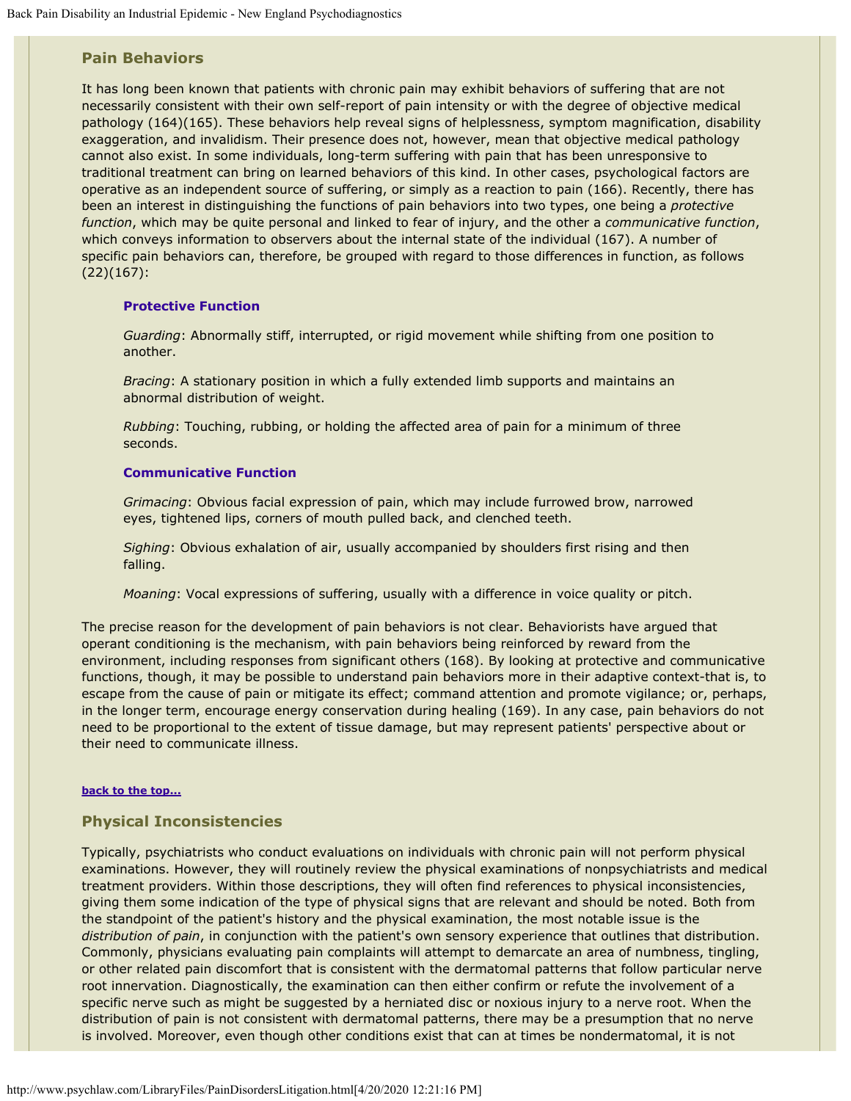## <span id="page-17-0"></span>**Pain Behaviors**

It has long been known that patients with chronic pain may exhibit behaviors of suffering that are not necessarily consistent with their own self-report of pain intensity or with the degree of objective medical pathology (164)(165). These behaviors help reveal signs of helplessness, symptom magnification, disability exaggeration, and invalidism. Their presence does not, however, mean that objective medical pathology cannot also exist. In some individuals, long-term suffering with pain that has been unresponsive to traditional treatment can bring on learned behaviors of this kind. In other cases, psychological factors are operative as an independent source of suffering, or simply as a reaction to pain (166). Recently, there has been an interest in distinguishing the functions of pain behaviors into two types, one being a *protective function*, which may be quite personal and linked to fear of injury, and the other a *communicative function*, which conveys information to observers about the internal state of the individual (167). A number of specific pain behaviors can, therefore, be grouped with regard to those differences in function, as follows (22)(167):

#### **Protective Function**

*Guarding*: Abnormally stiff, interrupted, or rigid movement while shifting from one position to another.

*Bracing*: A stationary position in which a fully extended limb supports and maintains an abnormal distribution of weight.

*Rubbing*: Touching, rubbing, or holding the affected area of pain for a minimum of three seconds.

#### **Communicative Function**

*Grimacing*: Obvious facial expression of pain, which may include furrowed brow, narrowed eyes, tightened lips, corners of mouth pulled back, and clenched teeth.

*Sighing*: Obvious exhalation of air, usually accompanied by shoulders first rising and then falling.

*Moaning*: Vocal expressions of suffering, usually with a difference in voice quality or pitch.

The precise reason for the development of pain behaviors is not clear. Behaviorists have argued that operant conditioning is the mechanism, with pain behaviors being reinforced by reward from the environment, including responses from significant others (168). By looking at protective and communicative functions, though, it may be possible to understand pain behaviors more in their adaptive context-that is, to escape from the cause of pain or mitigate its effect; command attention and promote vigilance; or, perhaps, in the longer term, encourage energy conservation during healing (169). In any case, pain behaviors do not need to be proportional to the extent of tissue damage, but may represent patients' perspective about or their need to communicate illness.

#### **[back to the top...](#page-0-1)**

#### <span id="page-17-1"></span>**Physical Inconsistencies**

Typically, psychiatrists who conduct evaluations on individuals with chronic pain will not perform physical examinations. However, they will routinely review the physical examinations of nonpsychiatrists and medical treatment providers. Within those descriptions, they will often find references to physical inconsistencies, giving them some indication of the type of physical signs that are relevant and should be noted. Both from the standpoint of the patient's history and the physical examination, the most notable issue is the *distribution of pain*, in conjunction with the patient's own sensory experience that outlines that distribution. Commonly, physicians evaluating pain complaints will attempt to demarcate an area of numbness, tingling, or other related pain discomfort that is consistent with the dermatomal patterns that follow particular nerve root innervation. Diagnostically, the examination can then either confirm or refute the involvement of a specific nerve such as might be suggested by a herniated disc or noxious injury to a nerve root. When the distribution of pain is not consistent with dermatomal patterns, there may be a presumption that no nerve is involved. Moreover, even though other conditions exist that can at times be nondermatomal, it is not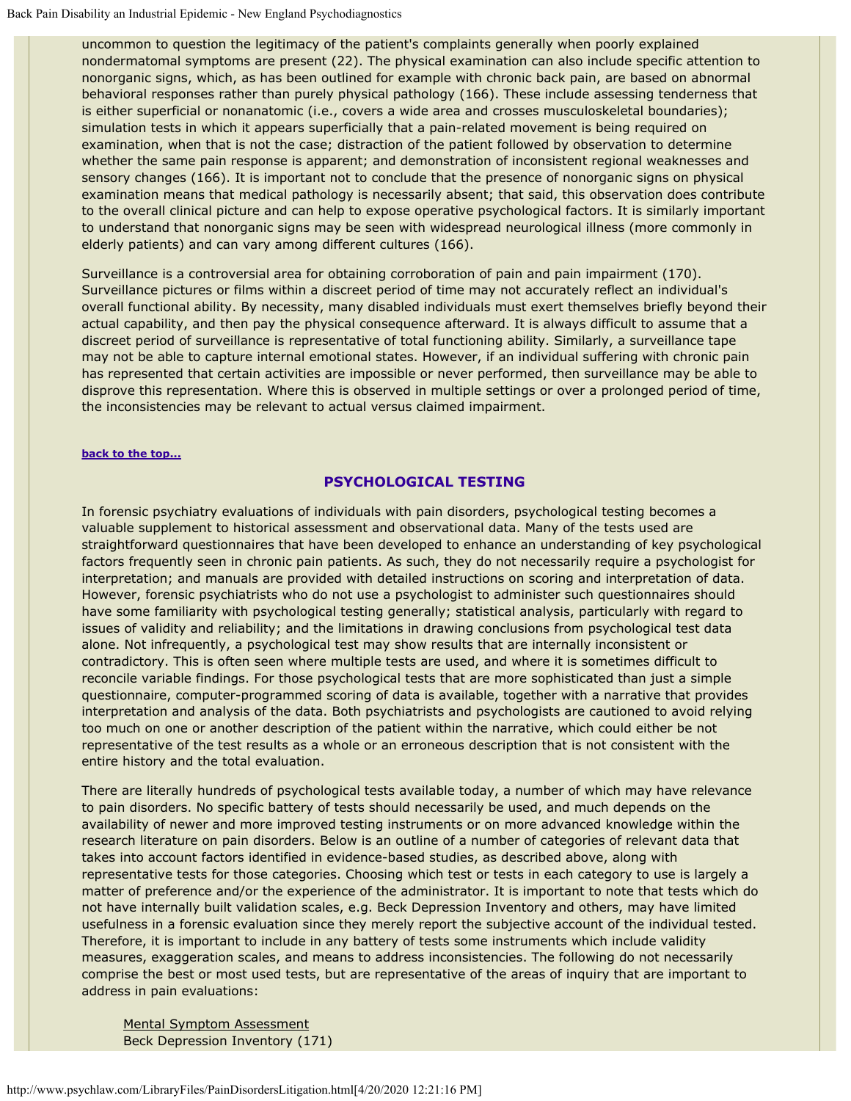uncommon to question the legitimacy of the patient's complaints generally when poorly explained nondermatomal symptoms are present (22). The physical examination can also include specific attention to nonorganic signs, which, as has been outlined for example with chronic back pain, are based on abnormal behavioral responses rather than purely physical pathology (166). These include assessing tenderness that is either superficial or nonanatomic (i.e., covers a wide area and crosses musculoskeletal boundaries); simulation tests in which it appears superficially that a pain-related movement is being required on examination, when that is not the case; distraction of the patient followed by observation to determine whether the same pain response is apparent; and demonstration of inconsistent regional weaknesses and sensory changes (166). It is important not to conclude that the presence of nonorganic signs on physical examination means that medical pathology is necessarily absent; that said, this observation does contribute to the overall clinical picture and can help to expose operative psychological factors. It is similarly important to understand that nonorganic signs may be seen with widespread neurological illness (more commonly in elderly patients) and can vary among different cultures (166).

Surveillance is a controversial area for obtaining corroboration of pain and pain impairment (170). Surveillance pictures or films within a discreet period of time may not accurately reflect an individual's overall functional ability. By necessity, many disabled individuals must exert themselves briefly beyond their actual capability, and then pay the physical consequence afterward. It is always difficult to assume that a discreet period of surveillance is representative of total functioning ability. Similarly, a surveillance tape may not be able to capture internal emotional states. However, if an individual suffering with chronic pain has represented that certain activities are impossible or never performed, then surveillance may be able to disprove this representation. Where this is observed in multiple settings or over a prolonged period of time, the inconsistencies may be relevant to actual versus claimed impairment.

#### **[back to the top...](#page-0-1)**

### **PSYCHOLOGICAL TESTING**

In forensic psychiatry evaluations of individuals with pain disorders, psychological testing becomes a valuable supplement to historical assessment and observational data. Many of the tests used are straightforward questionnaires that have been developed to enhance an understanding of key psychological factors frequently seen in chronic pain patients. As such, they do not necessarily require a psychologist for interpretation; and manuals are provided with detailed instructions on scoring and interpretation of data. However, forensic psychiatrists who do not use a psychologist to administer such questionnaires should have some familiarity with psychological testing generally; statistical analysis, particularly with regard to issues of validity and reliability; and the limitations in drawing conclusions from psychological test data alone. Not infrequently, a psychological test may show results that are internally inconsistent or contradictory. This is often seen where multiple tests are used, and where it is sometimes difficult to reconcile variable findings. For those psychological tests that are more sophisticated than just a simple questionnaire, computer-programmed scoring of data is available, together with a narrative that provides interpretation and analysis of the data. Both psychiatrists and psychologists are cautioned to avoid relying too much on one or another description of the patient within the narrative, which could either be not representative of the test results as a whole or an erroneous description that is not consistent with the entire history and the total evaluation.

There are literally hundreds of psychological tests available today, a number of which may have relevance to pain disorders. No specific battery of tests should necessarily be used, and much depends on the availability of newer and more improved testing instruments or on more advanced knowledge within the research literature on pain disorders. Below is an outline of a number of categories of relevant data that takes into account factors identified in evidence-based studies, as described above, along with representative tests for those categories. Choosing which test or tests in each category to use is largely a matter of preference and/or the experience of the administrator. It is important to note that tests which do not have internally built validation scales, e.g. Beck Depression Inventory and others, may have limited usefulness in a forensic evaluation since they merely report the subjective account of the individual tested. Therefore, it is important to include in any battery of tests some instruments which include validity measures, exaggeration scales, and means to address inconsistencies. The following do not necessarily comprise the best or most used tests, but are representative of the areas of inquiry that are important to address in pain evaluations:

Mental Symptom Assessment Beck Depression Inventory (171)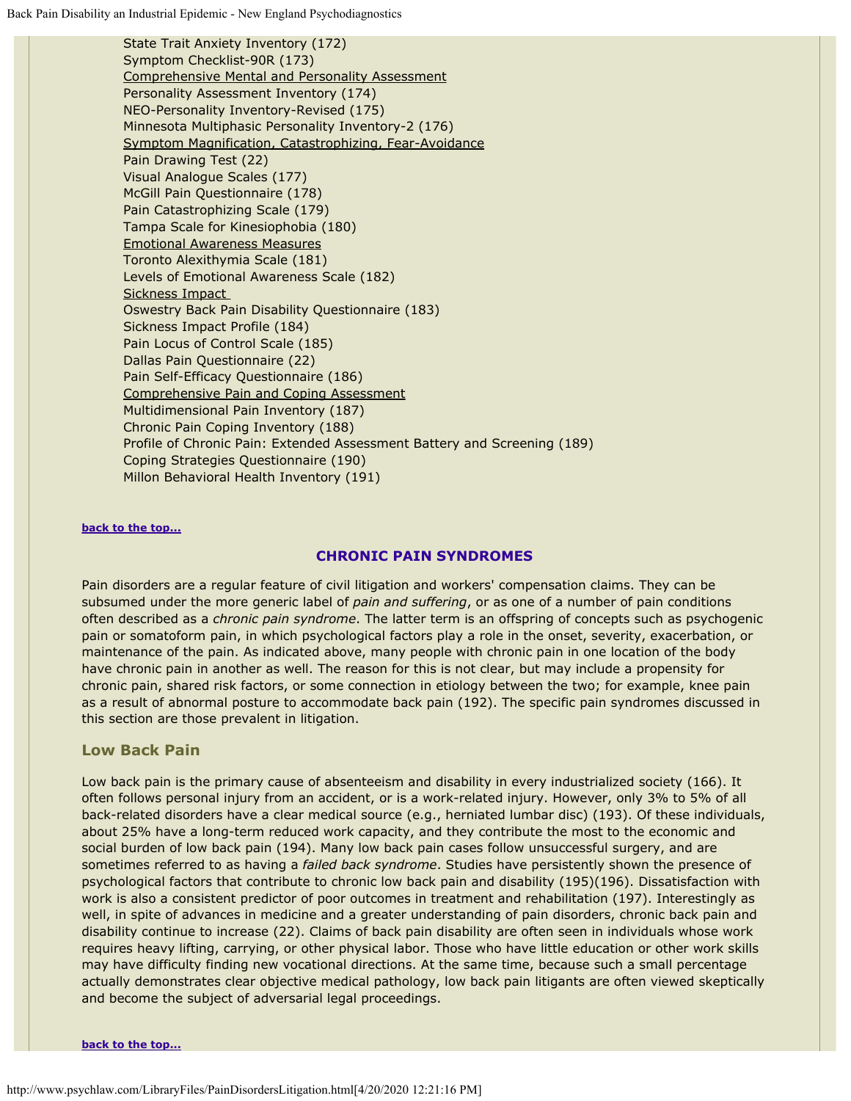State Trait Anxiety Inventory (172) Symptom Checklist-90R (173) Comprehensive Mental and Personality Assessment Personality Assessment Inventory (174) NEO-Personality Inventory-Revised (175) Minnesota Multiphasic Personality Inventory-2 (176) Symptom Magnification, Catastrophizing, Fear-Avoidance Pain Drawing Test (22) Visual Analogue Scales (177) McGill Pain Questionnaire (178) Pain Catastrophizing Scale (179) Tampa Scale for Kinesiophobia (180) Emotional Awareness Measures Toronto Alexithymia Scale (181) Levels of Emotional Awareness Scale (182) Sickness Impact Oswestry Back Pain Disability Questionnaire (183) Sickness Impact Profile (184) Pain Locus of Control Scale (185) Dallas Pain Questionnaire (22) Pain Self-Efficacy Questionnaire (186) Comprehensive Pain and Coping Assessment Multidimensional Pain Inventory (187) Chronic Pain Coping Inventory (188) Profile of Chronic Pain: Extended Assessment Battery and Screening (189) Coping Strategies Questionnaire (190) Millon Behavioral Health Inventory (191)

#### **[back to the top...](#page-0-1)**

#### **CHRONIC PAIN SYNDROMES**

Pain disorders are a regular feature of civil litigation and workers' compensation claims. They can be subsumed under the more generic label of *pain and suffering*, or as one of a number of pain conditions often described as a *chronic pain syndrome*. The latter term is an offspring of concepts such as psychogenic pain or somatoform pain, in which psychological factors play a role in the onset, severity, exacerbation, or maintenance of the pain. As indicated above, many people with chronic pain in one location of the body have chronic pain in another as well. The reason for this is not clear, but may include a propensity for chronic pain, shared risk factors, or some connection in etiology between the two; for example, knee pain as a result of abnormal posture to accommodate back pain (192). The specific pain syndromes discussed in this section are those prevalent in litigation.

#### <span id="page-19-0"></span>**Low Back Pain**

Low back pain is the primary cause of absenteeism and disability in every industrialized society (166). It often follows personal injury from an accident, or is a work-related injury. However, only 3% to 5% of all back-related disorders have a clear medical source (e.g., herniated lumbar disc) (193). Of these individuals, about 25% have a long-term reduced work capacity, and they contribute the most to the economic and social burden of low back pain (194). Many low back pain cases follow unsuccessful surgery, and are sometimes referred to as having a *failed back syndrome*. Studies have persistently shown the presence of psychological factors that contribute to chronic low back pain and disability (195)(196). Dissatisfaction with work is also a consistent predictor of poor outcomes in treatment and rehabilitation (197). Interestingly as well, in spite of advances in medicine and a greater understanding of pain disorders, chronic back pain and disability continue to increase (22). Claims of back pain disability are often seen in individuals whose work requires heavy lifting, carrying, or other physical labor. Those who have little education or other work skills may have difficulty finding new vocational directions. At the same time, because such a small percentage actually demonstrates clear objective medical pathology, low back pain litigants are often viewed skeptically and become the subject of adversarial legal proceedings.

**[back to the top...](#page-0-1)**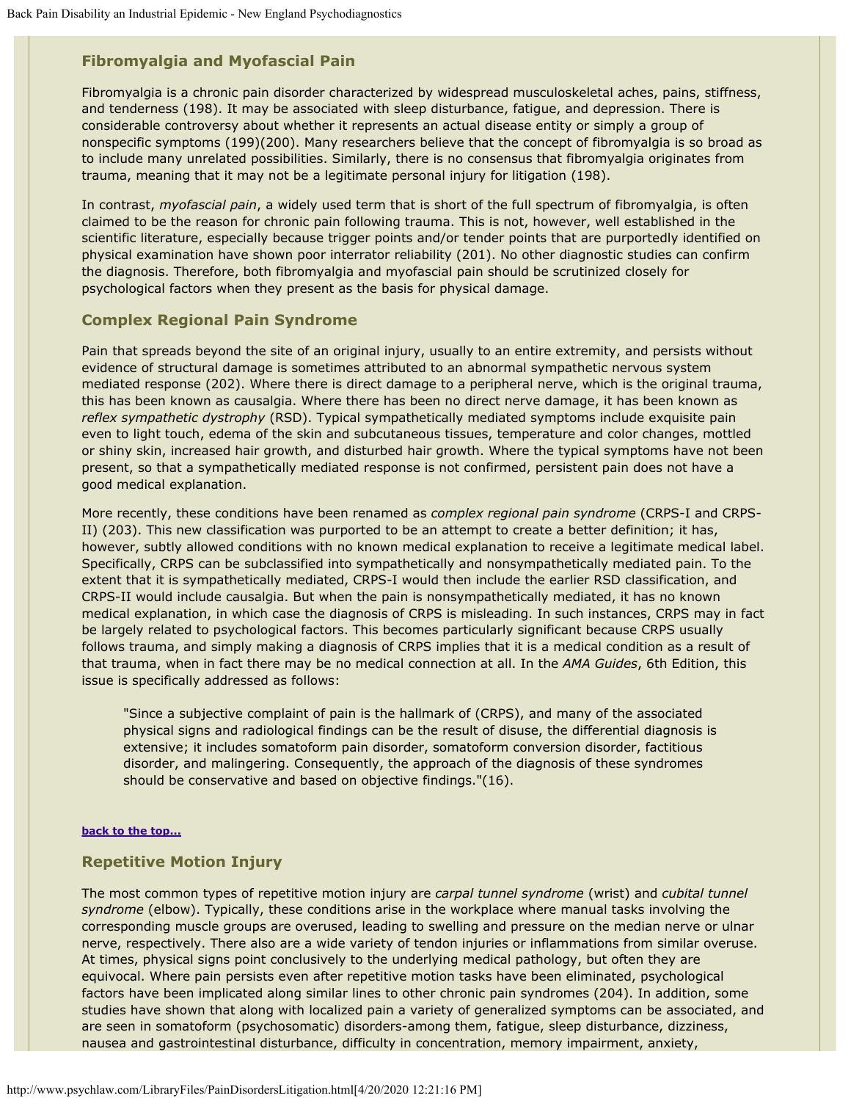# <span id="page-20-0"></span>**Fibromyalgia and Myofascial Pain**

Fibromyalgia is a chronic pain disorder characterized by widespread musculoskeletal aches, pains, stiffness, and tenderness (198). It may be associated with sleep disturbance, fatigue, and depression. There is considerable controversy about whether it represents an actual disease entity or simply a group of nonspecific symptoms (199)(200). Many researchers believe that the concept of fibromyalgia is so broad as to include many unrelated possibilities. Similarly, there is no consensus that fibromyalgia originates from trauma, meaning that it may not be a legitimate personal injury for litigation (198).

In contrast, *myofascial pain*, a widely used term that is short of the full spectrum of fibromyalgia, is often claimed to be the reason for chronic pain following trauma. This is not, however, well established in the scientific literature, especially because trigger points and/or tender points that are purportedly identified on physical examination have shown poor interrator reliability (201). No other diagnostic studies can confirm the diagnosis. Therefore, both fibromyalgia and myofascial pain should be scrutinized closely for psychological factors when they present as the basis for physical damage.

## <span id="page-20-1"></span>**Complex Regional Pain Syndrome**

Pain that spreads beyond the site of an original injury, usually to an entire extremity, and persists without evidence of structural damage is sometimes attributed to an abnormal sympathetic nervous system mediated response (202). Where there is direct damage to a peripheral nerve, which is the original trauma, this has been known as causalgia. Where there has been no direct nerve damage, it has been known as *reflex sympathetic dystrophy* (RSD). Typical sympathetically mediated symptoms include exquisite pain even to light touch, edema of the skin and subcutaneous tissues, temperature and color changes, mottled or shiny skin, increased hair growth, and disturbed hair growth. Where the typical symptoms have not been present, so that a sympathetically mediated response is not confirmed, persistent pain does not have a good medical explanation.

More recently, these conditions have been renamed as *complex regional pain syndrome* (CRPS-I and CRPS-II) (203). This new classification was purported to be an attempt to create a better definition; it has, however, subtly allowed conditions with no known medical explanation to receive a legitimate medical label. Specifically, CRPS can be subclassified into sympathetically and nonsympathetically mediated pain. To the extent that it is sympathetically mediated, CRPS-I would then include the earlier RSD classification, and CRPS-II would include causalgia. But when the pain is nonsympathetically mediated, it has no known medical explanation, in which case the diagnosis of CRPS is misleading. In such instances, CRPS may in fact be largely related to psychological factors. This becomes particularly significant because CRPS usually follows trauma, and simply making a diagnosis of CRPS implies that it is a medical condition as a result of that trauma, when in fact there may be no medical connection at all. In the *AMA Guides*, 6th Edition, this issue is specifically addressed as follows:

"Since a subjective complaint of pain is the hallmark of (CRPS), and many of the associated physical signs and radiological findings can be the result of disuse, the differential diagnosis is extensive; it includes somatoform pain disorder, somatoform conversion disorder, factitious disorder, and malingering. Consequently, the approach of the diagnosis of these syndromes should be conservative and based on objective findings."(16).

### **[back to the top...](#page-0-1)**

## <span id="page-20-2"></span>**Repetitive Motion Injury**

The most common types of repetitive motion injury are *carpal tunnel syndrome* (wrist) and *cubital tunnel syndrome* (elbow). Typically, these conditions arise in the workplace where manual tasks involving the corresponding muscle groups are overused, leading to swelling and pressure on the median nerve or ulnar nerve, respectively. There also are a wide variety of tendon injuries or inflammations from similar overuse. At times, physical signs point conclusively to the underlying medical pathology, but often they are equivocal. Where pain persists even after repetitive motion tasks have been eliminated, psychological factors have been implicated along similar lines to other chronic pain syndromes (204). In addition, some studies have shown that along with localized pain a variety of generalized symptoms can be associated, and are seen in somatoform (psychosomatic) disorders-among them, fatigue, sleep disturbance, dizziness, nausea and gastrointestinal disturbance, difficulty in concentration, memory impairment, anxiety,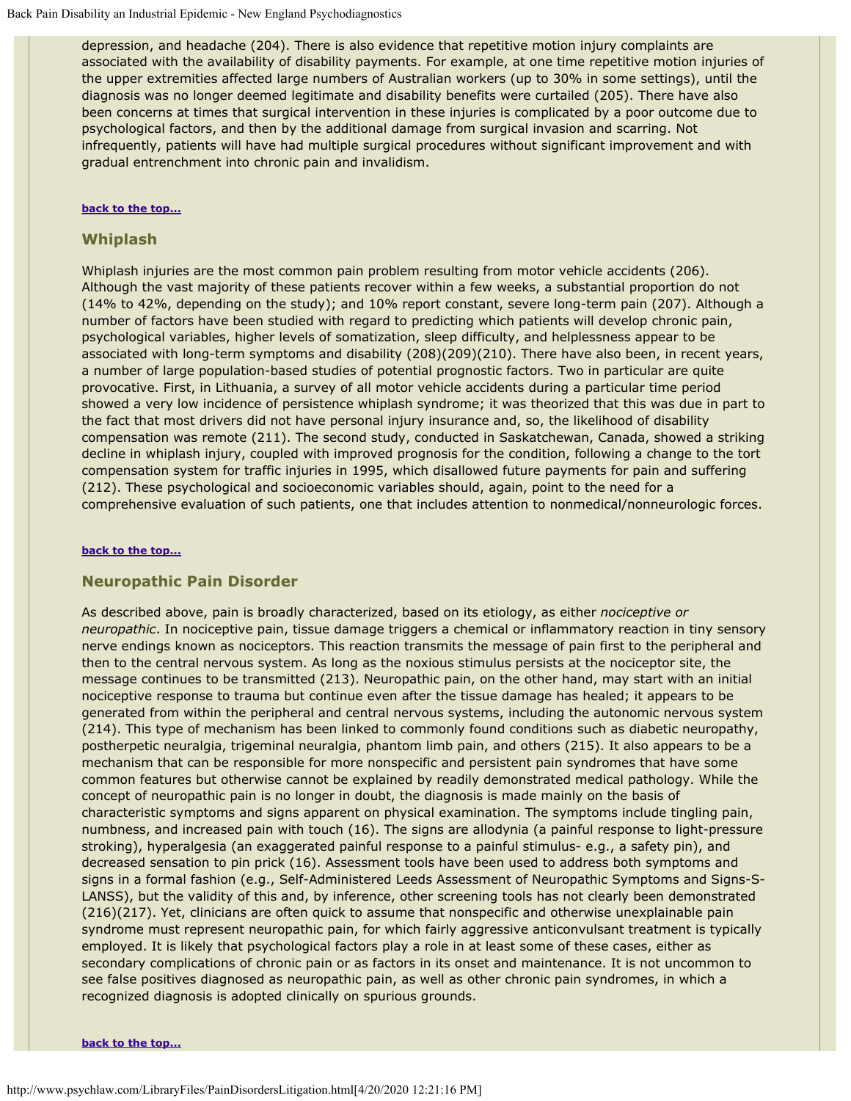depression, and headache (204). There is also evidence that repetitive motion injury complaints are associated with the availability of disability payments. For example, at one time repetitive motion injuries of the upper extremities affected large numbers of Australian workers (up to 30% in some settings), until the diagnosis was no longer deemed legitimate and disability benefits were curtailed (205). There have also been concerns at times that surgical intervention in these injuries is complicated by a poor outcome due to psychological factors, and then by the additional damage from surgical invasion and scarring. Not infrequently, patients will have had multiple surgical procedures without significant improvement and with gradual entrenchment into chronic pain and invalidism.

#### **[back to the top...](#page-0-1)**

#### <span id="page-21-0"></span>**Whiplash**

Whiplash injuries are the most common pain problem resulting from motor vehicle accidents (206). Although the vast majority of these patients recover within a few weeks, a substantial proportion do not (14% to 42%, depending on the study); and 10% report constant, severe long-term pain (207). Although a number of factors have been studied with regard to predicting which patients will develop chronic pain, psychological variables, higher levels of somatization, sleep difficulty, and helplessness appear to be associated with long-term symptoms and disability (208)(209)(210). There have also been, in recent years, a number of large population-based studies of potential prognostic factors. Two in particular are quite provocative. First, in Lithuania, a survey of all motor vehicle accidents during a particular time period showed a very low incidence of persistence whiplash syndrome; it was theorized that this was due in part to the fact that most drivers did not have personal injury insurance and, so, the likelihood of disability compensation was remote (211). The second study, conducted in Saskatchewan, Canada, showed a striking decline in whiplash injury, coupled with improved prognosis for the condition, following a change to the tort compensation system for traffic injuries in 1995, which disallowed future payments for pain and suffering (212). These psychological and socioeconomic variables should, again, point to the need for a comprehensive evaluation of such patients, one that includes attention to nonmedical/nonneurologic forces.

#### **[back to the top...](#page-0-1)**

#### <span id="page-21-1"></span>**Neuropathic Pain Disorder**

As described above, pain is broadly characterized, based on its etiology, as either *nociceptive or neuropathic*. In nociceptive pain, tissue damage triggers a chemical or inflammatory reaction in tiny sensory nerve endings known as nociceptors. This reaction transmits the message of pain first to the peripheral and then to the central nervous system. As long as the noxious stimulus persists at the nociceptor site, the message continues to be transmitted (213). Neuropathic pain, on the other hand, may start with an initial nociceptive response to trauma but continue even after the tissue damage has healed; it appears to be generated from within the peripheral and central nervous systems, including the autonomic nervous system (214). This type of mechanism has been linked to commonly found conditions such as diabetic neuropathy, postherpetic neuralgia, trigeminal neuralgia, phantom limb pain, and others (215). It also appears to be a mechanism that can be responsible for more nonspecific and persistent pain syndromes that have some common features but otherwise cannot be explained by readily demonstrated medical pathology. While the concept of neuropathic pain is no longer in doubt, the diagnosis is made mainly on the basis of characteristic symptoms and signs apparent on physical examination. The symptoms include tingling pain, numbness, and increased pain with touch (16). The signs are allodynia (a painful response to light-pressure stroking), hyperalgesia (an exaggerated painful response to a painful stimulus- e.g., a safety pin), and decreased sensation to pin prick (16). Assessment tools have been used to address both symptoms and signs in a formal fashion (e.g., Self-Administered Leeds Assessment of Neuropathic Symptoms and Signs-S-LANSS), but the validity of this and, by inference, other screening tools has not clearly been demonstrated (216)(217). Yet, clinicians are often quick to assume that nonspecific and otherwise unexplainable pain syndrome must represent neuropathic pain, for which fairly aggressive anticonvulsant treatment is typically employed. It is likely that psychological factors play a role in at least some of these cases, either as secondary complications of chronic pain or as factors in its onset and maintenance. It is not uncommon to see false positives diagnosed as neuropathic pain, as well as other chronic pain syndromes, in which a recognized diagnosis is adopted clinically on spurious grounds.

**[back to the top...](#page-0-1)**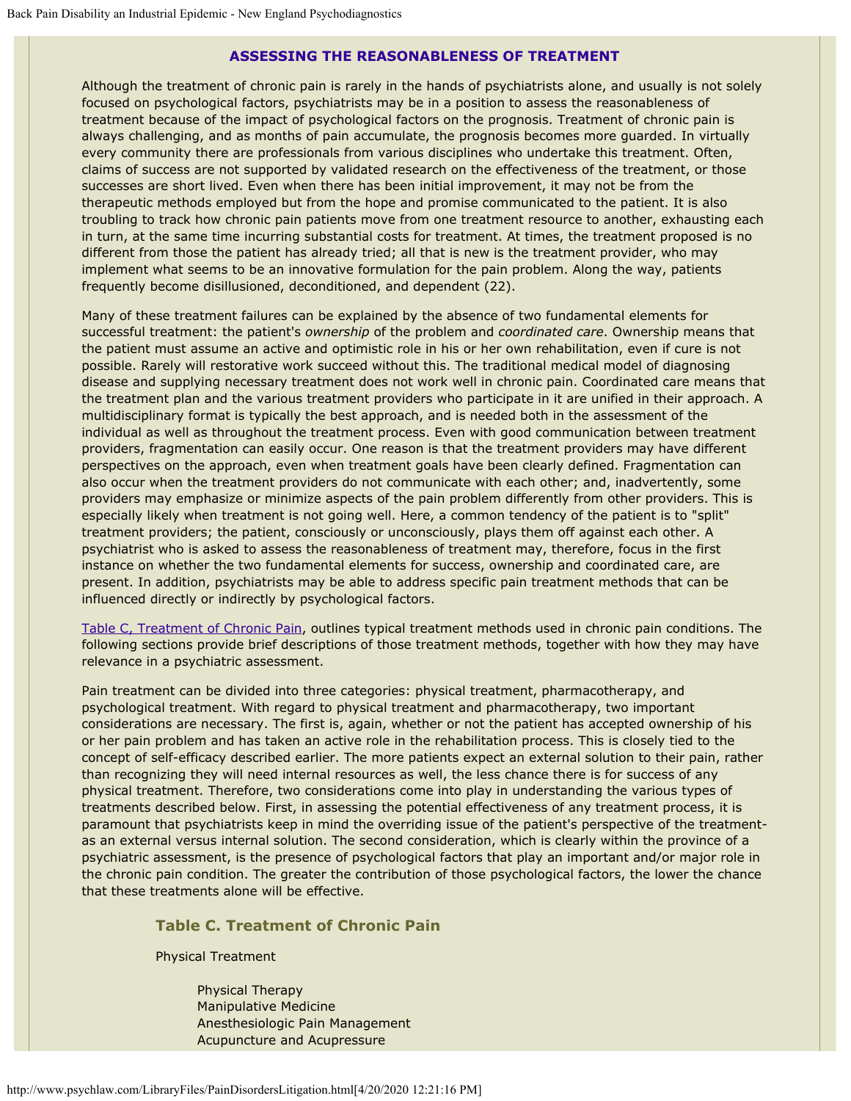#### **ASSESSING THE REASONABLENESS OF TREATMENT**

Although the treatment of chronic pain is rarely in the hands of psychiatrists alone, and usually is not solely focused on psychological factors, psychiatrists may be in a position to assess the reasonableness of treatment because of the impact of psychological factors on the prognosis. Treatment of chronic pain is always challenging, and as months of pain accumulate, the prognosis becomes more guarded. In virtually every community there are professionals from various disciplines who undertake this treatment. Often, claims of success are not supported by validated research on the effectiveness of the treatment, or those successes are short lived. Even when there has been initial improvement, it may not be from the therapeutic methods employed but from the hope and promise communicated to the patient. It is also troubling to track how chronic pain patients move from one treatment resource to another, exhausting each in turn, at the same time incurring substantial costs for treatment. At times, the treatment proposed is no different from those the patient has already tried; all that is new is the treatment provider, who may implement what seems to be an innovative formulation for the pain problem. Along the way, patients frequently become disillusioned, deconditioned, and dependent (22).

Many of these treatment failures can be explained by the absence of two fundamental elements for successful treatment: the patient's *ownership* of the problem and *coordinated care*. Ownership means that the patient must assume an active and optimistic role in his or her own rehabilitation, even if cure is not possible. Rarely will restorative work succeed without this. The traditional medical model of diagnosing disease and supplying necessary treatment does not work well in chronic pain. Coordinated care means that the treatment plan and the various treatment providers who participate in it are unified in their approach. A multidisciplinary format is typically the best approach, and is needed both in the assessment of the individual as well as throughout the treatment process. Even with good communication between treatment providers, fragmentation can easily occur. One reason is that the treatment providers may have different perspectives on the approach, even when treatment goals have been clearly defined. Fragmentation can also occur when the treatment providers do not communicate with each other; and, inadvertently, some providers may emphasize or minimize aspects of the pain problem differently from other providers. This is especially likely when treatment is not going well. Here, a common tendency of the patient is to "split" treatment providers; the patient, consciously or unconsciously, plays them off against each other. A psychiatrist who is asked to assess the reasonableness of treatment may, therefore, focus in the first instance on whether the two fundamental elements for success, ownership and coordinated care, are present. In addition, psychiatrists may be able to address specific pain treatment methods that can be influenced directly or indirectly by psychological factors.

[Table C, Treatment of Chronic Pain](#page-22-0), outlines typical treatment methods used in chronic pain conditions. The following sections provide brief descriptions of those treatment methods, together with how they may have relevance in a psychiatric assessment.

Pain treatment can be divided into three categories: physical treatment, pharmacotherapy, and psychological treatment. With regard to physical treatment and pharmacotherapy, two important considerations are necessary. The first is, again, whether or not the patient has accepted ownership of his or her pain problem and has taken an active role in the rehabilitation process. This is closely tied to the concept of self-efficacy described earlier. The more patients expect an external solution to their pain, rather than recognizing they will need internal resources as well, the less chance there is for success of any physical treatment. Therefore, two considerations come into play in understanding the various types of treatments described below. First, in assessing the potential effectiveness of any treatment process, it is paramount that psychiatrists keep in mind the overriding issue of the patient's perspective of the treatmentas an external versus internal solution. The second consideration, which is clearly within the province of a psychiatric assessment, is the presence of psychological factors that play an important and/or major role in the chronic pain condition. The greater the contribution of those psychological factors, the lower the chance that these treatments alone will be effective.

## <span id="page-22-0"></span>**Table C. Treatment of Chronic Pain**

Physical Treatment

Physical Therapy Manipulative Medicine Anesthesiologic Pain Management Acupuncture and Acupressure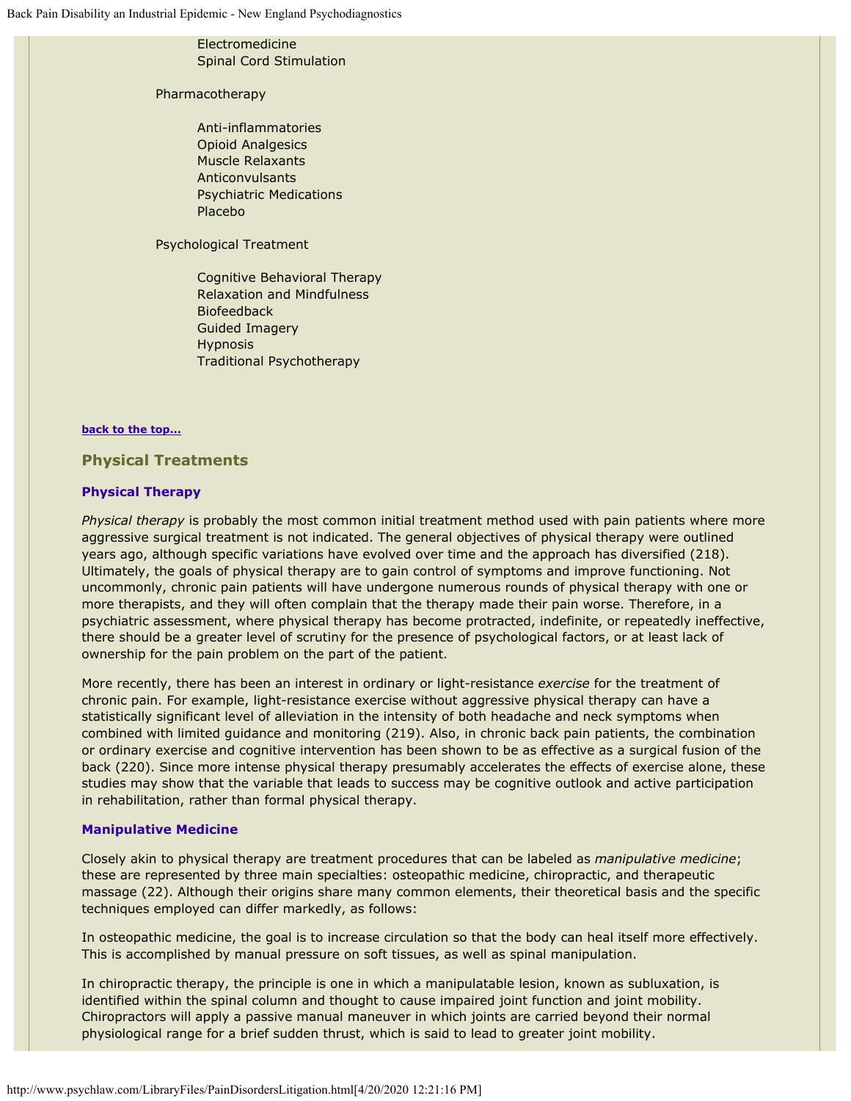## Electromedicine Spinal Cord Stimulation

#### Pharmacotherapy

Anti-inflammatories Opioid Analgesics Muscle Relaxants Anticonvulsants Psychiatric Medications Placebo

Psychological Treatment

Cognitive Behavioral Therapy Relaxation and Mindfulness Biofeedback Guided Imagery Hypnosis Traditional Psychotherapy

#### **[back to the top...](#page-0-1)**

<span id="page-23-0"></span>**Physical Treatments**

### **Physical Therapy**

*Physical therapy* is probably the most common initial treatment method used with pain patients where more aggressive surgical treatment is not indicated. The general objectives of physical therapy were outlined years ago, although specific variations have evolved over time and the approach has diversified (218). Ultimately, the goals of physical therapy are to gain control of symptoms and improve functioning. Not uncommonly, chronic pain patients will have undergone numerous rounds of physical therapy with one or more therapists, and they will often complain that the therapy made their pain worse. Therefore, in a psychiatric assessment, where physical therapy has become protracted, indefinite, or repeatedly ineffective, there should be a greater level of scrutiny for the presence of psychological factors, or at least lack of ownership for the pain problem on the part of the patient.

More recently, there has been an interest in ordinary or light-resistance *exercise* for the treatment of chronic pain. For example, light-resistance exercise without aggressive physical therapy can have a statistically significant level of alleviation in the intensity of both headache and neck symptoms when combined with limited guidance and monitoring (219). Also, in chronic back pain patients, the combination or ordinary exercise and cognitive intervention has been shown to be as effective as a surgical fusion of the back (220). Since more intense physical therapy presumably accelerates the effects of exercise alone, these studies may show that the variable that leads to success may be cognitive outlook and active participation in rehabilitation, rather than formal physical therapy.

### **Manipulative Medicine**

Closely akin to physical therapy are treatment procedures that can be labeled as *manipulative medicine*; these are represented by three main specialties: osteopathic medicine, chiropractic, and therapeutic massage (22). Although their origins share many common elements, their theoretical basis and the specific techniques employed can differ markedly, as follows:

In osteopathic medicine, the goal is to increase circulation so that the body can heal itself more effectively. This is accomplished by manual pressure on soft tissues, as well as spinal manipulation.

In chiropractic therapy, the principle is one in which a manipulatable lesion, known as subluxation, is identified within the spinal column and thought to cause impaired joint function and joint mobility. Chiropractors will apply a passive manual maneuver in which joints are carried beyond their normal physiological range for a brief sudden thrust, which is said to lead to greater joint mobility.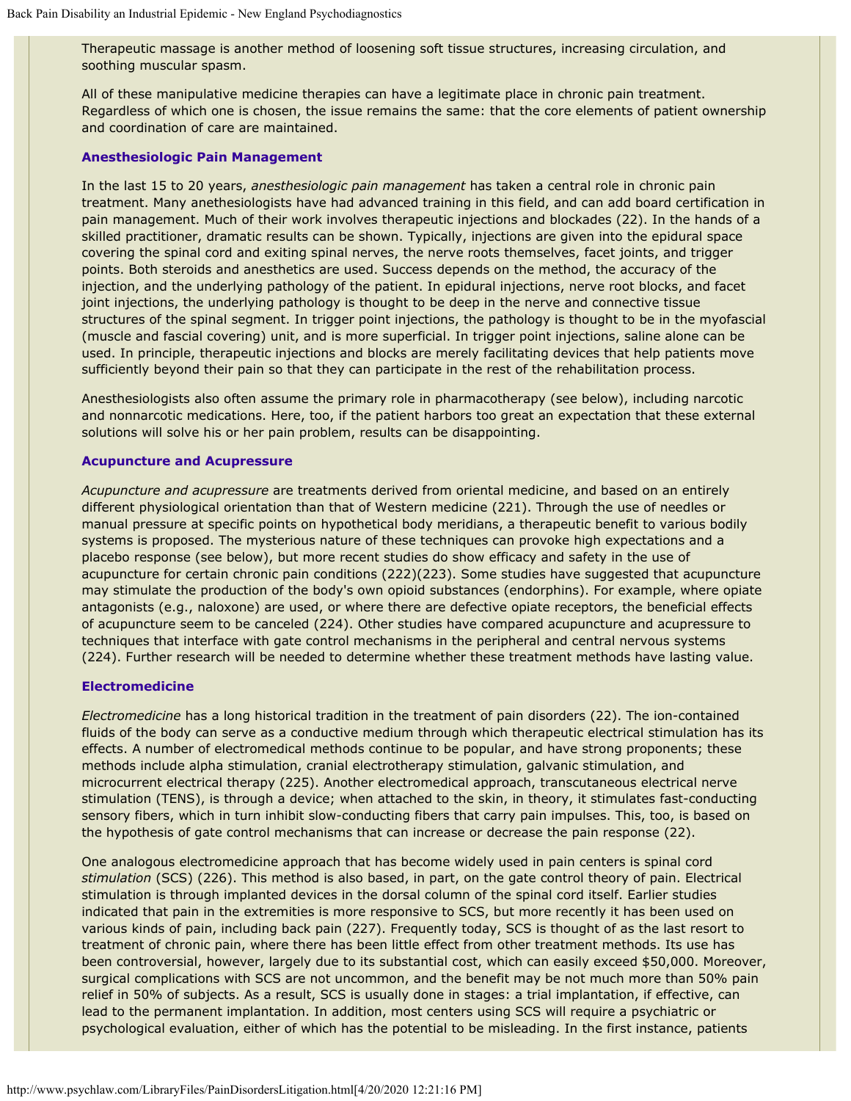Therapeutic massage is another method of loosening soft tissue structures, increasing circulation, and soothing muscular spasm.

All of these manipulative medicine therapies can have a legitimate place in chronic pain treatment. Regardless of which one is chosen, the issue remains the same: that the core elements of patient ownership and coordination of care are maintained.

#### **Anesthesiologic Pain Management**

In the last 15 to 20 years, *anesthesiologic pain management* has taken a central role in chronic pain treatment. Many anethesiologists have had advanced training in this field, and can add board certification in pain management. Much of their work involves therapeutic injections and blockades (22). In the hands of a skilled practitioner, dramatic results can be shown. Typically, injections are given into the epidural space covering the spinal cord and exiting spinal nerves, the nerve roots themselves, facet joints, and trigger points. Both steroids and anesthetics are used. Success depends on the method, the accuracy of the injection, and the underlying pathology of the patient. In epidural injections, nerve root blocks, and facet joint injections, the underlying pathology is thought to be deep in the nerve and connective tissue structures of the spinal segment. In trigger point injections, the pathology is thought to be in the myofascial (muscle and fascial covering) unit, and is more superficial. In trigger point injections, saline alone can be used. In principle, therapeutic injections and blocks are merely facilitating devices that help patients move sufficiently beyond their pain so that they can participate in the rest of the rehabilitation process.

Anesthesiologists also often assume the primary role in pharmacotherapy (see below), including narcotic and nonnarcotic medications. Here, too, if the patient harbors too great an expectation that these external solutions will solve his or her pain problem, results can be disappointing.

#### **Acupuncture and Acupressure**

*Acupuncture and acupressure* are treatments derived from oriental medicine, and based on an entirely different physiological orientation than that of Western medicine (221). Through the use of needles or manual pressure at specific points on hypothetical body meridians, a therapeutic benefit to various bodily systems is proposed. The mysterious nature of these techniques can provoke high expectations and a placebo response (see below), but more recent studies do show efficacy and safety in the use of acupuncture for certain chronic pain conditions (222)(223). Some studies have suggested that acupuncture may stimulate the production of the body's own opioid substances (endorphins). For example, where opiate antagonists (e.g., naloxone) are used, or where there are defective opiate receptors, the beneficial effects of acupuncture seem to be canceled (224). Other studies have compared acupuncture and acupressure to techniques that interface with gate control mechanisms in the peripheral and central nervous systems (224). Further research will be needed to determine whether these treatment methods have lasting value.

### **Electromedicine**

*Electromedicine* has a long historical tradition in the treatment of pain disorders (22). The ion-contained fluids of the body can serve as a conductive medium through which therapeutic electrical stimulation has its effects. A number of electromedical methods continue to be popular, and have strong proponents; these methods include alpha stimulation, cranial electrotherapy stimulation, galvanic stimulation, and microcurrent electrical therapy (225). Another electromedical approach, transcutaneous electrical nerve stimulation (TENS), is through a device; when attached to the skin, in theory, it stimulates fast-conducting sensory fibers, which in turn inhibit slow-conducting fibers that carry pain impulses. This, too, is based on the hypothesis of gate control mechanisms that can increase or decrease the pain response (22).

One analogous electromedicine approach that has become widely used in pain centers is spinal cord *stimulation* (SCS) (226). This method is also based, in part, on the gate control theory of pain. Electrical stimulation is through implanted devices in the dorsal column of the spinal cord itself. Earlier studies indicated that pain in the extremities is more responsive to SCS, but more recently it has been used on various kinds of pain, including back pain (227). Frequently today, SCS is thought of as the last resort to treatment of chronic pain, where there has been little effect from other treatment methods. Its use has been controversial, however, largely due to its substantial cost, which can easily exceed \$50,000. Moreover, surgical complications with SCS are not uncommon, and the benefit may be not much more than 50% pain relief in 50% of subjects. As a result, SCS is usually done in stages: a trial implantation, if effective, can lead to the permanent implantation. In addition, most centers using SCS will require a psychiatric or psychological evaluation, either of which has the potential to be misleading. In the first instance, patients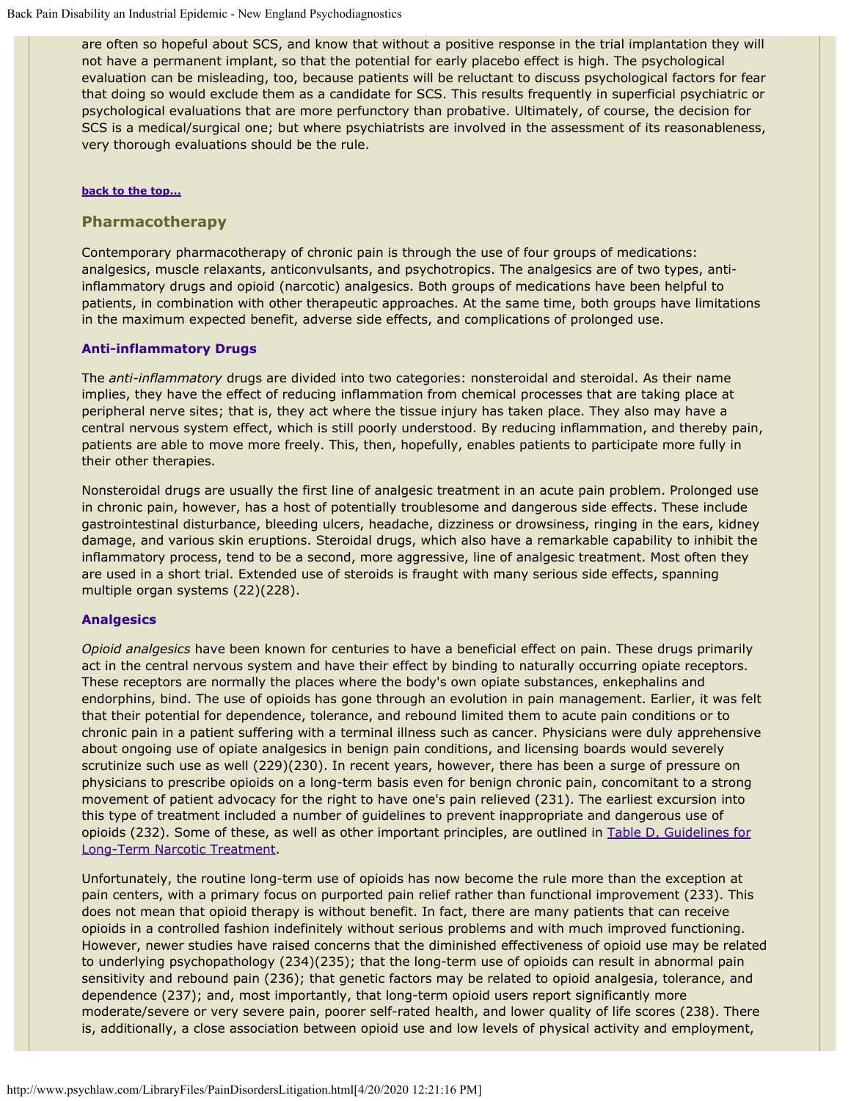are often so hopeful about SCS, and know that without a positive response in the trial implantation they will not have a permanent implant, so that the potential for early placebo effect is high. The psychological evaluation can be misleading, too, because patients will be reluctant to discuss psychological factors for fear that doing so would exclude them as a candidate for SCS. This results frequently in superficial psychiatric or psychological evaluations that are more perfunctory than probative. Ultimately, of course, the decision for SCS is a medical/surgical one; but where psychiatrists are involved in the assessment of its reasonableness, very thorough evaluations should be the rule.

#### **[back to the top...](#page-0-1)**

#### <span id="page-25-0"></span>**Pharmacotherapy**

Contemporary pharmacotherapy of chronic pain is through the use of four groups of medications: analgesics, muscle relaxants, anticonvulsants, and psychotropics. The analgesics are of two types, antiinflammatory drugs and opioid (narcotic) analgesics. Both groups of medications have been helpful to patients, in combination with other therapeutic approaches. At the same time, both groups have limitations in the maximum expected benefit, adverse side effects, and complications of prolonged use.

#### **Anti-inflammatory Drugs**

The *anti-inflammatory* drugs are divided into two categories: nonsteroidal and steroidal. As their name implies, they have the effect of reducing inflammation from chemical processes that are taking place at peripheral nerve sites; that is, they act where the tissue injury has taken place. They also may have a central nervous system effect, which is still poorly understood. By reducing inflammation, and thereby pain, patients are able to move more freely. This, then, hopefully, enables patients to participate more fully in their other therapies.

Nonsteroidal drugs are usually the first line of analgesic treatment in an acute pain problem. Prolonged use in chronic pain, however, has a host of potentially troublesome and dangerous side effects. These include gastrointestinal disturbance, bleeding ulcers, headache, dizziness or drowsiness, ringing in the ears, kidney damage, and various skin eruptions. Steroidal drugs, which also have a remarkable capability to inhibit the inflammatory process, tend to be a second, more aggressive, line of analgesic treatment. Most often they are used in a short trial. Extended use of steroids is fraught with many serious side effects, spanning multiple organ systems (22)(228).

#### **Analgesics**

*Opioid analgesics* have been known for centuries to have a beneficial effect on pain. These drugs primarily act in the central nervous system and have their effect by binding to naturally occurring opiate receptors. These receptors are normally the places where the body's own opiate substances, enkephalins and endorphins, bind. The use of opioids has gone through an evolution in pain management. Earlier, it was felt that their potential for dependence, tolerance, and rebound limited them to acute pain conditions or to chronic pain in a patient suffering with a terminal illness such as cancer. Physicians were duly apprehensive about ongoing use of opiate analgesics in benign pain conditions, and licensing boards would severely scrutinize such use as well (229)(230). In recent years, however, there has been a surge of pressure on physicians to prescribe opioids on a long-term basis even for benign chronic pain, concomitant to a strong movement of patient advocacy for the right to have one's pain relieved (231). The earliest excursion into this type of treatment included a number of guidelines to prevent inappropriate and dangerous use of opioids (232). Some of these, as well as other important principles, are outlined in [Table D, Guidelines for](#page-27-1) [Long-Term Narcotic Treatment.](#page-27-1)

Unfortunately, the routine long-term use of opioids has now become the rule more than the exception at pain centers, with a primary focus on purported pain relief rather than functional improvement (233). This does not mean that opioid therapy is without benefit. In fact, there are many patients that can receive opioids in a controlled fashion indefinitely without serious problems and with much improved functioning. However, newer studies have raised concerns that the diminished effectiveness of opioid use may be related to underlying psychopathology (234)(235); that the long-term use of opioids can result in abnormal pain sensitivity and rebound pain (236); that genetic factors may be related to opioid analgesia, tolerance, and dependence (237); and, most importantly, that long-term opioid users report significantly more moderate/severe or very severe pain, poorer self-rated health, and lower quality of life scores (238). There is, additionally, a close association between opioid use and low levels of physical activity and employment,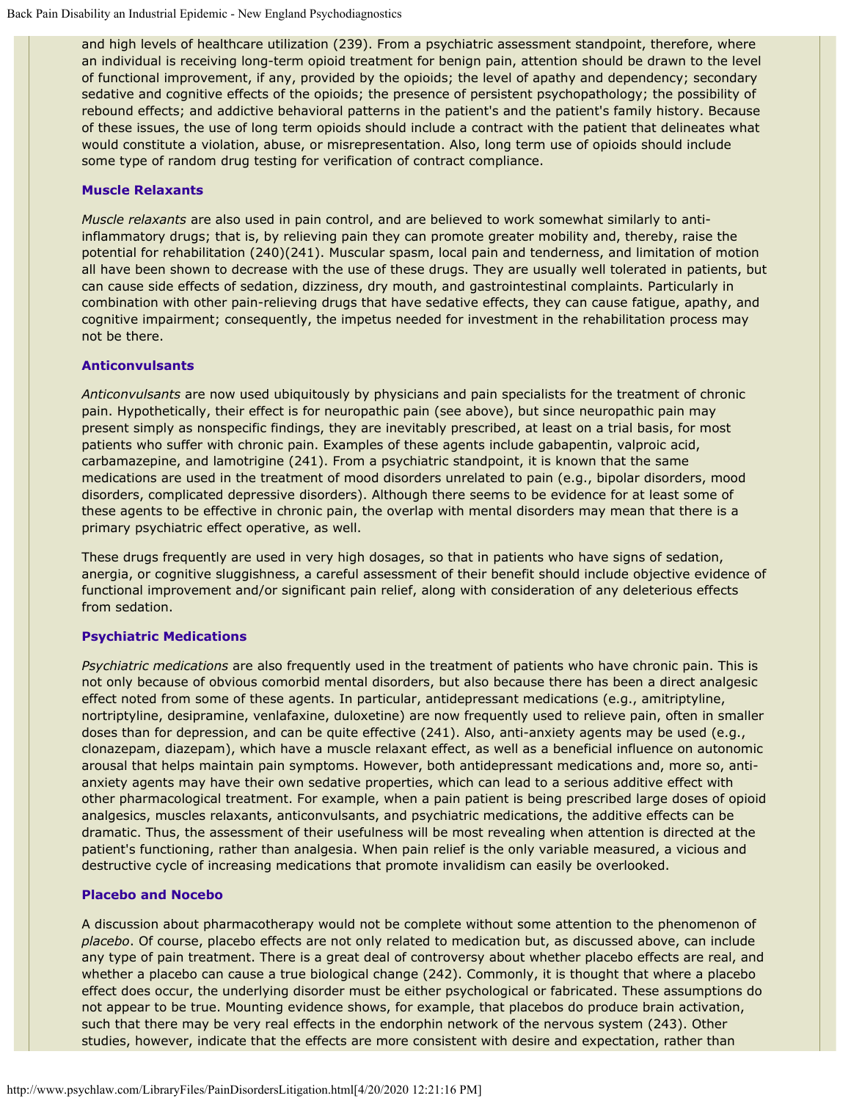and high levels of healthcare utilization (239). From a psychiatric assessment standpoint, therefore, where an individual is receiving long-term opioid treatment for benign pain, attention should be drawn to the level of functional improvement, if any, provided by the opioids; the level of apathy and dependency; secondary sedative and cognitive effects of the opioids; the presence of persistent psychopathology; the possibility of rebound effects; and addictive behavioral patterns in the patient's and the patient's family history. Because of these issues, the use of long term opioids should include a contract with the patient that delineates what would constitute a violation, abuse, or misrepresentation. Also, long term use of opioids should include some type of random drug testing for verification of contract compliance.

### **Muscle Relaxants**

*Muscle relaxants* are also used in pain control, and are believed to work somewhat similarly to antiinflammatory drugs; that is, by relieving pain they can promote greater mobility and, thereby, raise the potential for rehabilitation (240)(241). Muscular spasm, local pain and tenderness, and limitation of motion all have been shown to decrease with the use of these drugs. They are usually well tolerated in patients, but can cause side effects of sedation, dizziness, dry mouth, and gastrointestinal complaints. Particularly in combination with other pain-relieving drugs that have sedative effects, they can cause fatigue, apathy, and cognitive impairment; consequently, the impetus needed for investment in the rehabilitation process may not be there.

#### **Anticonvulsants**

*Anticonvulsants* are now used ubiquitously by physicians and pain specialists for the treatment of chronic pain. Hypothetically, their effect is for neuropathic pain (see above), but since neuropathic pain may present simply as nonspecific findings, they are inevitably prescribed, at least on a trial basis, for most patients who suffer with chronic pain. Examples of these agents include gabapentin, valproic acid, carbamazepine, and lamotrigine (241). From a psychiatric standpoint, it is known that the same medications are used in the treatment of mood disorders unrelated to pain (e.g., bipolar disorders, mood disorders, complicated depressive disorders). Although there seems to be evidence for at least some of these agents to be effective in chronic pain, the overlap with mental disorders may mean that there is a primary psychiatric effect operative, as well.

These drugs frequently are used in very high dosages, so that in patients who have signs of sedation, anergia, or cognitive sluggishness, a careful assessment of their benefit should include objective evidence of functional improvement and/or significant pain relief, along with consideration of any deleterious effects from sedation.

### **Psychiatric Medications**

*Psychiatric medications* are also frequently used in the treatment of patients who have chronic pain. This is not only because of obvious comorbid mental disorders, but also because there has been a direct analgesic effect noted from some of these agents. In particular, antidepressant medications (e.g., amitriptyline, nortriptyline, desipramine, venlafaxine, duloxetine) are now frequently used to relieve pain, often in smaller doses than for depression, and can be quite effective (241). Also, anti-anxiety agents may be used (e.g., clonazepam, diazepam), which have a muscle relaxant effect, as well as a beneficial influence on autonomic arousal that helps maintain pain symptoms. However, both antidepressant medications and, more so, antianxiety agents may have their own sedative properties, which can lead to a serious additive effect with other pharmacological treatment. For example, when a pain patient is being prescribed large doses of opioid analgesics, muscles relaxants, anticonvulsants, and psychiatric medications, the additive effects can be dramatic. Thus, the assessment of their usefulness will be most revealing when attention is directed at the patient's functioning, rather than analgesia. When pain relief is the only variable measured, a vicious and destructive cycle of increasing medications that promote invalidism can easily be overlooked.

### **Placebo and Nocebo**

A discussion about pharmacotherapy would not be complete without some attention to the phenomenon of *placebo*. Of course, placebo effects are not only related to medication but, as discussed above, can include any type of pain treatment. There is a great deal of controversy about whether placebo effects are real, and whether a placebo can cause a true biological change (242). Commonly, it is thought that where a placebo effect does occur, the underlying disorder must be either psychological or fabricated. These assumptions do not appear to be true. Mounting evidence shows, for example, that placebos do produce brain activation, such that there may be very real effects in the endorphin network of the nervous system (243). Other studies, however, indicate that the effects are more consistent with desire and expectation, rather than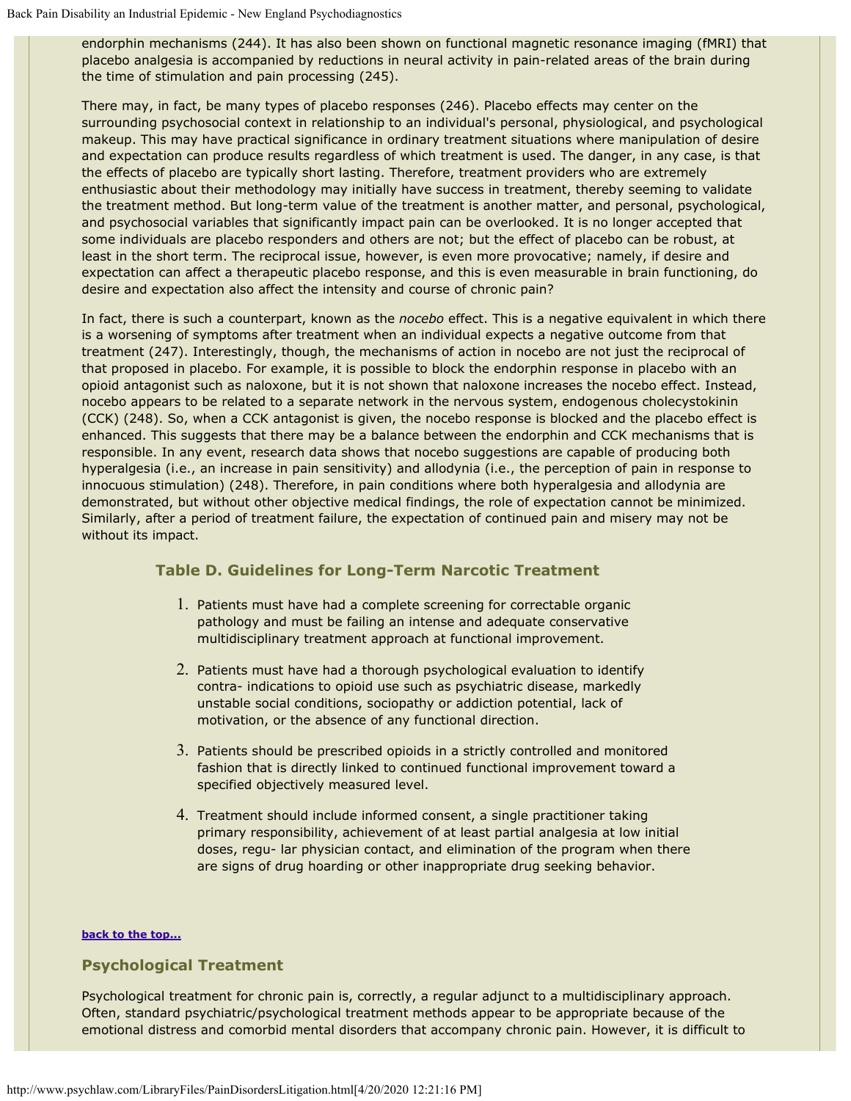endorphin mechanisms (244). It has also been shown on functional magnetic resonance imaging (fMRI) that placebo analgesia is accompanied by reductions in neural activity in pain-related areas of the brain during the time of stimulation and pain processing (245).

There may, in fact, be many types of placebo responses (246). Placebo effects may center on the surrounding psychosocial context in relationship to an individual's personal, physiological, and psychological makeup. This may have practical significance in ordinary treatment situations where manipulation of desire and expectation can produce results regardless of which treatment is used. The danger, in any case, is that the effects of placebo are typically short lasting. Therefore, treatment providers who are extremely enthusiastic about their methodology may initially have success in treatment, thereby seeming to validate the treatment method. But long-term value of the treatment is another matter, and personal, psychological, and psychosocial variables that significantly impact pain can be overlooked. It is no longer accepted that some individuals are placebo responders and others are not; but the effect of placebo can be robust, at least in the short term. The reciprocal issue, however, is even more provocative; namely, if desire and expectation can affect a therapeutic placebo response, and this is even measurable in brain functioning, do desire and expectation also affect the intensity and course of chronic pain?

In fact, there is such a counterpart, known as the *nocebo* effect. This is a negative equivalent in which there is a worsening of symptoms after treatment when an individual expects a negative outcome from that treatment (247). Interestingly, though, the mechanisms of action in nocebo are not just the reciprocal of that proposed in placebo. For example, it is possible to block the endorphin response in placebo with an opioid antagonist such as naloxone, but it is not shown that naloxone increases the nocebo effect. Instead, nocebo appears to be related to a separate network in the nervous system, endogenous cholecystokinin (CCK) (248). So, when a CCK antagonist is given, the nocebo response is blocked and the placebo effect is enhanced. This suggests that there may be a balance between the endorphin and CCK mechanisms that is responsible. In any event, research data shows that nocebo suggestions are capable of producing both hyperalgesia (i.e., an increase in pain sensitivity) and allodynia (i.e., the perception of pain in response to innocuous stimulation) (248). Therefore, in pain conditions where both hyperalgesia and allodynia are demonstrated, but without other objective medical findings, the role of expectation cannot be minimized. Similarly, after a period of treatment failure, the expectation of continued pain and misery may not be without its impact.

## <span id="page-27-1"></span>**Table D. Guidelines for Long-Term Narcotic Treatment**

- 1. Patients must have had a complete screening for correctable organic pathology and must be failing an intense and adequate conservative multidisciplinary treatment approach at functional improvement.
- 2. Patients must have had a thorough psychological evaluation to identify contra- indications to opioid use such as psychiatric disease, markedly unstable social conditions, sociopathy or addiction potential, lack of motivation, or the absence of any functional direction.
- 3. Patients should be prescribed opioids in a strictly controlled and monitored fashion that is directly linked to continued functional improvement toward a specified objectively measured level.
- 4. Treatment should include informed consent, a single practitioner taking primary responsibility, achievement of at least partial analgesia at low initial doses, regu- lar physician contact, and elimination of the program when there are signs of drug hoarding or other inappropriate drug seeking behavior.

#### **[back to the top...](#page-0-1)**

### <span id="page-27-0"></span>**Psychological Treatment**

Psychological treatment for chronic pain is, correctly, a regular adjunct to a multidisciplinary approach. Often, standard psychiatric/psychological treatment methods appear to be appropriate because of the emotional distress and comorbid mental disorders that accompany chronic pain. However, it is difficult to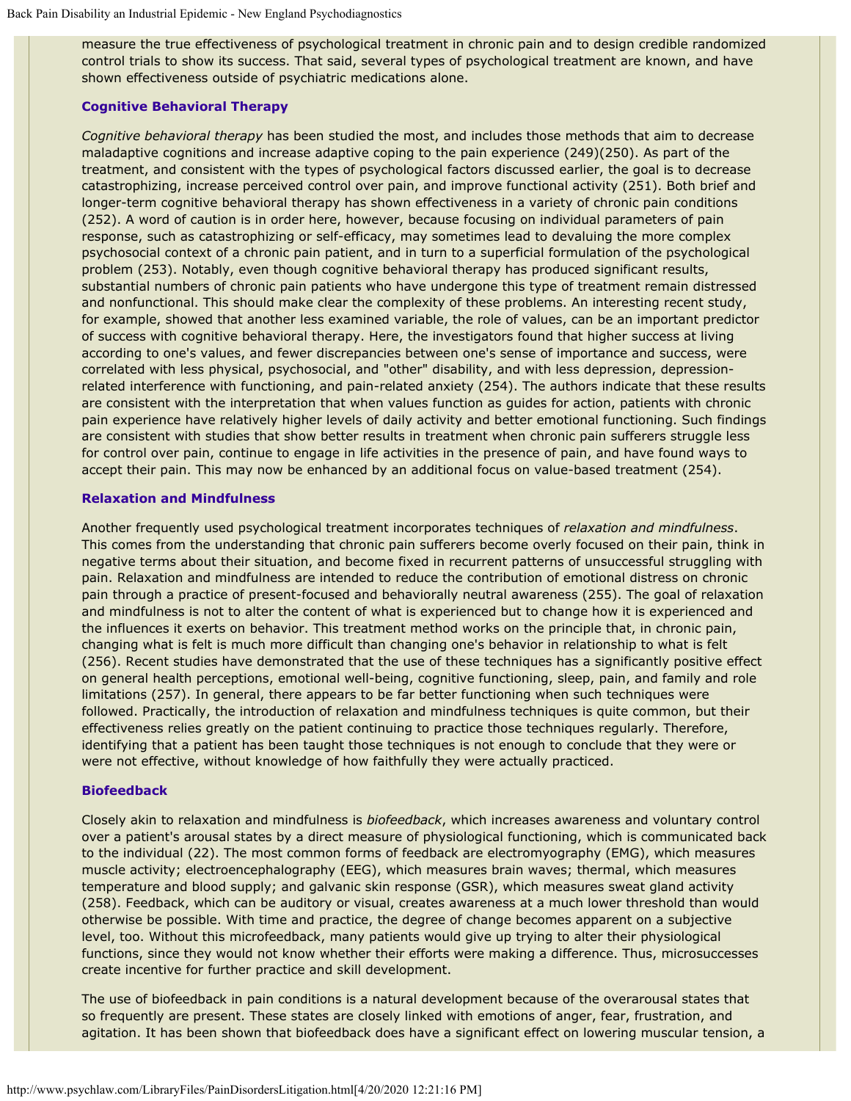measure the true effectiveness of psychological treatment in chronic pain and to design credible randomized control trials to show its success. That said, several types of psychological treatment are known, and have shown effectiveness outside of psychiatric medications alone.

## **Cognitive Behavioral Therapy**

*Cognitive behavioral therapy* has been studied the most, and includes those methods that aim to decrease maladaptive cognitions and increase adaptive coping to the pain experience (249)(250). As part of the treatment, and consistent with the types of psychological factors discussed earlier, the goal is to decrease catastrophizing, increase perceived control over pain, and improve functional activity (251). Both brief and longer-term cognitive behavioral therapy has shown effectiveness in a variety of chronic pain conditions (252). A word of caution is in order here, however, because focusing on individual parameters of pain response, such as catastrophizing or self-efficacy, may sometimes lead to devaluing the more complex psychosocial context of a chronic pain patient, and in turn to a superficial formulation of the psychological problem (253). Notably, even though cognitive behavioral therapy has produced significant results, substantial numbers of chronic pain patients who have undergone this type of treatment remain distressed and nonfunctional. This should make clear the complexity of these problems. An interesting recent study, for example, showed that another less examined variable, the role of values, can be an important predictor of success with cognitive behavioral therapy. Here, the investigators found that higher success at living according to one's values, and fewer discrepancies between one's sense of importance and success, were correlated with less physical, psychosocial, and "other" disability, and with less depression, depressionrelated interference with functioning, and pain-related anxiety (254). The authors indicate that these results are consistent with the interpretation that when values function as guides for action, patients with chronic pain experience have relatively higher levels of daily activity and better emotional functioning. Such findings are consistent with studies that show better results in treatment when chronic pain sufferers struggle less for control over pain, continue to engage in life activities in the presence of pain, and have found ways to accept their pain. This may now be enhanced by an additional focus on value-based treatment (254).

### **Relaxation and Mindfulness**

Another frequently used psychological treatment incorporates techniques of *relaxation and mindfulness*. This comes from the understanding that chronic pain sufferers become overly focused on their pain, think in negative terms about their situation, and become fixed in recurrent patterns of unsuccessful struggling with pain. Relaxation and mindfulness are intended to reduce the contribution of emotional distress on chronic pain through a practice of present-focused and behaviorally neutral awareness (255). The goal of relaxation and mindfulness is not to alter the content of what is experienced but to change how it is experienced and the influences it exerts on behavior. This treatment method works on the principle that, in chronic pain, changing what is felt is much more difficult than changing one's behavior in relationship to what is felt (256). Recent studies have demonstrated that the use of these techniques has a significantly positive effect on general health perceptions, emotional well-being, cognitive functioning, sleep, pain, and family and role limitations (257). In general, there appears to be far better functioning when such techniques were followed. Practically, the introduction of relaxation and mindfulness techniques is quite common, but their effectiveness relies greatly on the patient continuing to practice those techniques regularly. Therefore, identifying that a patient has been taught those techniques is not enough to conclude that they were or were not effective, without knowledge of how faithfully they were actually practiced.

### **Biofeedback**

Closely akin to relaxation and mindfulness is *biofeedback*, which increases awareness and voluntary control over a patient's arousal states by a direct measure of physiological functioning, which is communicated back to the individual (22). The most common forms of feedback are electromyography (EMG), which measures muscle activity; electroencephalography (EEG), which measures brain waves; thermal, which measures temperature and blood supply; and galvanic skin response (GSR), which measures sweat gland activity (258). Feedback, which can be auditory or visual, creates awareness at a much lower threshold than would otherwise be possible. With time and practice, the degree of change becomes apparent on a subjective level, too. Without this microfeedback, many patients would give up trying to alter their physiological functions, since they would not know whether their efforts were making a difference. Thus, microsuccesses create incentive for further practice and skill development.

The use of biofeedback in pain conditions is a natural development because of the overarousal states that so frequently are present. These states are closely linked with emotions of anger, fear, frustration, and agitation. It has been shown that biofeedback does have a significant effect on lowering muscular tension, a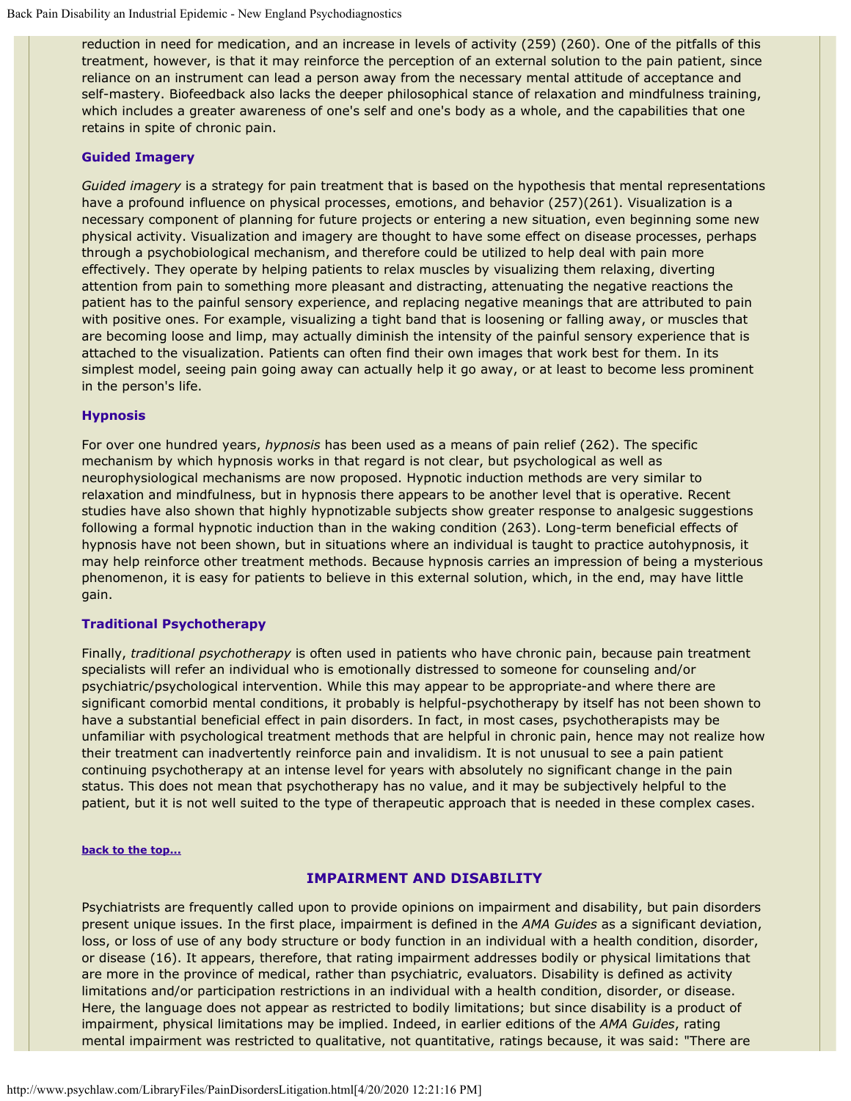reduction in need for medication, and an increase in levels of activity (259) (260). One of the pitfalls of this treatment, however, is that it may reinforce the perception of an external solution to the pain patient, since reliance on an instrument can lead a person away from the necessary mental attitude of acceptance and self-mastery. Biofeedback also lacks the deeper philosophical stance of relaxation and mindfulness training, which includes a greater awareness of one's self and one's body as a whole, and the capabilities that one retains in spite of chronic pain.

#### **Guided Imagery**

*Guided imagery* is a strategy for pain treatment that is based on the hypothesis that mental representations have a profound influence on physical processes, emotions, and behavior (257)(261). Visualization is a necessary component of planning for future projects or entering a new situation, even beginning some new physical activity. Visualization and imagery are thought to have some effect on disease processes, perhaps through a psychobiological mechanism, and therefore could be utilized to help deal with pain more effectively. They operate by helping patients to relax muscles by visualizing them relaxing, diverting attention from pain to something more pleasant and distracting, attenuating the negative reactions the patient has to the painful sensory experience, and replacing negative meanings that are attributed to pain with positive ones. For example, visualizing a tight band that is loosening or falling away, or muscles that are becoming loose and limp, may actually diminish the intensity of the painful sensory experience that is attached to the visualization. Patients can often find their own images that work best for them. In its simplest model, seeing pain going away can actually help it go away, or at least to become less prominent in the person's life.

#### **Hypnosis**

For over one hundred years, *hypnosis* has been used as a means of pain relief (262). The specific mechanism by which hypnosis works in that regard is not clear, but psychological as well as neurophysiological mechanisms are now proposed. Hypnotic induction methods are very similar to relaxation and mindfulness, but in hypnosis there appears to be another level that is operative. Recent studies have also shown that highly hypnotizable subjects show greater response to analgesic suggestions following a formal hypnotic induction than in the waking condition (263). Long-term beneficial effects of hypnosis have not been shown, but in situations where an individual is taught to practice autohypnosis, it may help reinforce other treatment methods. Because hypnosis carries an impression of being a mysterious phenomenon, it is easy for patients to believe in this external solution, which, in the end, may have little gain.

#### **Traditional Psychotherapy**

Finally, *traditional psychotherapy* is often used in patients who have chronic pain, because pain treatment specialists will refer an individual who is emotionally distressed to someone for counseling and/or psychiatric/psychological intervention. While this may appear to be appropriate-and where there are significant comorbid mental conditions, it probably is helpful-psychotherapy by itself has not been shown to have a substantial beneficial effect in pain disorders. In fact, in most cases, psychotherapists may be unfamiliar with psychological treatment methods that are helpful in chronic pain, hence may not realize how their treatment can inadvertently reinforce pain and invalidism. It is not unusual to see a pain patient continuing psychotherapy at an intense level for years with absolutely no significant change in the pain status. This does not mean that psychotherapy has no value, and it may be subjectively helpful to the patient, but it is not well suited to the type of therapeutic approach that is needed in these complex cases.

#### **[back to the top...](#page-0-1)**

#### **IMPAIRMENT AND DISABILITY**

Psychiatrists are frequently called upon to provide opinions on impairment and disability, but pain disorders present unique issues. In the first place, impairment is defined in the *AMA Guides* as a significant deviation, loss, or loss of use of any body structure or body function in an individual with a health condition, disorder, or disease (16). It appears, therefore, that rating impairment addresses bodily or physical limitations that are more in the province of medical, rather than psychiatric, evaluators. Disability is defined as activity limitations and/or participation restrictions in an individual with a health condition, disorder, or disease. Here, the language does not appear as restricted to bodily limitations; but since disability is a product of impairment, physical limitations may be implied. Indeed, in earlier editions of the *AMA Guides*, rating mental impairment was restricted to qualitative, not quantitative, ratings because, it was said: "There are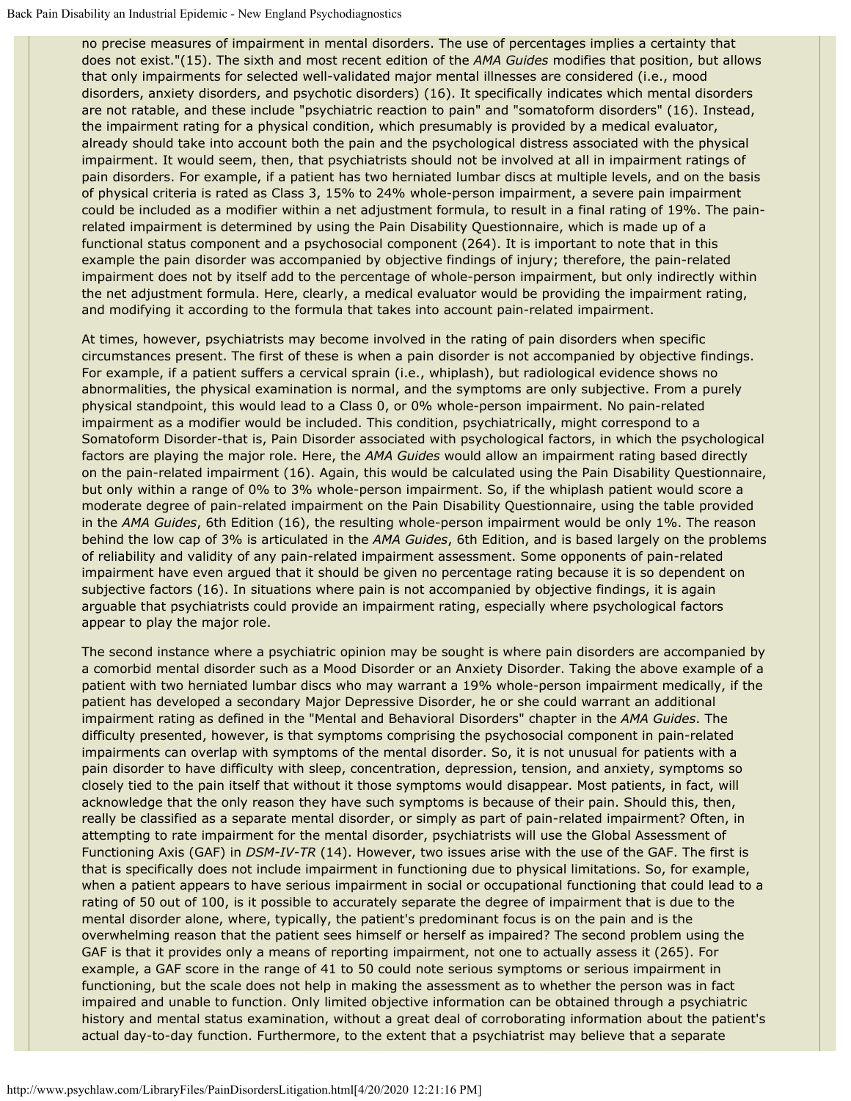no precise measures of impairment in mental disorders. The use of percentages implies a certainty that does not exist."(15). The sixth and most recent edition of the *AMA Guides* modifies that position, but allows that only impairments for selected well-validated major mental illnesses are considered (i.e., mood disorders, anxiety disorders, and psychotic disorders) (16). It specifically indicates which mental disorders are not ratable, and these include "psychiatric reaction to pain" and "somatoform disorders" (16). Instead, the impairment rating for a physical condition, which presumably is provided by a medical evaluator, already should take into account both the pain and the psychological distress associated with the physical impairment. It would seem, then, that psychiatrists should not be involved at all in impairment ratings of pain disorders. For example, if a patient has two herniated lumbar discs at multiple levels, and on the basis of physical criteria is rated as Class 3, 15% to 24% whole-person impairment, a severe pain impairment could be included as a modifier within a net adjustment formula, to result in a final rating of 19%. The painrelated impairment is determined by using the Pain Disability Questionnaire, which is made up of a functional status component and a psychosocial component (264). It is important to note that in this example the pain disorder was accompanied by objective findings of injury; therefore, the pain-related impairment does not by itself add to the percentage of whole-person impairment, but only indirectly within the net adjustment formula. Here, clearly, a medical evaluator would be providing the impairment rating, and modifying it according to the formula that takes into account pain-related impairment.

At times, however, psychiatrists may become involved in the rating of pain disorders when specific circumstances present. The first of these is when a pain disorder is not accompanied by objective findings. For example, if a patient suffers a cervical sprain (i.e., whiplash), but radiological evidence shows no abnormalities, the physical examination is normal, and the symptoms are only subjective. From a purely physical standpoint, this would lead to a Class 0, or 0% whole-person impairment. No pain-related impairment as a modifier would be included. This condition, psychiatrically, might correspond to a Somatoform Disorder-that is, Pain Disorder associated with psychological factors, in which the psychological factors are playing the major role. Here, the *AMA Guides* would allow an impairment rating based directly on the pain-related impairment (16). Again, this would be calculated using the Pain Disability Questionnaire, but only within a range of 0% to 3% whole-person impairment. So, if the whiplash patient would score a moderate degree of pain-related impairment on the Pain Disability Questionnaire, using the table provided in the *AMA Guides*, 6th Edition (16), the resulting whole-person impairment would be only 1%. The reason behind the low cap of 3% is articulated in the *AMA Guides*, 6th Edition, and is based largely on the problems of reliability and validity of any pain-related impairment assessment. Some opponents of pain-related impairment have even argued that it should be given no percentage rating because it is so dependent on subjective factors (16). In situations where pain is not accompanied by objective findings, it is again arguable that psychiatrists could provide an impairment rating, especially where psychological factors appear to play the major role.

The second instance where a psychiatric opinion may be sought is where pain disorders are accompanied by a comorbid mental disorder such as a Mood Disorder or an Anxiety Disorder. Taking the above example of a patient with two herniated lumbar discs who may warrant a 19% whole-person impairment medically, if the patient has developed a secondary Major Depressive Disorder, he or she could warrant an additional impairment rating as defined in the "Mental and Behavioral Disorders" chapter in the *AMA Guides*. The difficulty presented, however, is that symptoms comprising the psychosocial component in pain-related impairments can overlap with symptoms of the mental disorder. So, it is not unusual for patients with a pain disorder to have difficulty with sleep, concentration, depression, tension, and anxiety, symptoms so closely tied to the pain itself that without it those symptoms would disappear. Most patients, in fact, will acknowledge that the only reason they have such symptoms is because of their pain. Should this, then, really be classified as a separate mental disorder, or simply as part of pain-related impairment? Often, in attempting to rate impairment for the mental disorder, psychiatrists will use the Global Assessment of Functioning Axis (GAF) in *DSM-IV-TR* (14). However, two issues arise with the use of the GAF. The first is that is specifically does not include impairment in functioning due to physical limitations. So, for example, when a patient appears to have serious impairment in social or occupational functioning that could lead to a rating of 50 out of 100, is it possible to accurately separate the degree of impairment that is due to the mental disorder alone, where, typically, the patient's predominant focus is on the pain and is the overwhelming reason that the patient sees himself or herself as impaired? The second problem using the GAF is that it provides only a means of reporting impairment, not one to actually assess it (265). For example, a GAF score in the range of 41 to 50 could note serious symptoms or serious impairment in functioning, but the scale does not help in making the assessment as to whether the person was in fact impaired and unable to function. Only limited objective information can be obtained through a psychiatric history and mental status examination, without a great deal of corroborating information about the patient's actual day-to-day function. Furthermore, to the extent that a psychiatrist may believe that a separate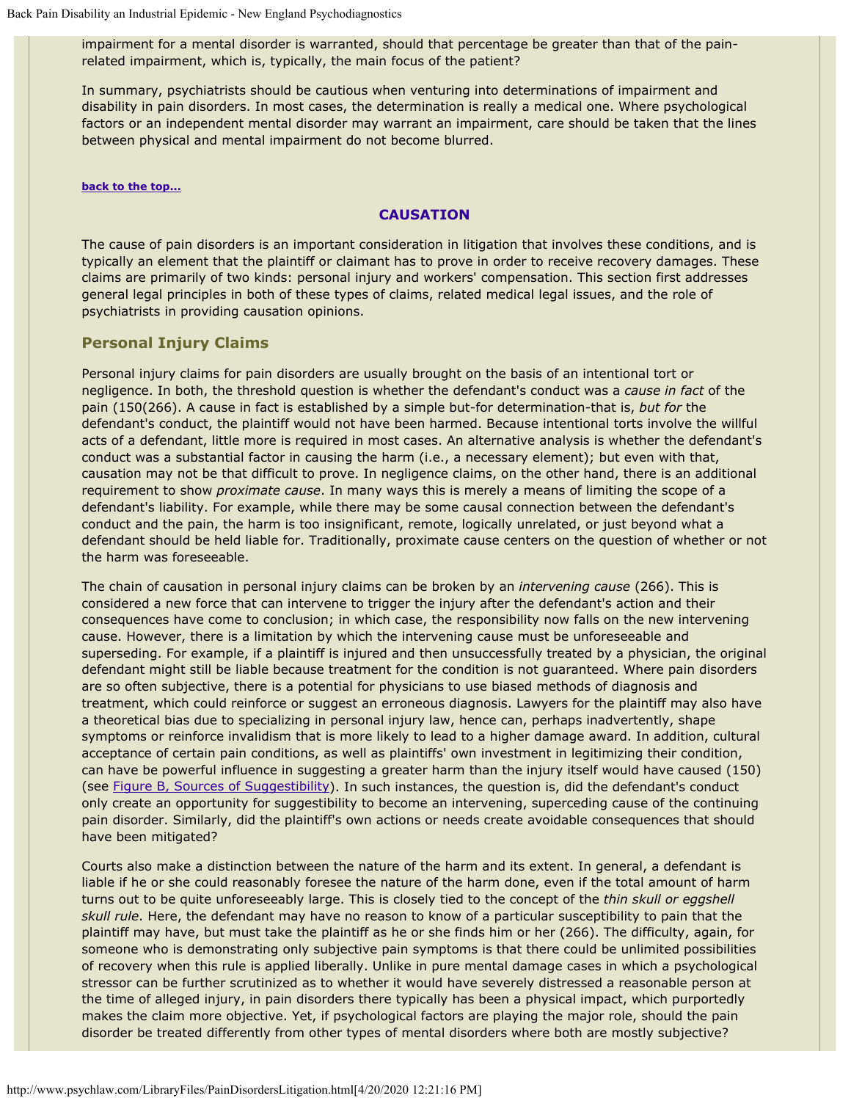impairment for a mental disorder is warranted, should that percentage be greater than that of the painrelated impairment, which is, typically, the main focus of the patient?

In summary, psychiatrists should be cautious when venturing into determinations of impairment and disability in pain disorders. In most cases, the determination is really a medical one. Where psychological factors or an independent mental disorder may warrant an impairment, care should be taken that the lines between physical and mental impairment do not become blurred.

#### **[back to the top...](#page-0-1)**

### **CAUSATION**

The cause of pain disorders is an important consideration in litigation that involves these conditions, and is typically an element that the plaintiff or claimant has to prove in order to receive recovery damages. These claims are primarily of two kinds: personal injury and workers' compensation. This section first addresses general legal principles in both of these types of claims, related medical legal issues, and the role of psychiatrists in providing causation opinions.

## <span id="page-31-0"></span>**Personal Injury Claims**

Personal injury claims for pain disorders are usually brought on the basis of an intentional tort or negligence. In both, the threshold question is whether the defendant's conduct was a *cause in fact* of the pain (150(266). A cause in fact is established by a simple but-for determination-that is, *but for* the defendant's conduct, the plaintiff would not have been harmed. Because intentional torts involve the willful acts of a defendant, little more is required in most cases. An alternative analysis is whether the defendant's conduct was a substantial factor in causing the harm (i.e., a necessary element); but even with that, causation may not be that difficult to prove. In negligence claims, on the other hand, there is an additional requirement to show *proximate cause*. In many ways this is merely a means of limiting the scope of a defendant's liability. For example, while there may be some causal connection between the defendant's conduct and the pain, the harm is too insignificant, remote, logically unrelated, or just beyond what a defendant should be held liable for. Traditionally, proximate cause centers on the question of whether or not the harm was foreseeable.

The chain of causation in personal injury claims can be broken by an *intervening cause* (266). This is considered a new force that can intervene to trigger the injury after the defendant's action and their consequences have come to conclusion; in which case, the responsibility now falls on the new intervening cause. However, there is a limitation by which the intervening cause must be unforeseeable and superseding. For example, if a plaintiff is injured and then unsuccessfully treated by a physician, the original defendant might still be liable because treatment for the condition is not guaranteed. Where pain disorders are so often subjective, there is a potential for physicians to use biased methods of diagnosis and treatment, which could reinforce or suggest an erroneous diagnosis. Lawyers for the plaintiff may also have a theoretical bias due to specializing in personal injury law, hence can, perhaps inadvertently, shape symptoms or reinforce invalidism that is more likely to lead to a higher damage award. In addition, cultural acceptance of certain pain conditions, as well as plaintiffs' own investment in legitimizing their condition, can have be powerful influence in suggesting a greater harm than the injury itself would have caused (150) (see [Figure B, Sources of Suggestibility](#page-32-1)). In such instances, the question is, did the defendant's conduct only create an opportunity for suggestibility to become an intervening, superceding cause of the continuing pain disorder. Similarly, did the plaintiff's own actions or needs create avoidable consequences that should have been mitigated?

Courts also make a distinction between the nature of the harm and its extent. In general, a defendant is liable if he or she could reasonably foresee the nature of the harm done, even if the total amount of harm turns out to be quite unforeseeably large. This is closely tied to the concept of the *thin skull or eggshell skull rule*. Here, the defendant may have no reason to know of a particular susceptibility to pain that the plaintiff may have, but must take the plaintiff as he or she finds him or her (266). The difficulty, again, for someone who is demonstrating only subjective pain symptoms is that there could be unlimited possibilities of recovery when this rule is applied liberally. Unlike in pure mental damage cases in which a psychological stressor can be further scrutinized as to whether it would have severely distressed a reasonable person at the time of alleged injury, in pain disorders there typically has been a physical impact, which purportedly makes the claim more objective. Yet, if psychological factors are playing the major role, should the pain disorder be treated differently from other types of mental disorders where both are mostly subjective?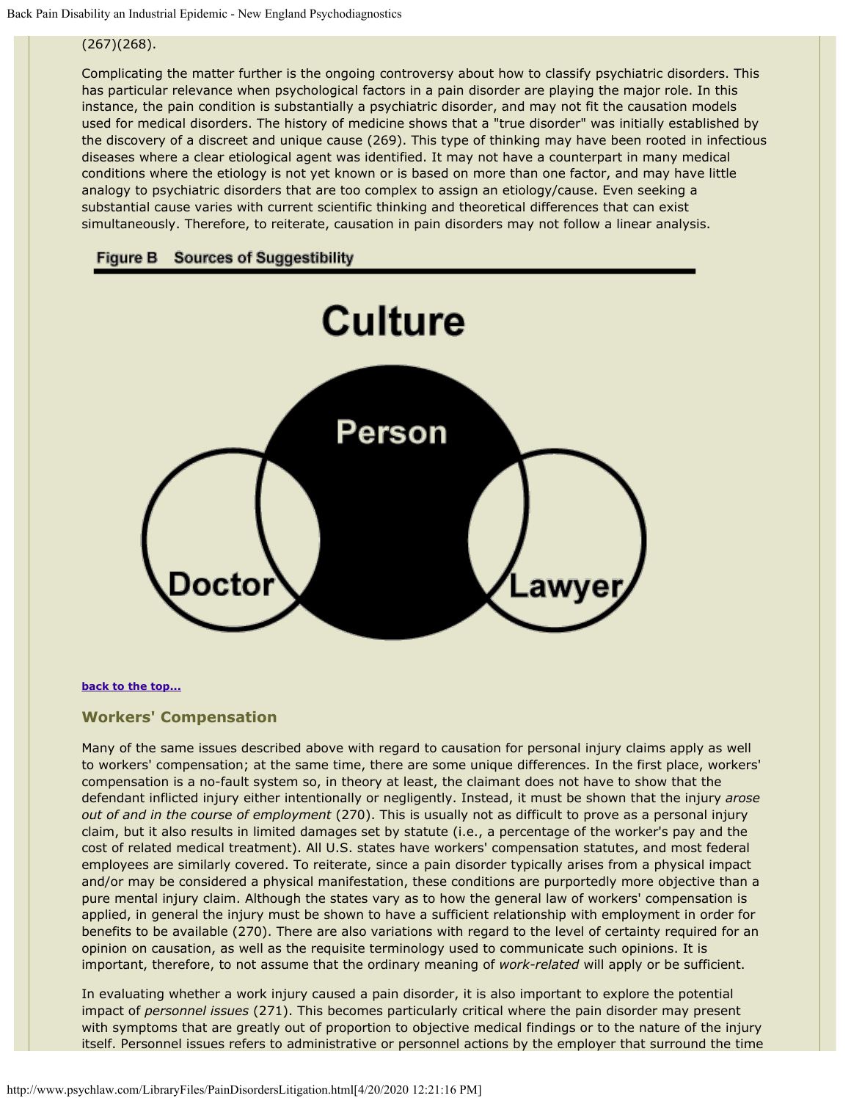## (267)(268).

Complicating the matter further is the ongoing controversy about how to classify psychiatric disorders. This has particular relevance when psychological factors in a pain disorder are playing the major role. In this instance, the pain condition is substantially a psychiatric disorder, and may not fit the causation models used for medical disorders. The history of medicine shows that a "true disorder" was initially established by the discovery of a discreet and unique cause (269). This type of thinking may have been rooted in infectious diseases where a clear etiological agent was identified. It may not have a counterpart in many medical conditions where the etiology is not yet known or is based on more than one factor, and may have little analogy to psychiatric disorders that are too complex to assign an etiology/cause. Even seeking a substantial cause varies with current scientific thinking and theoretical differences that can exist simultaneously. Therefore, to reiterate, causation in pain disorders may not follow a linear analysis.

<span id="page-32-1"></span>



#### **[back to the top...](#page-0-1)**

### <span id="page-32-0"></span>**Workers' Compensation**

Many of the same issues described above with regard to causation for personal injury claims apply as well to workers' compensation; at the same time, there are some unique differences. In the first place, workers' compensation is a no-fault system so, in theory at least, the claimant does not have to show that the defendant inflicted injury either intentionally or negligently. Instead, it must be shown that the injury *arose out of and in the course of employment* (270). This is usually not as difficult to prove as a personal injury claim, but it also results in limited damages set by statute (i.e., a percentage of the worker's pay and the cost of related medical treatment). All U.S. states have workers' compensation statutes, and most federal employees are similarly covered. To reiterate, since a pain disorder typically arises from a physical impact and/or may be considered a physical manifestation, these conditions are purportedly more objective than a pure mental injury claim. Although the states vary as to how the general law of workers' compensation is applied, in general the injury must be shown to have a sufficient relationship with employment in order for benefits to be available (270). There are also variations with regard to the level of certainty required for an opinion on causation, as well as the requisite terminology used to communicate such opinions. It is important, therefore, to not assume that the ordinary meaning of *work-related* will apply or be sufficient.

In evaluating whether a work injury caused a pain disorder, it is also important to explore the potential impact of *personnel issues* (271). This becomes particularly critical where the pain disorder may present with symptoms that are greatly out of proportion to objective medical findings or to the nature of the injury itself. Personnel issues refers to administrative or personnel actions by the employer that surround the time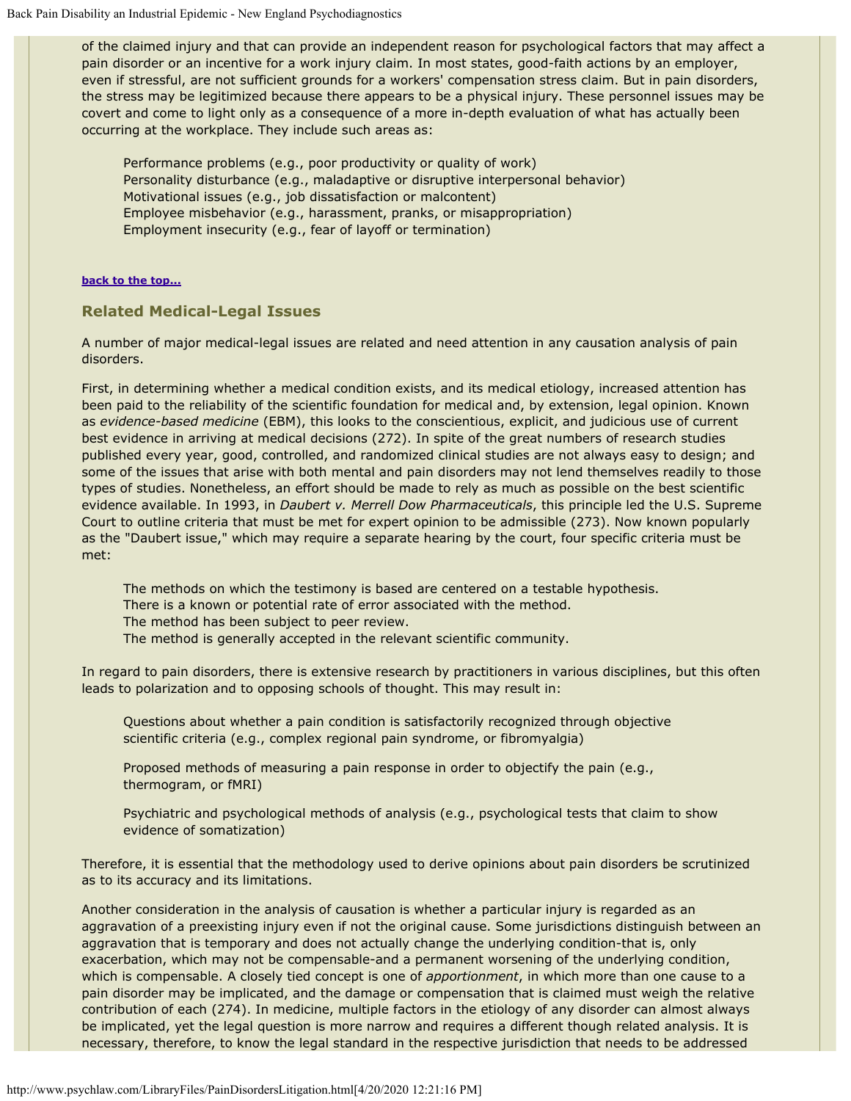of the claimed injury and that can provide an independent reason for psychological factors that may affect a pain disorder or an incentive for a work injury claim. In most states, good-faith actions by an employer, even if stressful, are not sufficient grounds for a workers' compensation stress claim. But in pain disorders, the stress may be legitimized because there appears to be a physical injury. These personnel issues may be covert and come to light only as a consequence of a more in-depth evaluation of what has actually been occurring at the workplace. They include such areas as:

Performance problems (e.g., poor productivity or quality of work) Personality disturbance (e.g., maladaptive or disruptive interpersonal behavior) Motivational issues (e.g., job dissatisfaction or malcontent) Employee misbehavior (e.g., harassment, pranks, or misappropriation) Employment insecurity (e.g., fear of layoff or termination)

#### **[back to the top...](#page-0-1)**

### <span id="page-33-0"></span>**Related Medical-Legal Issues**

A number of major medical-legal issues are related and need attention in any causation analysis of pain disorders.

First, in determining whether a medical condition exists, and its medical etiology, increased attention has been paid to the reliability of the scientific foundation for medical and, by extension, legal opinion. Known as *evidence-based medicine* (EBM), this looks to the conscientious, explicit, and judicious use of current best evidence in arriving at medical decisions (272). In spite of the great numbers of research studies published every year, good, controlled, and randomized clinical studies are not always easy to design; and some of the issues that arise with both mental and pain disorders may not lend themselves readily to those types of studies. Nonetheless, an effort should be made to rely as much as possible on the best scientific evidence available. In 1993, in *Daubert v. Merrell Dow Pharmaceuticals*, this principle led the U.S. Supreme Court to outline criteria that must be met for expert opinion to be admissible (273). Now known popularly as the "Daubert issue," which may require a separate hearing by the court, four specific criteria must be met:

The methods on which the testimony is based are centered on a testable hypothesis. There is a known or potential rate of error associated with the method. The method has been subject to peer review. The method is generally accepted in the relevant scientific community.

In regard to pain disorders, there is extensive research by practitioners in various disciplines, but this often leads to polarization and to opposing schools of thought. This may result in:

Questions about whether a pain condition is satisfactorily recognized through objective scientific criteria (e.g., complex regional pain syndrome, or fibromyalgia)

Proposed methods of measuring a pain response in order to objectify the pain (e.g., thermogram, or fMRI)

Psychiatric and psychological methods of analysis (e.g., psychological tests that claim to show evidence of somatization)

Therefore, it is essential that the methodology used to derive opinions about pain disorders be scrutinized as to its accuracy and its limitations.

Another consideration in the analysis of causation is whether a particular injury is regarded as an aggravation of a preexisting injury even if not the original cause. Some jurisdictions distinguish between an aggravation that is temporary and does not actually change the underlying condition-that is, only exacerbation, which may not be compensable-and a permanent worsening of the underlying condition, which is compensable. A closely tied concept is one of *apportionment*, in which more than one cause to a pain disorder may be implicated, and the damage or compensation that is claimed must weigh the relative contribution of each (274). In medicine, multiple factors in the etiology of any disorder can almost always be implicated, yet the legal question is more narrow and requires a different though related analysis. It is necessary, therefore, to know the legal standard in the respective jurisdiction that needs to be addressed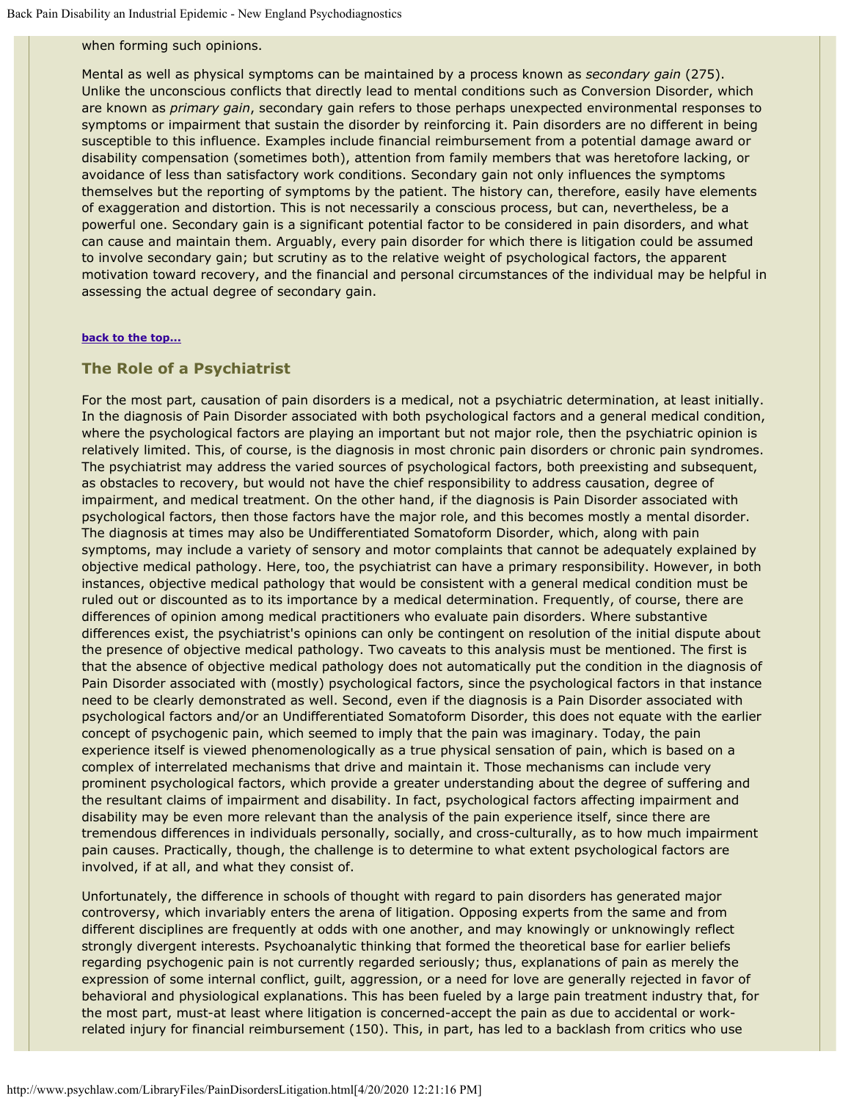## when forming such opinions.

Mental as well as physical symptoms can be maintained by a process known as *secondary gain* (275). Unlike the unconscious conflicts that directly lead to mental conditions such as Conversion Disorder, which are known as *primary gain*, secondary gain refers to those perhaps unexpected environmental responses to symptoms or impairment that sustain the disorder by reinforcing it. Pain disorders are no different in being susceptible to this influence. Examples include financial reimbursement from a potential damage award or disability compensation (sometimes both), attention from family members that was heretofore lacking, or avoidance of less than satisfactory work conditions. Secondary gain not only influences the symptoms themselves but the reporting of symptoms by the patient. The history can, therefore, easily have elements of exaggeration and distortion. This is not necessarily a conscious process, but can, nevertheless, be a powerful one. Secondary gain is a significant potential factor to be considered in pain disorders, and what can cause and maintain them. Arguably, every pain disorder for which there is litigation could be assumed to involve secondary gain; but scrutiny as to the relative weight of psychological factors, the apparent motivation toward recovery, and the financial and personal circumstances of the individual may be helpful in assessing the actual degree of secondary gain.

#### **[back to the top...](#page-0-1)**

#### <span id="page-34-0"></span>**The Role of a Psychiatrist**

For the most part, causation of pain disorders is a medical, not a psychiatric determination, at least initially. In the diagnosis of Pain Disorder associated with both psychological factors and a general medical condition, where the psychological factors are playing an important but not major role, then the psychiatric opinion is relatively limited. This, of course, is the diagnosis in most chronic pain disorders or chronic pain syndromes. The psychiatrist may address the varied sources of psychological factors, both preexisting and subsequent, as obstacles to recovery, but would not have the chief responsibility to address causation, degree of impairment, and medical treatment. On the other hand, if the diagnosis is Pain Disorder associated with psychological factors, then those factors have the major role, and this becomes mostly a mental disorder. The diagnosis at times may also be Undifferentiated Somatoform Disorder, which, along with pain symptoms, may include a variety of sensory and motor complaints that cannot be adequately explained by objective medical pathology. Here, too, the psychiatrist can have a primary responsibility. However, in both instances, objective medical pathology that would be consistent with a general medical condition must be ruled out or discounted as to its importance by a medical determination. Frequently, of course, there are differences of opinion among medical practitioners who evaluate pain disorders. Where substantive differences exist, the psychiatrist's opinions can only be contingent on resolution of the initial dispute about the presence of objective medical pathology. Two caveats to this analysis must be mentioned. The first is that the absence of objective medical pathology does not automatically put the condition in the diagnosis of Pain Disorder associated with (mostly) psychological factors, since the psychological factors in that instance need to be clearly demonstrated as well. Second, even if the diagnosis is a Pain Disorder associated with psychological factors and/or an Undifferentiated Somatoform Disorder, this does not equate with the earlier concept of psychogenic pain, which seemed to imply that the pain was imaginary. Today, the pain experience itself is viewed phenomenologically as a true physical sensation of pain, which is based on a complex of interrelated mechanisms that drive and maintain it. Those mechanisms can include very prominent psychological factors, which provide a greater understanding about the degree of suffering and the resultant claims of impairment and disability. In fact, psychological factors affecting impairment and disability may be even more relevant than the analysis of the pain experience itself, since there are tremendous differences in individuals personally, socially, and cross-culturally, as to how much impairment pain causes. Practically, though, the challenge is to determine to what extent psychological factors are involved, if at all, and what they consist of.

Unfortunately, the difference in schools of thought with regard to pain disorders has generated major controversy, which invariably enters the arena of litigation. Opposing experts from the same and from different disciplines are frequently at odds with one another, and may knowingly or unknowingly reflect strongly divergent interests. Psychoanalytic thinking that formed the theoretical base for earlier beliefs regarding psychogenic pain is not currently regarded seriously; thus, explanations of pain as merely the expression of some internal conflict, guilt, aggression, or a need for love are generally rejected in favor of behavioral and physiological explanations. This has been fueled by a large pain treatment industry that, for the most part, must-at least where litigation is concerned-accept the pain as due to accidental or workrelated injury for financial reimbursement (150). This, in part, has led to a backlash from critics who use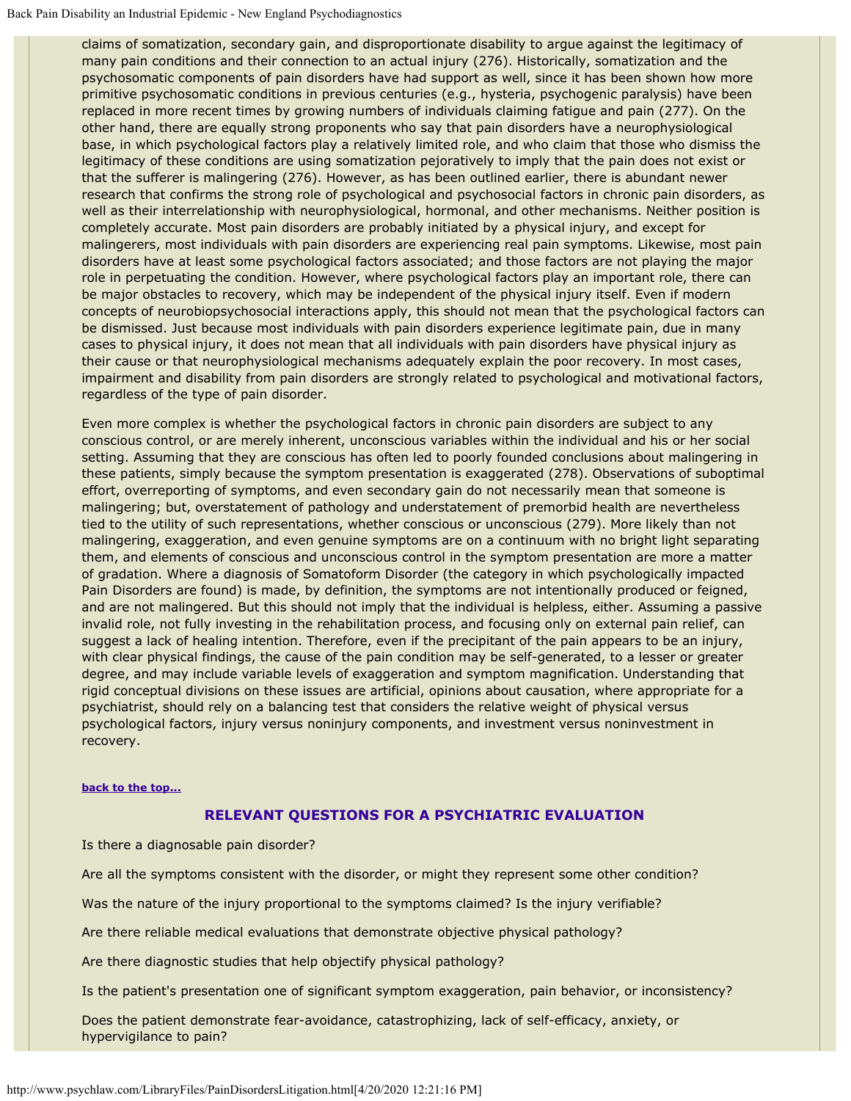claims of somatization, secondary gain, and disproportionate disability to argue against the legitimacy of many pain conditions and their connection to an actual injury (276). Historically, somatization and the psychosomatic components of pain disorders have had support as well, since it has been shown how more primitive psychosomatic conditions in previous centuries (e.g., hysteria, psychogenic paralysis) have been replaced in more recent times by growing numbers of individuals claiming fatigue and pain (277). On the other hand, there are equally strong proponents who say that pain disorders have a neurophysiological base, in which psychological factors play a relatively limited role, and who claim that those who dismiss the legitimacy of these conditions are using somatization pejoratively to imply that the pain does not exist or that the sufferer is malingering (276). However, as has been outlined earlier, there is abundant newer research that confirms the strong role of psychological and psychosocial factors in chronic pain disorders, as well as their interrelationship with neurophysiological, hormonal, and other mechanisms. Neither position is completely accurate. Most pain disorders are probably initiated by a physical injury, and except for malingerers, most individuals with pain disorders are experiencing real pain symptoms. Likewise, most pain disorders have at least some psychological factors associated; and those factors are not playing the major role in perpetuating the condition. However, where psychological factors play an important role, there can be major obstacles to recovery, which may be independent of the physical injury itself. Even if modern concepts of neurobiopsychosocial interactions apply, this should not mean that the psychological factors can be dismissed. Just because most individuals with pain disorders experience legitimate pain, due in many cases to physical injury, it does not mean that all individuals with pain disorders have physical injury as their cause or that neurophysiological mechanisms adequately explain the poor recovery. In most cases, impairment and disability from pain disorders are strongly related to psychological and motivational factors, regardless of the type of pain disorder.

Even more complex is whether the psychological factors in chronic pain disorders are subject to any conscious control, or are merely inherent, unconscious variables within the individual and his or her social setting. Assuming that they are conscious has often led to poorly founded conclusions about malingering in these patients, simply because the symptom presentation is exaggerated (278). Observations of suboptimal effort, overreporting of symptoms, and even secondary gain do not necessarily mean that someone is malingering; but, overstatement of pathology and understatement of premorbid health are nevertheless tied to the utility of such representations, whether conscious or unconscious (279). More likely than not malingering, exaggeration, and even genuine symptoms are on a continuum with no bright light separating them, and elements of conscious and unconscious control in the symptom presentation are more a matter of gradation. Where a diagnosis of Somatoform Disorder (the category in which psychologically impacted Pain Disorders are found) is made, by definition, the symptoms are not intentionally produced or feigned, and are not malingered. But this should not imply that the individual is helpless, either. Assuming a passive invalid role, not fully investing in the rehabilitation process, and focusing only on external pain relief, can suggest a lack of healing intention. Therefore, even if the precipitant of the pain appears to be an injury, with clear physical findings, the cause of the pain condition may be self-generated, to a lesser or greater degree, and may include variable levels of exaggeration and symptom magnification. Understanding that rigid conceptual divisions on these issues are artificial, opinions about causation, where appropriate for a psychiatrist, should rely on a balancing test that considers the relative weight of physical versus psychological factors, injury versus noninjury components, and investment versus noninvestment in recovery.

#### **[back to the top...](#page-0-1)**

### **RELEVANT QUESTIONS FOR A PSYCHIATRIC EVALUATION**

Is there a diagnosable pain disorder?

Are all the symptoms consistent with the disorder, or might they represent some other condition?

Was the nature of the injury proportional to the symptoms claimed? Is the injury verifiable?

Are there reliable medical evaluations that demonstrate objective physical pathology?

Are there diagnostic studies that help objectify physical pathology?

Is the patient's presentation one of significant symptom exaggeration, pain behavior, or inconsistency?

Does the patient demonstrate fear-avoidance, catastrophizing, lack of self-efficacy, anxiety, or hypervigilance to pain?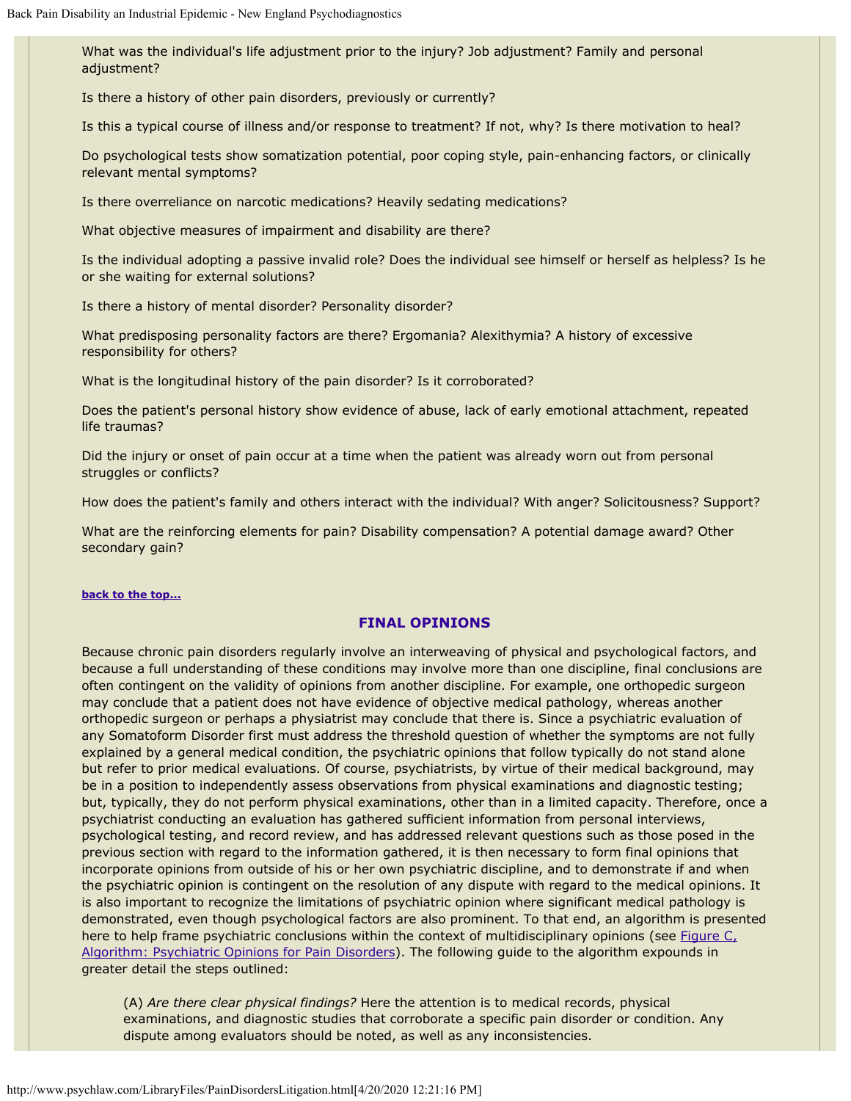What was the individual's life adjustment prior to the injury? Job adjustment? Family and personal adjustment?

Is there a history of other pain disorders, previously or currently?

Is this a typical course of illness and/or response to treatment? If not, why? Is there motivation to heal?

Do psychological tests show somatization potential, poor coping style, pain-enhancing factors, or clinically relevant mental symptoms?

Is there overreliance on narcotic medications? Heavily sedating medications?

What objective measures of impairment and disability are there?

Is the individual adopting a passive invalid role? Does the individual see himself or herself as helpless? Is he or she waiting for external solutions?

Is there a history of mental disorder? Personality disorder?

What predisposing personality factors are there? Ergomania? Alexithymia? A history of excessive responsibility for others?

What is the longitudinal history of the pain disorder? Is it corroborated?

Does the patient's personal history show evidence of abuse, lack of early emotional attachment, repeated life traumas?

Did the injury or onset of pain occur at a time when the patient was already worn out from personal struggles or conflicts?

How does the patient's family and others interact with the individual? With anger? Solicitousness? Support?

What are the reinforcing elements for pain? Disability compensation? A potential damage award? Other secondary gain?

#### **[back to the top...](#page-0-1)**

### **FINAL OPINIONS**

Because chronic pain disorders regularly involve an interweaving of physical and psychological factors, and because a full understanding of these conditions may involve more than one discipline, final conclusions are often contingent on the validity of opinions from another discipline. For example, one orthopedic surgeon may conclude that a patient does not have evidence of objective medical pathology, whereas another orthopedic surgeon or perhaps a physiatrist may conclude that there is. Since a psychiatric evaluation of any Somatoform Disorder first must address the threshold question of whether the symptoms are not fully explained by a general medical condition, the psychiatric opinions that follow typically do not stand alone but refer to prior medical evaluations. Of course, psychiatrists, by virtue of their medical background, may be in a position to independently assess observations from physical examinations and diagnostic testing; but, typically, they do not perform physical examinations, other than in a limited capacity. Therefore, once a psychiatrist conducting an evaluation has gathered sufficient information from personal interviews, psychological testing, and record review, and has addressed relevant questions such as those posed in the previous section with regard to the information gathered, it is then necessary to form final opinions that incorporate opinions from outside of his or her own psychiatric discipline, and to demonstrate if and when the psychiatric opinion is contingent on the resolution of any dispute with regard to the medical opinions. It is also important to recognize the limitations of psychiatric opinion where significant medical pathology is demonstrated, even though psychological factors are also prominent. To that end, an algorithm is presented here to help frame psychiatric conclusions within the context of multidisciplinary opinions (see [Figure C,](#page-0-0) [Algorithm: Psychiatric Opinions for Pain Disorders](#page-0-0)). The following guide to the algorithm expounds in greater detail the steps outlined:

(A) *Are there clear physical findings?* Here the attention is to medical records, physical examinations, and diagnostic studies that corroborate a specific pain disorder or condition. Any dispute among evaluators should be noted, as well as any inconsistencies.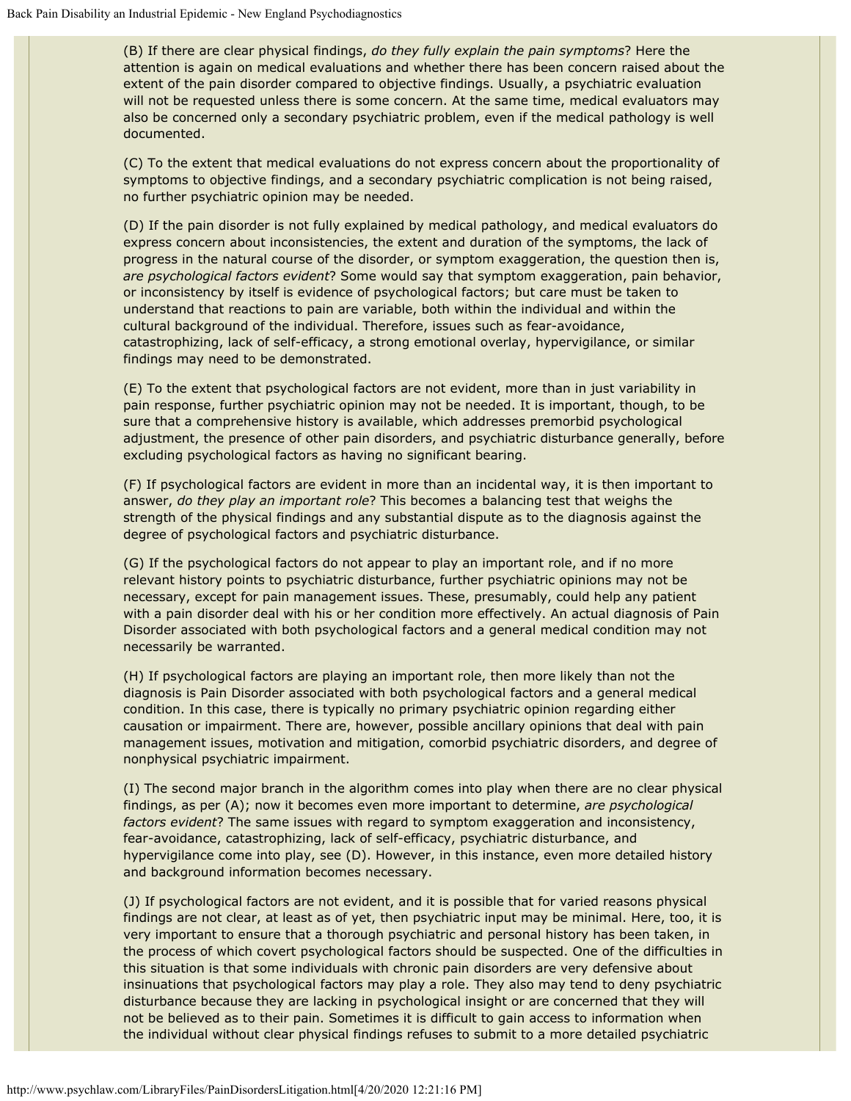(B) If there are clear physical findings, *do they fully explain the pain symptoms*? Here the attention is again on medical evaluations and whether there has been concern raised about the extent of the pain disorder compared to objective findings. Usually, a psychiatric evaluation will not be requested unless there is some concern. At the same time, medical evaluators may also be concerned only a secondary psychiatric problem, even if the medical pathology is well documented.

(C) To the extent that medical evaluations do not express concern about the proportionality of symptoms to objective findings, and a secondary psychiatric complication is not being raised, no further psychiatric opinion may be needed.

(D) If the pain disorder is not fully explained by medical pathology, and medical evaluators do express concern about inconsistencies, the extent and duration of the symptoms, the lack of progress in the natural course of the disorder, or symptom exaggeration, the question then is, *are psychological factors evident*? Some would say that symptom exaggeration, pain behavior, or inconsistency by itself is evidence of psychological factors; but care must be taken to understand that reactions to pain are variable, both within the individual and within the cultural background of the individual. Therefore, issues such as fear-avoidance, catastrophizing, lack of self-efficacy, a strong emotional overlay, hypervigilance, or similar findings may need to be demonstrated.

(E) To the extent that psychological factors are not evident, more than in just variability in pain response, further psychiatric opinion may not be needed. It is important, though, to be sure that a comprehensive history is available, which addresses premorbid psychological adjustment, the presence of other pain disorders, and psychiatric disturbance generally, before excluding psychological factors as having no significant bearing.

(F) If psychological factors are evident in more than an incidental way, it is then important to answer, *do they play an important role*? This becomes a balancing test that weighs the strength of the physical findings and any substantial dispute as to the diagnosis against the degree of psychological factors and psychiatric disturbance.

(G) If the psychological factors do not appear to play an important role, and if no more relevant history points to psychiatric disturbance, further psychiatric opinions may not be necessary, except for pain management issues. These, presumably, could help any patient with a pain disorder deal with his or her condition more effectively. An actual diagnosis of Pain Disorder associated with both psychological factors and a general medical condition may not necessarily be warranted.

(H) If psychological factors are playing an important role, then more likely than not the diagnosis is Pain Disorder associated with both psychological factors and a general medical condition. In this case, there is typically no primary psychiatric opinion regarding either causation or impairment. There are, however, possible ancillary opinions that deal with pain management issues, motivation and mitigation, comorbid psychiatric disorders, and degree of nonphysical psychiatric impairment.

(I) The second major branch in the algorithm comes into play when there are no clear physical findings, as per (A); now it becomes even more important to determine, *are psychological factors evident*? The same issues with regard to symptom exaggeration and inconsistency, fear-avoidance, catastrophizing, lack of self-efficacy, psychiatric disturbance, and hypervigilance come into play, see (D). However, in this instance, even more detailed history and background information becomes necessary.

(J) If psychological factors are not evident, and it is possible that for varied reasons physical findings are not clear, at least as of yet, then psychiatric input may be minimal. Here, too, it is very important to ensure that a thorough psychiatric and personal history has been taken, in the process of which covert psychological factors should be suspected. One of the difficulties in this situation is that some individuals with chronic pain disorders are very defensive about insinuations that psychological factors may play a role. They also may tend to deny psychiatric disturbance because they are lacking in psychological insight or are concerned that they will not be believed as to their pain. Sometimes it is difficult to gain access to information when the individual without clear physical findings refuses to submit to a more detailed psychiatric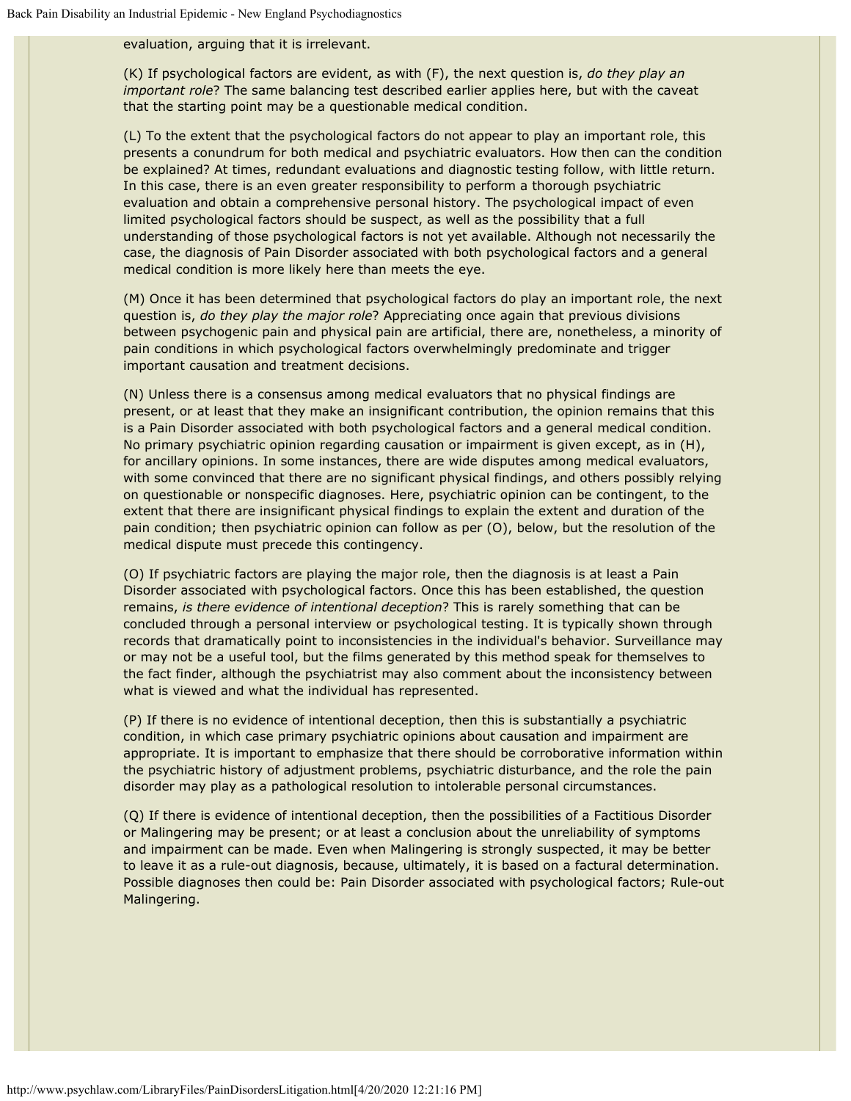evaluation, arguing that it is irrelevant.

(K) If psychological factors are evident, as with (F), the next question is, *do they play an important role*? The same balancing test described earlier applies here, but with the caveat that the starting point may be a questionable medical condition.

(L) To the extent that the psychological factors do not appear to play an important role, this presents a conundrum for both medical and psychiatric evaluators. How then can the condition be explained? At times, redundant evaluations and diagnostic testing follow, with little return. In this case, there is an even greater responsibility to perform a thorough psychiatric evaluation and obtain a comprehensive personal history. The psychological impact of even limited psychological factors should be suspect, as well as the possibility that a full understanding of those psychological factors is not yet available. Although not necessarily the case, the diagnosis of Pain Disorder associated with both psychological factors and a general medical condition is more likely here than meets the eye.

(M) Once it has been determined that psychological factors do play an important role, the next question is, *do they play the major role*? Appreciating once again that previous divisions between psychogenic pain and physical pain are artificial, there are, nonetheless, a minority of pain conditions in which psychological factors overwhelmingly predominate and trigger important causation and treatment decisions.

(N) Unless there is a consensus among medical evaluators that no physical findings are present, or at least that they make an insignificant contribution, the opinion remains that this is a Pain Disorder associated with both psychological factors and a general medical condition. No primary psychiatric opinion regarding causation or impairment is given except, as in (H), for ancillary opinions. In some instances, there are wide disputes among medical evaluators, with some convinced that there are no significant physical findings, and others possibly relying on questionable or nonspecific diagnoses. Here, psychiatric opinion can be contingent, to the extent that there are insignificant physical findings to explain the extent and duration of the pain condition; then psychiatric opinion can follow as per (O), below, but the resolution of the medical dispute must precede this contingency.

(O) If psychiatric factors are playing the major role, then the diagnosis is at least a Pain Disorder associated with psychological factors. Once this has been established, the question remains, *is there evidence of intentional deception*? This is rarely something that can be concluded through a personal interview or psychological testing. It is typically shown through records that dramatically point to inconsistencies in the individual's behavior. Surveillance may or may not be a useful tool, but the films generated by this method speak for themselves to the fact finder, although the psychiatrist may also comment about the inconsistency between what is viewed and what the individual has represented.

(P) If there is no evidence of intentional deception, then this is substantially a psychiatric condition, in which case primary psychiatric opinions about causation and impairment are appropriate. It is important to emphasize that there should be corroborative information within the psychiatric history of adjustment problems, psychiatric disturbance, and the role the pain disorder may play as a pathological resolution to intolerable personal circumstances.

(Q) If there is evidence of intentional deception, then the possibilities of a Factitious Disorder or Malingering may be present; or at least a conclusion about the unreliability of symptoms and impairment can be made. Even when Malingering is strongly suspected, it may be better to leave it as a rule-out diagnosis, because, ultimately, it is based on a factural determination. Possible diagnoses then could be: Pain Disorder associated with psychological factors; Rule-out Malingering.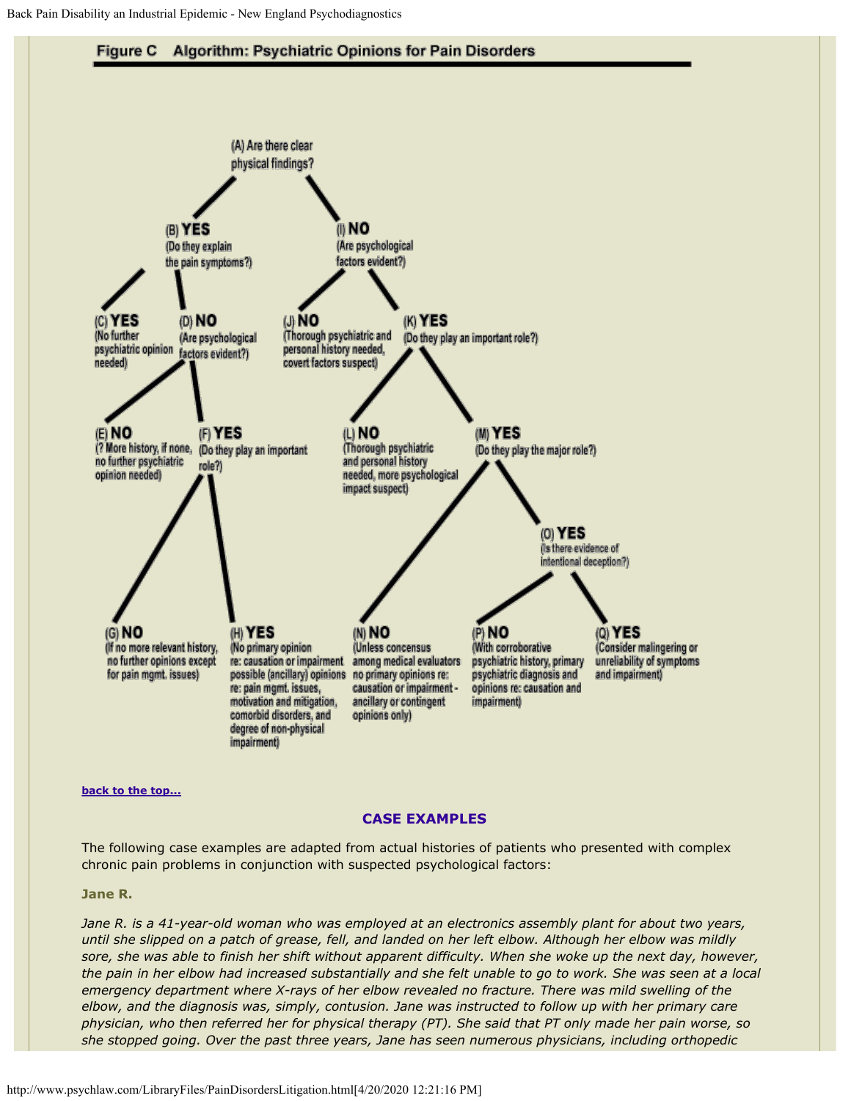

#### **[back to the top...](#page-0-1)**

#### **CASE EXAMPLES**

The following case examples are adapted from actual histories of patients who presented with complex chronic pain problems in conjunction with suspected psychological factors:

#### **Jane R.**

*Jane R. is a 41-year-old woman who was employed at an electronics assembly plant for about two years, until she slipped on a patch of grease, fell, and landed on her left elbow. Although her elbow was mildly sore, she was able to finish her shift without apparent difficulty. When she woke up the next day, however, the pain in her elbow had increased substantially and she felt unable to go to work. She was seen at a local emergency department where X-rays of her elbow revealed no fracture. There was mild swelling of the elbow, and the diagnosis was, simply, contusion. Jane was instructed to follow up with her primary care physician, who then referred her for physical therapy (PT). She said that PT only made her pain worse, so she stopped going. Over the past three years, Jane has seen numerous physicians, including orthopedic*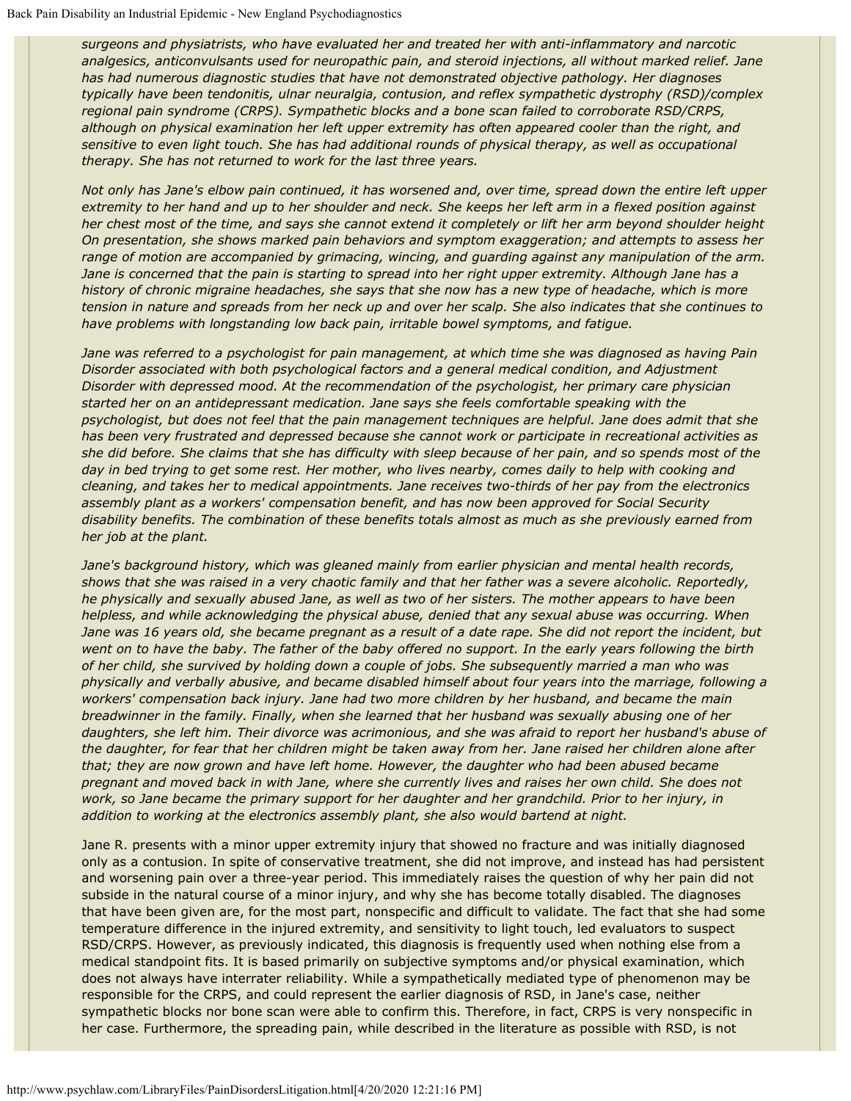*surgeons and physiatrists, who have evaluated her and treated her with anti-inflammatory and narcotic analgesics, anticonvulsants used for neuropathic pain, and steroid injections, all without marked relief. Jane has had numerous diagnostic studies that have not demonstrated objective pathology. Her diagnoses typically have been tendonitis, ulnar neuralgia, contusion, and reflex sympathetic dystrophy (RSD)/complex regional pain syndrome (CRPS). Sympathetic blocks and a bone scan failed to corroborate RSD/CRPS, although on physical examination her left upper extremity has often appeared cooler than the right, and sensitive to even light touch. She has had additional rounds of physical therapy, as well as occupational therapy. She has not returned to work for the last three years.*

*Not only has Jane's elbow pain continued, it has worsened and, over time, spread down the entire left upper extremity to her hand and up to her shoulder and neck. She keeps her left arm in a flexed position against her chest most of the time, and says she cannot extend it completely or lift her arm beyond shoulder height On presentation, she shows marked pain behaviors and symptom exaggeration; and attempts to assess her range of motion are accompanied by grimacing, wincing, and guarding against any manipulation of the arm. Jane is concerned that the pain is starting to spread into her right upper extremity. Although Jane has a history of chronic migraine headaches, she says that she now has a new type of headache, which is more tension in nature and spreads from her neck up and over her scalp. She also indicates that she continues to have problems with longstanding low back pain, irritable bowel symptoms, and fatigue.*

*Jane was referred to a psychologist for pain management, at which time she was diagnosed as having Pain Disorder associated with both psychological factors and a general medical condition, and Adjustment Disorder with depressed mood. At the recommendation of the psychologist, her primary care physician started her on an antidepressant medication. Jane says she feels comfortable speaking with the psychologist, but does not feel that the pain management techniques are helpful. Jane does admit that she has been very frustrated and depressed because she cannot work or participate in recreational activities as she did before. She claims that she has difficulty with sleep because of her pain, and so spends most of the day in bed trying to get some rest. Her mother, who lives nearby, comes daily to help with cooking and cleaning, and takes her to medical appointments. Jane receives two-thirds of her pay from the electronics assembly plant as a workers' compensation benefit, and has now been approved for Social Security disability benefits. The combination of these benefits totals almost as much as she previously earned from her job at the plant.*

*Jane's background history, which was gleaned mainly from earlier physician and mental health records, shows that she was raised in a very chaotic family and that her father was a severe alcoholic. Reportedly, he physically and sexually abused Jane, as well as two of her sisters. The mother appears to have been helpless, and while acknowledging the physical abuse, denied that any sexual abuse was occurring. When Jane was 16 years old, she became pregnant as a result of a date rape. She did not report the incident, but went on to have the baby. The father of the baby offered no support. In the early years following the birth of her child, she survived by holding down a couple of jobs. She subsequently married a man who was physically and verbally abusive, and became disabled himself about four years into the marriage, following a workers' compensation back injury. Jane had two more children by her husband, and became the main breadwinner in the family. Finally, when she learned that her husband was sexually abusing one of her daughters, she left him. Their divorce was acrimonious, and she was afraid to report her husband's abuse of the daughter, for fear that her children might be taken away from her. Jane raised her children alone after that; they are now grown and have left home. However, the daughter who had been abused became pregnant and moved back in with Jane, where she currently lives and raises her own child. She does not work, so Jane became the primary support for her daughter and her grandchild. Prior to her injury, in addition to working at the electronics assembly plant, she also would bartend at night.*

Jane R. presents with a minor upper extremity injury that showed no fracture and was initially diagnosed only as a contusion. In spite of conservative treatment, she did not improve, and instead has had persistent and worsening pain over a three-year period. This immediately raises the question of why her pain did not subside in the natural course of a minor injury, and why she has become totally disabled. The diagnoses that have been given are, for the most part, nonspecific and difficult to validate. The fact that she had some temperature difference in the injured extremity, and sensitivity to light touch, led evaluators to suspect RSD/CRPS. However, as previously indicated, this diagnosis is frequently used when nothing else from a medical standpoint fits. It is based primarily on subjective symptoms and/or physical examination, which does not always have interrater reliability. While a sympathetically mediated type of phenomenon may be responsible for the CRPS, and could represent the earlier diagnosis of RSD, in Jane's case, neither sympathetic blocks nor bone scan were able to confirm this. Therefore, in fact, CRPS is very nonspecific in her case. Furthermore, the spreading pain, while described in the literature as possible with RSD, is not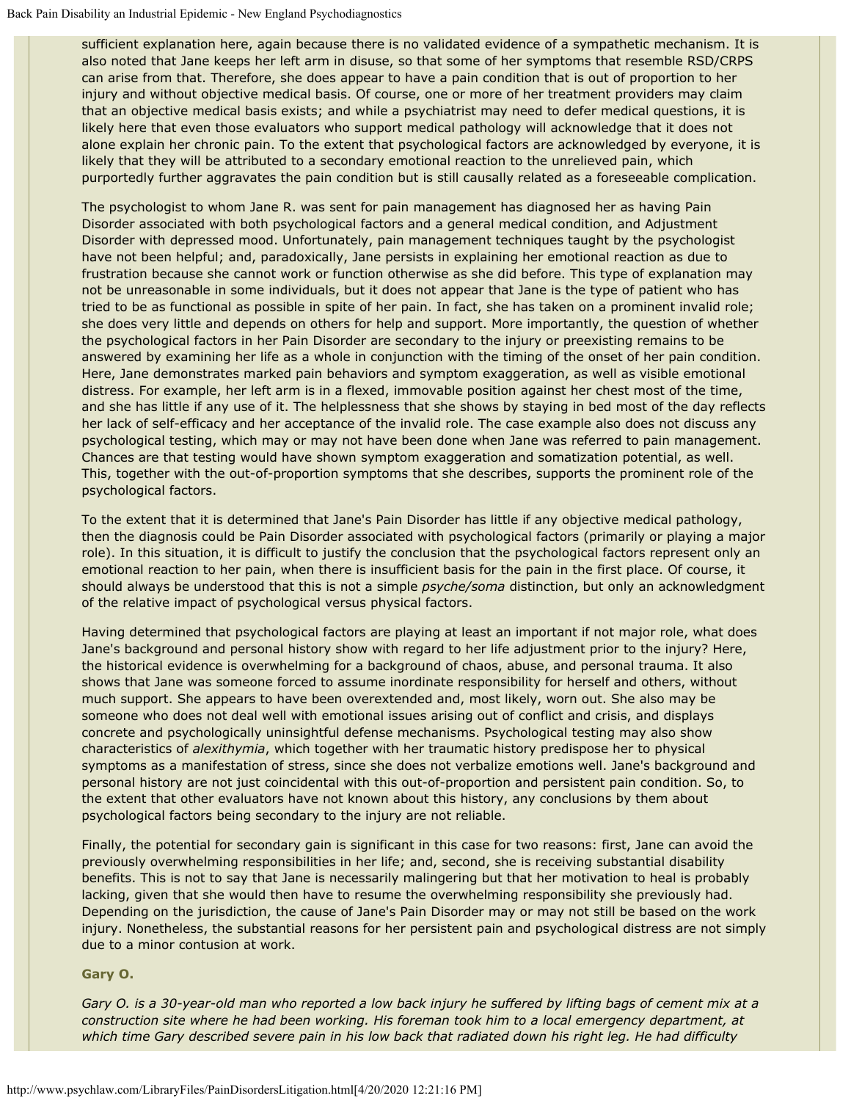sufficient explanation here, again because there is no validated evidence of a sympathetic mechanism. It is also noted that Jane keeps her left arm in disuse, so that some of her symptoms that resemble RSD/CRPS can arise from that. Therefore, she does appear to have a pain condition that is out of proportion to her injury and without objective medical basis. Of course, one or more of her treatment providers may claim that an objective medical basis exists; and while a psychiatrist may need to defer medical questions, it is likely here that even those evaluators who support medical pathology will acknowledge that it does not alone explain her chronic pain. To the extent that psychological factors are acknowledged by everyone, it is likely that they will be attributed to a secondary emotional reaction to the unrelieved pain, which purportedly further aggravates the pain condition but is still causally related as a foreseeable complication.

The psychologist to whom Jane R. was sent for pain management has diagnosed her as having Pain Disorder associated with both psychological factors and a general medical condition, and Adjustment Disorder with depressed mood. Unfortunately, pain management techniques taught by the psychologist have not been helpful; and, paradoxically, Jane persists in explaining her emotional reaction as due to frustration because she cannot work or function otherwise as she did before. This type of explanation may not be unreasonable in some individuals, but it does not appear that Jane is the type of patient who has tried to be as functional as possible in spite of her pain. In fact, she has taken on a prominent invalid role; she does very little and depends on others for help and support. More importantly, the question of whether the psychological factors in her Pain Disorder are secondary to the injury or preexisting remains to be answered by examining her life as a whole in conjunction with the timing of the onset of her pain condition. Here, Jane demonstrates marked pain behaviors and symptom exaggeration, as well as visible emotional distress. For example, her left arm is in a flexed, immovable position against her chest most of the time, and she has little if any use of it. The helplessness that she shows by staying in bed most of the day reflects her lack of self-efficacy and her acceptance of the invalid role. The case example also does not discuss any psychological testing, which may or may not have been done when Jane was referred to pain management. Chances are that testing would have shown symptom exaggeration and somatization potential, as well. This, together with the out-of-proportion symptoms that she describes, supports the prominent role of the psychological factors.

To the extent that it is determined that Jane's Pain Disorder has little if any objective medical pathology, then the diagnosis could be Pain Disorder associated with psychological factors (primarily or playing a major role). In this situation, it is difficult to justify the conclusion that the psychological factors represent only an emotional reaction to her pain, when there is insufficient basis for the pain in the first place. Of course, it should always be understood that this is not a simple *psyche/soma* distinction, but only an acknowledgment of the relative impact of psychological versus physical factors.

Having determined that psychological factors are playing at least an important if not major role, what does Jane's background and personal history show with regard to her life adjustment prior to the injury? Here, the historical evidence is overwhelming for a background of chaos, abuse, and personal trauma. It also shows that Jane was someone forced to assume inordinate responsibility for herself and others, without much support. She appears to have been overextended and, most likely, worn out. She also may be someone who does not deal well with emotional issues arising out of conflict and crisis, and displays concrete and psychologically uninsightful defense mechanisms. Psychological testing may also show characteristics of *alexithymia*, which together with her traumatic history predispose her to physical symptoms as a manifestation of stress, since she does not verbalize emotions well. Jane's background and personal history are not just coincidental with this out-of-proportion and persistent pain condition. So, to the extent that other evaluators have not known about this history, any conclusions by them about psychological factors being secondary to the injury are not reliable.

Finally, the potential for secondary gain is significant in this case for two reasons: first, Jane can avoid the previously overwhelming responsibilities in her life; and, second, she is receiving substantial disability benefits. This is not to say that Jane is necessarily malingering but that her motivation to heal is probably lacking, given that she would then have to resume the overwhelming responsibility she previously had. Depending on the jurisdiction, the cause of Jane's Pain Disorder may or may not still be based on the work injury. Nonetheless, the substantial reasons for her persistent pain and psychological distress are not simply due to a minor contusion at work.

#### **Gary O.**

*Gary O. is a 30-year-old man who reported a low back injury he suffered by lifting bags of cement mix at a construction site where he had been working. His foreman took him to a local emergency department, at which time Gary described severe pain in his low back that radiated down his right leg. He had difficulty*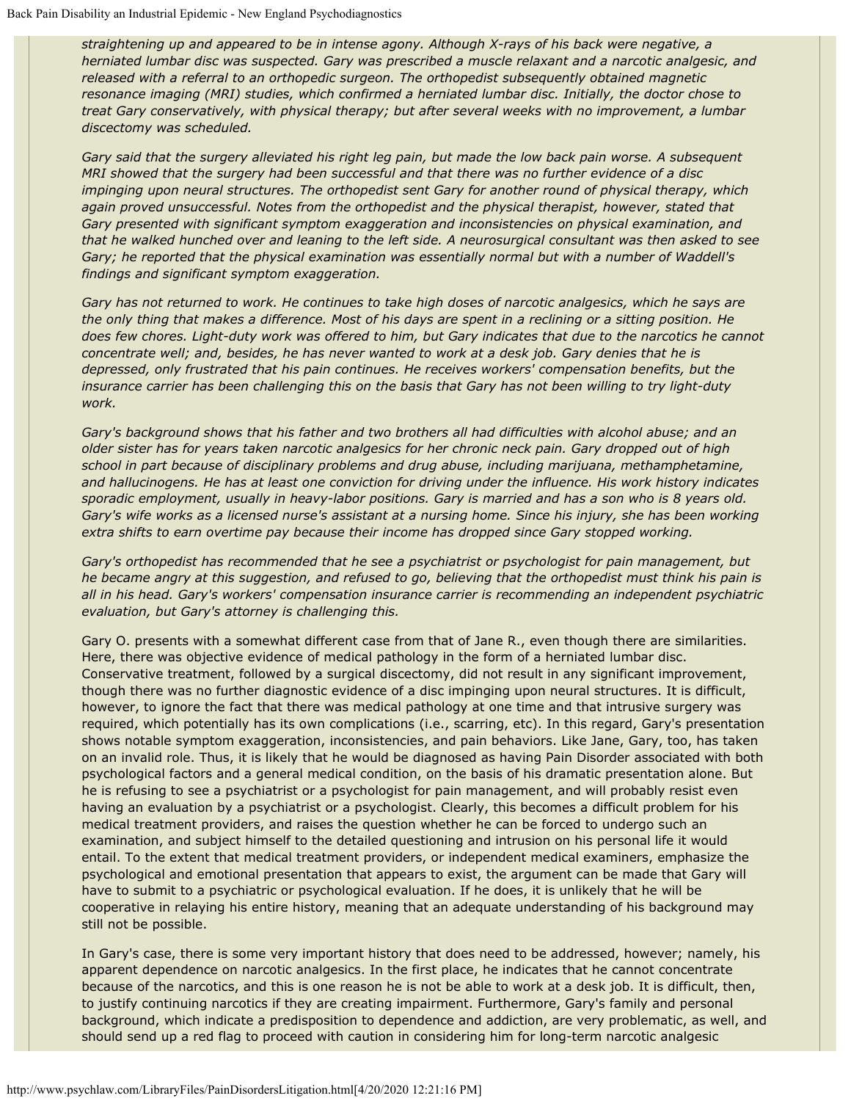*straightening up and appeared to be in intense agony. Although X-rays of his back were negative, a herniated lumbar disc was suspected. Gary was prescribed a muscle relaxant and a narcotic analgesic, and released with a referral to an orthopedic surgeon. The orthopedist subsequently obtained magnetic resonance imaging (MRI) studies, which confirmed a herniated lumbar disc. Initially, the doctor chose to treat Gary conservatively, with physical therapy; but after several weeks with no improvement, a lumbar discectomy was scheduled.*

*Gary said that the surgery alleviated his right leg pain, but made the low back pain worse. A subsequent MRI showed that the surgery had been successful and that there was no further evidence of a disc impinging upon neural structures. The orthopedist sent Gary for another round of physical therapy, which again proved unsuccessful. Notes from the orthopedist and the physical therapist, however, stated that Gary presented with significant symptom exaggeration and inconsistencies on physical examination, and that he walked hunched over and leaning to the left side. A neurosurgical consultant was then asked to see Gary; he reported that the physical examination was essentially normal but with a number of Waddell's findings and significant symptom exaggeration.*

*Gary has not returned to work. He continues to take high doses of narcotic analgesics, which he says are the only thing that makes a difference. Most of his days are spent in a reclining or a sitting position. He does few chores. Light-duty work was offered to him, but Gary indicates that due to the narcotics he cannot concentrate well; and, besides, he has never wanted to work at a desk job. Gary denies that he is depressed, only frustrated that his pain continues. He receives workers' compensation benefits, but the insurance carrier has been challenging this on the basis that Gary has not been willing to try light-duty work.*

*Gary's background shows that his father and two brothers all had difficulties with alcohol abuse; and an older sister has for years taken narcotic analgesics for her chronic neck pain. Gary dropped out of high school in part because of disciplinary problems and drug abuse, including marijuana, methamphetamine, and hallucinogens. He has at least one conviction for driving under the influence. His work history indicates sporadic employment, usually in heavy-labor positions. Gary is married and has a son who is 8 years old. Gary's wife works as a licensed nurse's assistant at a nursing home. Since his injury, she has been working extra shifts to earn overtime pay because their income has dropped since Gary stopped working.*

*Gary's orthopedist has recommended that he see a psychiatrist or psychologist for pain management, but he became angry at this suggestion, and refused to go, believing that the orthopedist must think his pain is all in his head. Gary's workers' compensation insurance carrier is recommending an independent psychiatric evaluation, but Gary's attorney is challenging this.*

Gary O. presents with a somewhat different case from that of Jane R., even though there are similarities. Here, there was objective evidence of medical pathology in the form of a herniated lumbar disc. Conservative treatment, followed by a surgical discectomy, did not result in any significant improvement, though there was no further diagnostic evidence of a disc impinging upon neural structures. It is difficult, however, to ignore the fact that there was medical pathology at one time and that intrusive surgery was required, which potentially has its own complications (i.e., scarring, etc). In this regard, Gary's presentation shows notable symptom exaggeration, inconsistencies, and pain behaviors. Like Jane, Gary, too, has taken on an invalid role. Thus, it is likely that he would be diagnosed as having Pain Disorder associated with both psychological factors and a general medical condition, on the basis of his dramatic presentation alone. But he is refusing to see a psychiatrist or a psychologist for pain management, and will probably resist even having an evaluation by a psychiatrist or a psychologist. Clearly, this becomes a difficult problem for his medical treatment providers, and raises the question whether he can be forced to undergo such an examination, and subject himself to the detailed questioning and intrusion on his personal life it would entail. To the extent that medical treatment providers, or independent medical examiners, emphasize the psychological and emotional presentation that appears to exist, the argument can be made that Gary will have to submit to a psychiatric or psychological evaluation. If he does, it is unlikely that he will be cooperative in relaying his entire history, meaning that an adequate understanding of his background may still not be possible.

In Gary's case, there is some very important history that does need to be addressed, however; namely, his apparent dependence on narcotic analgesics. In the first place, he indicates that he cannot concentrate because of the narcotics, and this is one reason he is not be able to work at a desk job. It is difficult, then, to justify continuing narcotics if they are creating impairment. Furthermore, Gary's family and personal background, which indicate a predisposition to dependence and addiction, are very problematic, as well, and should send up a red flag to proceed with caution in considering him for long-term narcotic analgesic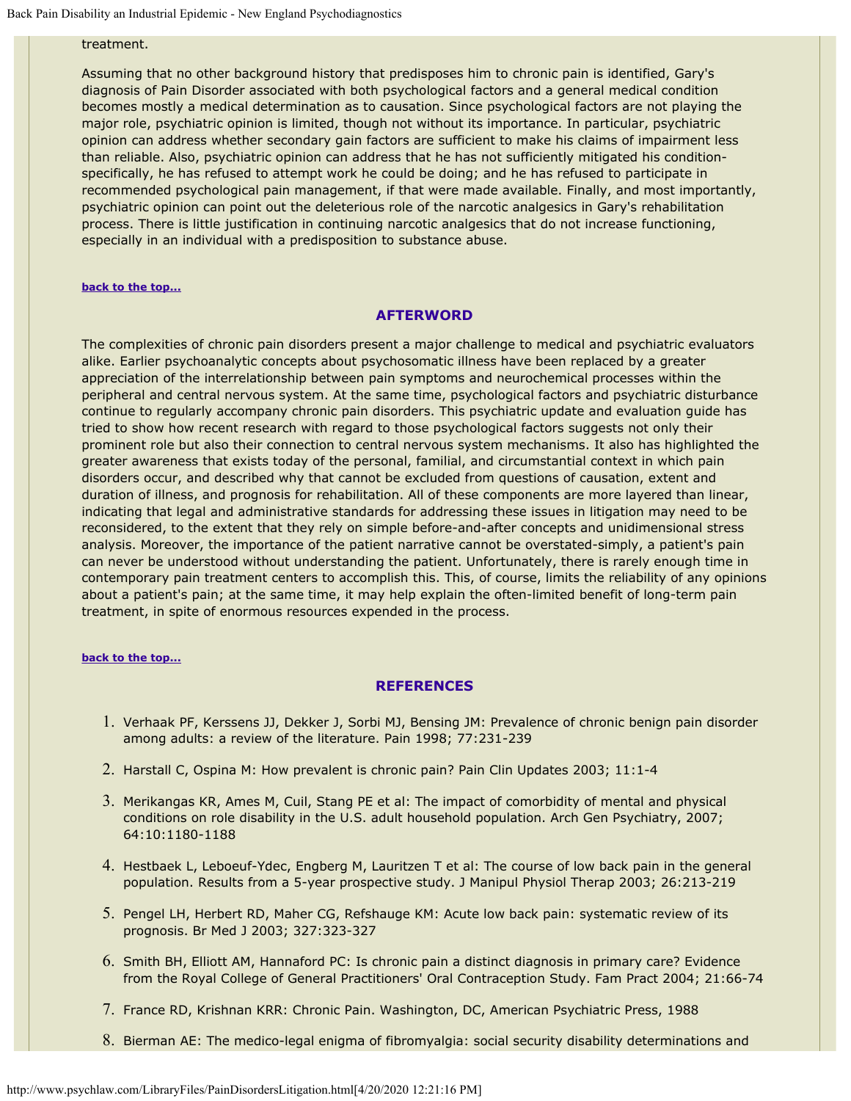## treatment.

Assuming that no other background history that predisposes him to chronic pain is identified, Gary's diagnosis of Pain Disorder associated with both psychological factors and a general medical condition becomes mostly a medical determination as to causation. Since psychological factors are not playing the major role, psychiatric opinion is limited, though not without its importance. In particular, psychiatric opinion can address whether secondary gain factors are sufficient to make his claims of impairment less than reliable. Also, psychiatric opinion can address that he has not sufficiently mitigated his conditionspecifically, he has refused to attempt work he could be doing; and he has refused to participate in recommended psychological pain management, if that were made available. Finally, and most importantly, psychiatric opinion can point out the deleterious role of the narcotic analgesics in Gary's rehabilitation process. There is little justification in continuing narcotic analgesics that do not increase functioning, especially in an individual with a predisposition to substance abuse.

#### **[back to the top...](#page-0-1)**

#### **AFTERWORD**

The complexities of chronic pain disorders present a major challenge to medical and psychiatric evaluators alike. Earlier psychoanalytic concepts about psychosomatic illness have been replaced by a greater appreciation of the interrelationship between pain symptoms and neurochemical processes within the peripheral and central nervous system. At the same time, psychological factors and psychiatric disturbance continue to regularly accompany chronic pain disorders. This psychiatric update and evaluation guide has tried to show how recent research with regard to those psychological factors suggests not only their prominent role but also their connection to central nervous system mechanisms. It also has highlighted the greater awareness that exists today of the personal, familial, and circumstantial context in which pain disorders occur, and described why that cannot be excluded from questions of causation, extent and duration of illness, and prognosis for rehabilitation. All of these components are more layered than linear, indicating that legal and administrative standards for addressing these issues in litigation may need to be reconsidered, to the extent that they rely on simple before-and-after concepts and unidimensional stress analysis. Moreover, the importance of the patient narrative cannot be overstated-simply, a patient's pain can never be understood without understanding the patient. Unfortunately, there is rarely enough time in contemporary pain treatment centers to accomplish this. This, of course, limits the reliability of any opinions about a patient's pain; at the same time, it may help explain the often-limited benefit of long-term pain treatment, in spite of enormous resources expended in the process.

#### **[back to the top...](#page-0-1)**

#### **REFERENCES**

- 1. Verhaak PF, Kerssens JJ, Dekker J, Sorbi MJ, Bensing JM: Prevalence of chronic benign pain disorder among adults: a review of the literature. Pain 1998; 77:231-239
- 2. Harstall C, Ospina M: How prevalent is chronic pain? Pain Clin Updates 2003; 11:1-4
- 3. Merikangas KR, Ames M, Cuil, Stang PE et al: The impact of comorbidity of mental and physical conditions on role disability in the U.S. adult household population. Arch Gen Psychiatry, 2007; 64:10:1180-1188
- 4. Hestbaek L, Leboeuf-Ydec, Engberg M, Lauritzen T et al: The course of low back pain in the general population. Results from a 5-year prospective study. J Manipul Physiol Therap 2003; 26:213-219
- 5. Pengel LH, Herbert RD, Maher CG, Refshauge KM: Acute low back pain: systematic review of its prognosis. Br Med J 2003; 327:323-327
- 6. Smith BH, Elliott AM, Hannaford PC: Is chronic pain a distinct diagnosis in primary care? Evidence from the Royal College of General Practitioners' Oral Contraception Study. Fam Pract 2004; 21:66-74
- 7. France RD, Krishnan KRR: Chronic Pain. Washington, DC, American Psychiatric Press, 1988
- 8. Bierman AE: The medico-legal enigma of fibromyalgia: social security disability determinations and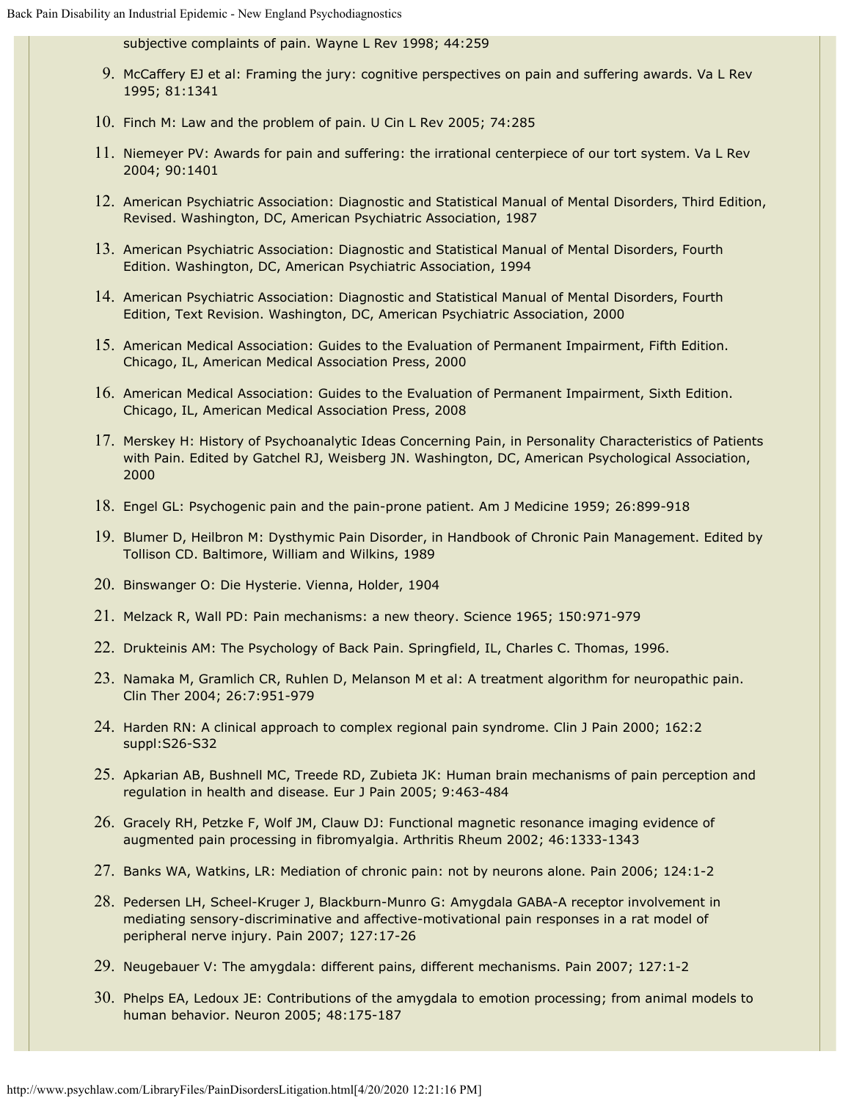subjective complaints of pain. Wayne L Rev 1998; 44:259

- 9. McCaffery EJ et al: Framing the jury: cognitive perspectives on pain and suffering awards. Va L Rev 1995; 81:1341
- 10. Finch M: Law and the problem of pain. U Cin L Rev 2005; 74:285
- 11. Niemeyer PV: Awards for pain and suffering: the irrational centerpiece of our tort system. Va L Rev 2004; 90:1401
- 12. American Psychiatric Association: Diagnostic and Statistical Manual of Mental Disorders, Third Edition, Revised. Washington, DC, American Psychiatric Association, 1987
- 13. American Psychiatric Association: Diagnostic and Statistical Manual of Mental Disorders, Fourth Edition. Washington, DC, American Psychiatric Association, 1994
- 14. American Psychiatric Association: Diagnostic and Statistical Manual of Mental Disorders, Fourth Edition, Text Revision. Washington, DC, American Psychiatric Association, 2000
- 15. American Medical Association: Guides to the Evaluation of Permanent Impairment, Fifth Edition. Chicago, IL, American Medical Association Press, 2000
- 16. American Medical Association: Guides to the Evaluation of Permanent Impairment, Sixth Edition. Chicago, IL, American Medical Association Press, 2008
- 17. Merskey H: History of Psychoanalytic Ideas Concerning Pain, in Personality Characteristics of Patients with Pain. Edited by Gatchel RJ, Weisberg JN. Washington, DC, American Psychological Association, 2000
- 18. Engel GL: Psychogenic pain and the pain-prone patient. Am J Medicine 1959; 26:899-918
- 19. Blumer D, Heilbron M: Dysthymic Pain Disorder, in Handbook of Chronic Pain Management. Edited by Tollison CD. Baltimore, William and Wilkins, 1989
- 20. Binswanger O: Die Hysterie. Vienna, Holder, 1904
- 21. Melzack R, Wall PD: Pain mechanisms: a new theory. Science 1965; 150:971-979
- 22. Drukteinis AM: The Psychology of Back Pain. Springfield, IL, Charles C. Thomas, 1996.
- 23. Namaka M, Gramlich CR, Ruhlen D, Melanson M et al: A treatment algorithm for neuropathic pain. Clin Ther 2004; 26:7:951-979
- 24. Harden RN: A clinical approach to complex regional pain syndrome. Clin J Pain 2000; 162:2 suppl:S26-S32
- 25. Apkarian AB, Bushnell MC, Treede RD, Zubieta JK: Human brain mechanisms of pain perception and regulation in health and disease. Eur J Pain 2005; 9:463-484
- 26. Gracely RH, Petzke F, Wolf JM, Clauw DJ: Functional magnetic resonance imaging evidence of augmented pain processing in fibromyalgia. Arthritis Rheum 2002; 46:1333-1343
- 27. Banks WA, Watkins, LR: Mediation of chronic pain: not by neurons alone. Pain 2006; 124:1-2
- 28. Pedersen LH, Scheel-Kruger J, Blackburn-Munro G: Amygdala GABA-A receptor involvement in mediating sensory-discriminative and affective-motivational pain responses in a rat model of peripheral nerve injury. Pain 2007; 127:17-26
- 29. Neugebauer V: The amygdala: different pains, different mechanisms. Pain 2007; 127:1-2
- 30. Phelps EA, Ledoux JE: Contributions of the amygdala to emotion processing; from animal models to human behavior. Neuron 2005; 48:175-187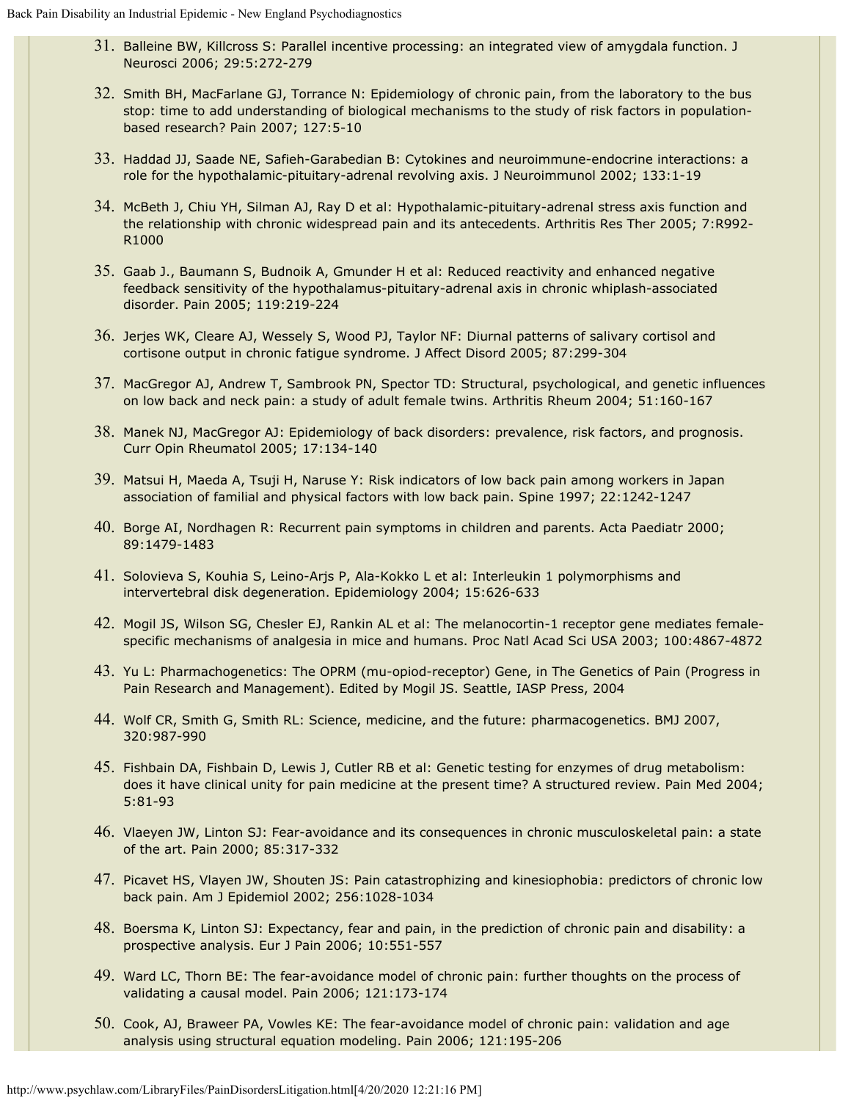- 31. Balleine BW, Killcross S: Parallel incentive processing: an integrated view of amygdala function. J Neurosci 2006; 29:5:272-279
- 32. Smith BH, MacFarlane GJ, Torrance N: Epidemiology of chronic pain, from the laboratory to the bus stop: time to add understanding of biological mechanisms to the study of risk factors in populationbased research? Pain 2007; 127:5-10
- 33. Haddad JJ, Saade NE, Safieh-Garabedian B: Cytokines and neuroimmune-endocrine interactions: a role for the hypothalamic-pituitary-adrenal revolving axis. J Neuroimmunol 2002; 133:1-19
- 34. McBeth J, Chiu YH, Silman AJ, Ray D et al: Hypothalamic-pituitary-adrenal stress axis function and the relationship with chronic widespread pain and its antecedents. Arthritis Res Ther 2005; 7:R992- R1000
- 35. Gaab J., Baumann S, Budnoik A, Gmunder H et al: Reduced reactivity and enhanced negative feedback sensitivity of the hypothalamus-pituitary-adrenal axis in chronic whiplash-associated disorder. Pain 2005; 119:219-224
- 36. Jerjes WK, Cleare AJ, Wessely S, Wood PJ, Taylor NF: Diurnal patterns of salivary cortisol and cortisone output in chronic fatigue syndrome. J Affect Disord 2005; 87:299-304
- 37. MacGregor AJ, Andrew T, Sambrook PN, Spector TD: Structural, psychological, and genetic influences on low back and neck pain: a study of adult female twins. Arthritis Rheum 2004; 51:160-167
- 38. Manek NJ, MacGregor AJ: Epidemiology of back disorders: prevalence, risk factors, and prognosis. Curr Opin Rheumatol 2005; 17:134-140
- 39. Matsui H, Maeda A, Tsuji H, Naruse Y: Risk indicators of low back pain among workers in Japan association of familial and physical factors with low back pain. Spine 1997; 22:1242-1247
- 40. Borge AI, Nordhagen R: Recurrent pain symptoms in children and parents. Acta Paediatr 2000; 89:1479-1483
- 41. Solovieva S, Kouhia S, Leino-Arjs P, Ala-Kokko L et al: Interleukin 1 polymorphisms and intervertebral disk degeneration. Epidemiology 2004; 15:626-633
- 42. Mogil JS, Wilson SG, Chesler EJ, Rankin AL et al: The melanocortin-1 receptor gene mediates femalespecific mechanisms of analgesia in mice and humans. Proc Natl Acad Sci USA 2003; 100:4867-4872
- 43. Yu L: Pharmachogenetics: The OPRM (mu-opiod-receptor) Gene, in The Genetics of Pain (Progress in Pain Research and Management). Edited by Mogil JS. Seattle, IASP Press, 2004
- 44. Wolf CR, Smith G, Smith RL: Science, medicine, and the future: pharmacogenetics. BMJ 2007, 320:987-990
- 45. Fishbain DA, Fishbain D, Lewis J, Cutler RB et al: Genetic testing for enzymes of drug metabolism: does it have clinical unity for pain medicine at the present time? A structured review. Pain Med 2004; 5:81-93
- 46. Vlaeyen JW, Linton SJ: Fear-avoidance and its consequences in chronic musculoskeletal pain: a state of the art. Pain 2000; 85:317-332
- 47. Picavet HS, Vlayen JW, Shouten JS: Pain catastrophizing and kinesiophobia: predictors of chronic low back pain. Am J Epidemiol 2002; 256:1028-1034
- 48. Boersma K, Linton SJ: Expectancy, fear and pain, in the prediction of chronic pain and disability: a prospective analysis. Eur J Pain 2006; 10:551-557
- 49. Ward LC, Thorn BE: The fear-avoidance model of chronic pain: further thoughts on the process of validating a causal model. Pain 2006; 121:173-174
- 50. Cook, AJ, Braweer PA, Vowles KE: The fear-avoidance model of chronic pain: validation and age analysis using structural equation modeling. Pain 2006; 121:195-206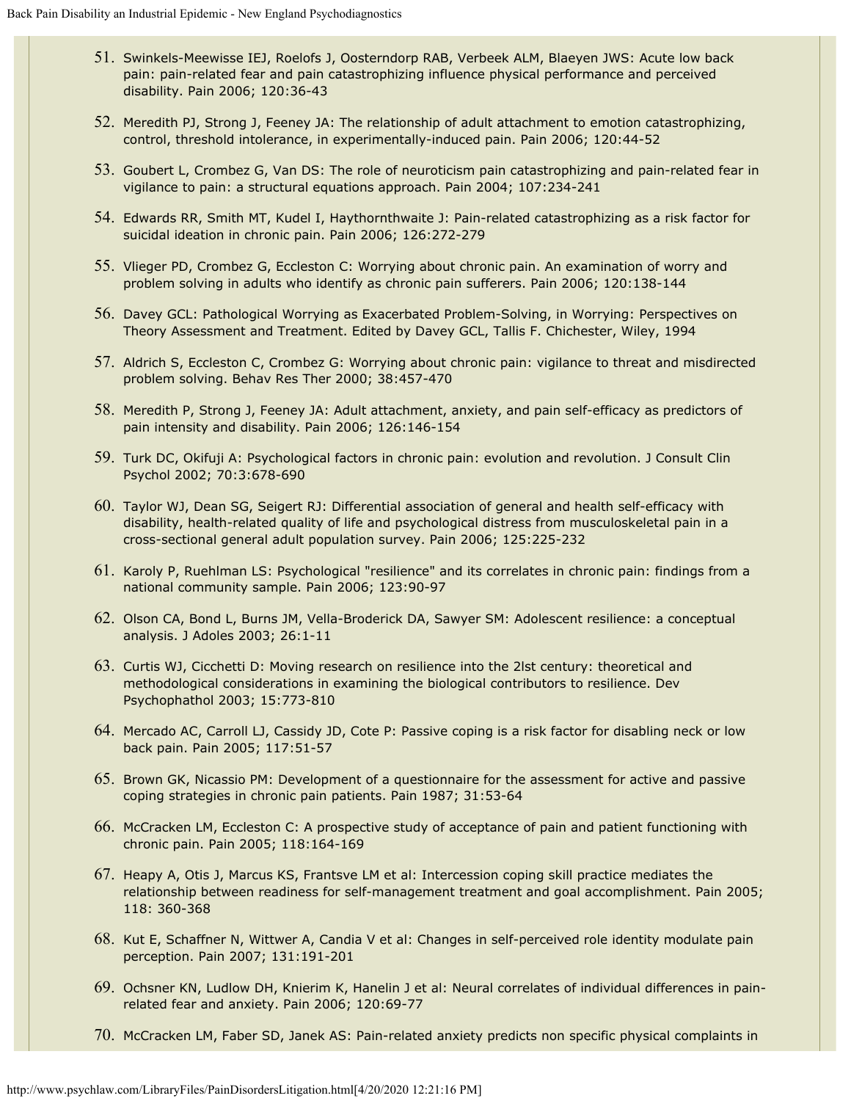- 51. Swinkels-Meewisse IEJ, Roelofs J, Oosterndorp RAB, Verbeek ALM, Blaeyen JWS: Acute low back pain: pain-related fear and pain catastrophizing influence physical performance and perceived disability. Pain 2006; 120:36-43
- 52. Meredith PJ, Strong J, Feeney JA: The relationship of adult attachment to emotion catastrophizing, control, threshold intolerance, in experimentally-induced pain. Pain 2006; 120:44-52
- 53. Goubert L, Crombez G, Van DS: The role of neuroticism pain catastrophizing and pain-related fear in vigilance to pain: a structural equations approach. Pain 2004; 107:234-241
- 54. Edwards RR, Smith MT, Kudel I, Haythornthwaite J: Pain-related catastrophizing as a risk factor for suicidal ideation in chronic pain. Pain 2006; 126:272-279
- 55. Vlieger PD, Crombez G, Eccleston C: Worrying about chronic pain. An examination of worry and problem solving in adults who identify as chronic pain sufferers. Pain 2006; 120:138-144
- 56. Davey GCL: Pathological Worrying as Exacerbated Problem-Solving, in Worrying: Perspectives on Theory Assessment and Treatment. Edited by Davey GCL, Tallis F. Chichester, Wiley, 1994
- 57. Aldrich S, Eccleston C, Crombez G: Worrying about chronic pain: vigilance to threat and misdirected problem solving. Behav Res Ther 2000; 38:457-470
- 58. Meredith P, Strong J, Feeney JA: Adult attachment, anxiety, and pain self-efficacy as predictors of pain intensity and disability. Pain 2006; 126:146-154
- 59. Turk DC, Okifuji A: Psychological factors in chronic pain: evolution and revolution. J Consult Clin Psychol 2002; 70:3:678-690
- 60. Taylor WJ, Dean SG, Seigert RJ: Differential association of general and health self-efficacy with disability, health-related quality of life and psychological distress from musculoskeletal pain in a cross-sectional general adult population survey. Pain 2006; 125:225-232
- 61. Karoly P, Ruehlman LS: Psychological "resilience" and its correlates in chronic pain: findings from a national community sample. Pain 2006; 123:90-97
- 62. Olson CA, Bond L, Burns JM, Vella-Broderick DA, Sawyer SM: Adolescent resilience: a conceptual analysis. J Adoles 2003; 26:1-11
- 63. Curtis WJ, Cicchetti D: Moving research on resilience into the 2lst century: theoretical and methodological considerations in examining the biological contributors to resilience. Dev Psychophathol 2003; 15:773-810
- 64. Mercado AC, Carroll LJ, Cassidy JD, Cote P: Passive coping is a risk factor for disabling neck or low back pain. Pain 2005; 117:51-57
- 65. Brown GK, Nicassio PM: Development of a questionnaire for the assessment for active and passive coping strategies in chronic pain patients. Pain 1987; 31:53-64
- 66. McCracken LM, Eccleston C: A prospective study of acceptance of pain and patient functioning with chronic pain. Pain 2005; 118:164-169
- 67. Heapy A, Otis J, Marcus KS, Frantsve LM et al: Intercession coping skill practice mediates the relationship between readiness for self-management treatment and goal accomplishment. Pain 2005; 118: 360-368
- 68. Kut E, Schaffner N, Wittwer A, Candia V et al: Changes in self-perceived role identity modulate pain perception. Pain 2007; 131:191-201
- 69. Ochsner KN, Ludlow DH, Knierim K, Hanelin J et al: Neural correlates of individual differences in painrelated fear and anxiety. Pain 2006; 120:69-77
- 70. McCracken LM, Faber SD, Janek AS: Pain-related anxiety predicts non specific physical complaints in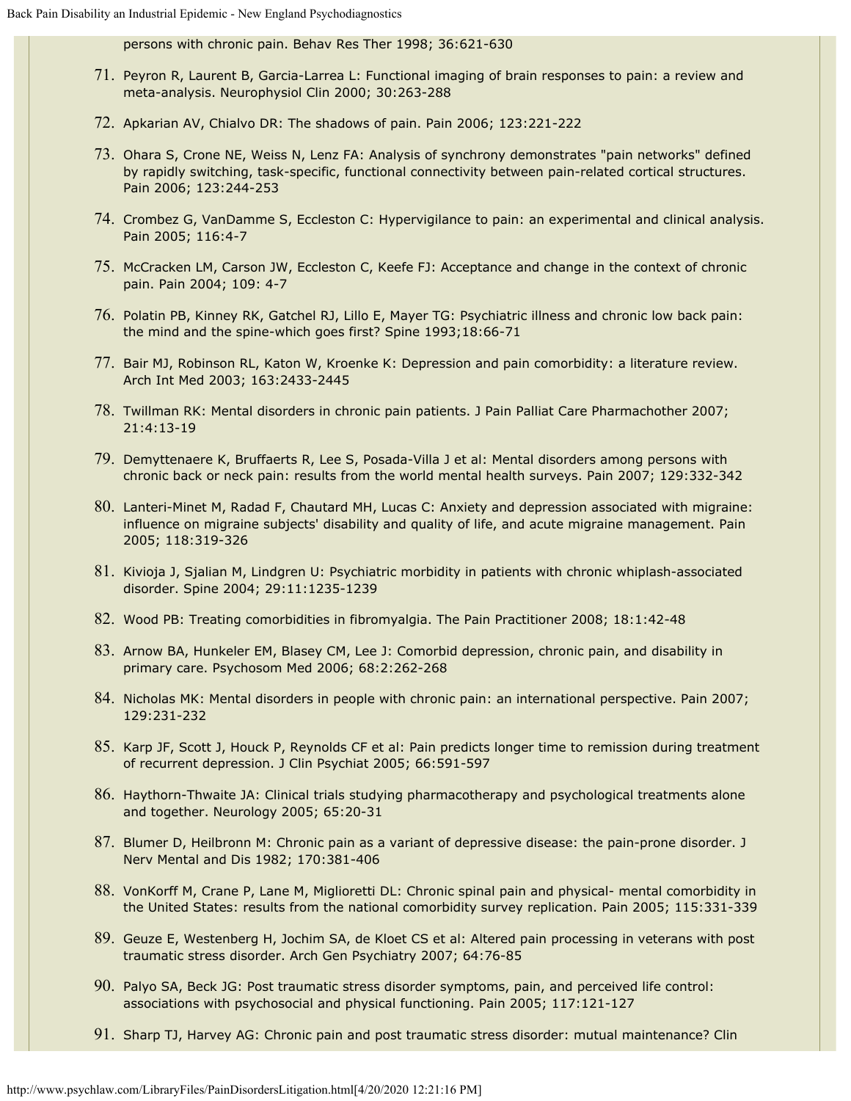persons with chronic pain. Behav Res Ther 1998; 36:621-630

- 71. Peyron R, Laurent B, Garcia-Larrea L: Functional imaging of brain responses to pain: a review and meta-analysis. Neurophysiol Clin 2000; 30:263-288
- 72. Apkarian AV, Chialvo DR: The shadows of pain. Pain 2006; 123:221-222
- 73. Ohara S, Crone NE, Weiss N, Lenz FA: Analysis of synchrony demonstrates "pain networks" defined by rapidly switching, task-specific, functional connectivity between pain-related cortical structures. Pain 2006; 123:244-253
- 74. Crombez G, VanDamme S, Eccleston C: Hypervigilance to pain: an experimental and clinical analysis. Pain 2005; 116:4-7
- 75. McCracken LM, Carson JW, Eccleston C, Keefe FJ: Acceptance and change in the context of chronic pain. Pain 2004; 109: 4-7
- 76. Polatin PB, Kinney RK, Gatchel RJ, Lillo E, Mayer TG: Psychiatric illness and chronic low back pain: the mind and the spine-which goes first? Spine 1993;18:66-71
- 77. Bair MJ, Robinson RL, Katon W, Kroenke K: Depression and pain comorbidity: a literature review. Arch Int Med 2003; 163:2433-2445
- 78. Twillman RK: Mental disorders in chronic pain patients. J Pain Palliat Care Pharmachother 2007; 21:4:13-19
- 79. Demyttenaere K, Bruffaerts R, Lee S, Posada-Villa J et al: Mental disorders among persons with chronic back or neck pain: results from the world mental health surveys. Pain 2007; 129:332-342
- 80. Lanteri-Minet M, Radad F, Chautard MH, Lucas C: Anxiety and depression associated with migraine: influence on migraine subjects' disability and quality of life, and acute migraine management. Pain 2005; 118:319-326
- 81. Kivioja J, Sjalian M, Lindgren U: Psychiatric morbidity in patients with chronic whiplash-associated disorder. Spine 2004; 29:11:1235-1239
- 82. Wood PB: Treating comorbidities in fibromyalgia. The Pain Practitioner 2008; 18:1:42-48
- 83. Arnow BA, Hunkeler EM, Blasey CM, Lee J: Comorbid depression, chronic pain, and disability in primary care. Psychosom Med 2006; 68:2:262-268
- 84. Nicholas MK: Mental disorders in people with chronic pain: an international perspective. Pain 2007; 129:231-232
- 85. Karp JF, Scott J, Houck P, Reynolds CF et al: Pain predicts longer time to remission during treatment of recurrent depression. J Clin Psychiat 2005; 66:591-597
- 86. Haythorn-Thwaite JA: Clinical trials studying pharmacotherapy and psychological treatments alone and together. Neurology 2005; 65:20-31
- 87. Blumer D, Heilbronn M: Chronic pain as a variant of depressive disease: the pain-prone disorder. J Nerv Mental and Dis 1982; 170:381-406
- 88. VonKorff M, Crane P, Lane M, Miglioretti DL: Chronic spinal pain and physical- mental comorbidity in the United States: results from the national comorbidity survey replication. Pain 2005; 115:331-339
- 89. Geuze E, Westenberg H, Jochim SA, de Kloet CS et al: Altered pain processing in veterans with post traumatic stress disorder. Arch Gen Psychiatry 2007; 64:76-85
- 90. Palyo SA, Beck JG: Post traumatic stress disorder symptoms, pain, and perceived life control: associations with psychosocial and physical functioning. Pain 2005; 117:121-127
- 91. Sharp TJ, Harvey AG: Chronic pain and post traumatic stress disorder: mutual maintenance? Clin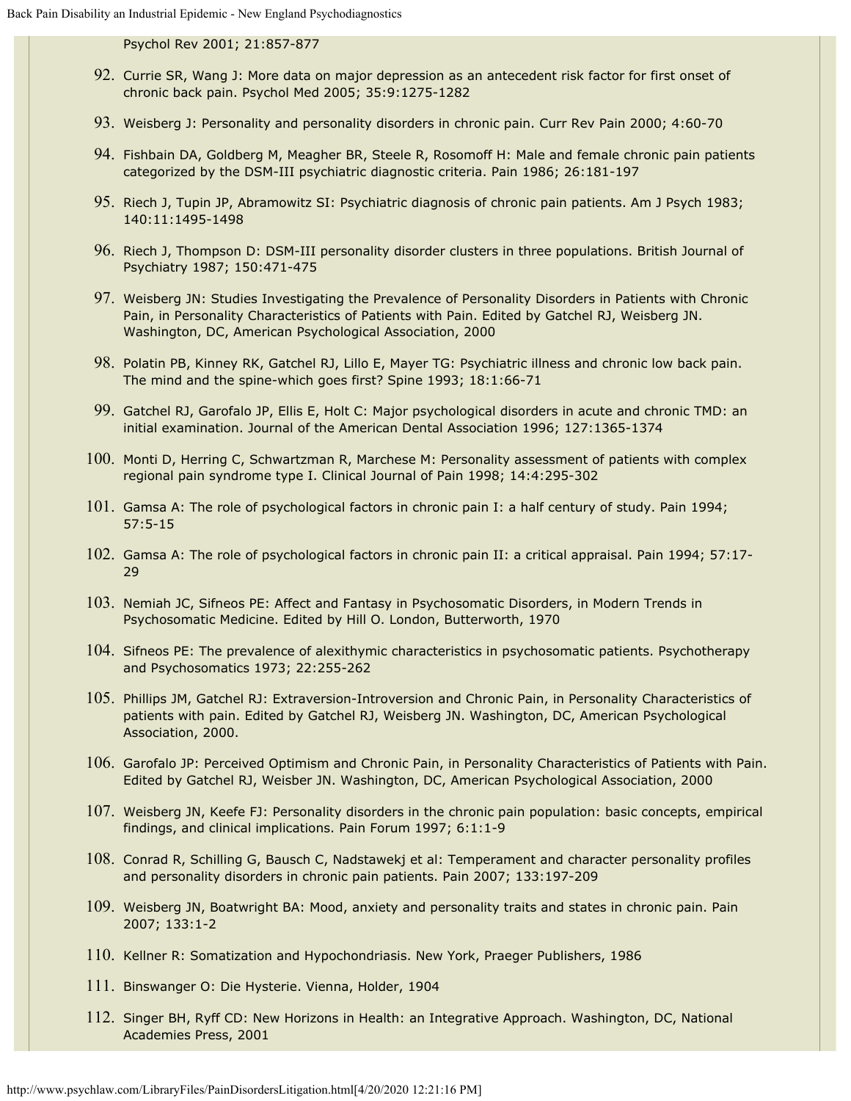Psychol Rev 2001; 21:857-877

- 92. Currie SR, Wang J: More data on major depression as an antecedent risk factor for first onset of chronic back pain. Psychol Med 2005; 35:9:1275-1282
- 93. Weisberg J: Personality and personality disorders in chronic pain. Curr Rev Pain 2000; 4:60-70
- 94. Fishbain DA, Goldberg M, Meagher BR, Steele R, Rosomoff H: Male and female chronic pain patients categorized by the DSM-III psychiatric diagnostic criteria. Pain 1986; 26:181-197
- 95. Riech J, Tupin JP, Abramowitz SI: Psychiatric diagnosis of chronic pain patients. Am J Psych 1983; 140:11:1495-1498
- 96. Riech J, Thompson D: DSM-III personality disorder clusters in three populations. British Journal of Psychiatry 1987; 150:471-475
- 97. Weisberg JN: Studies Investigating the Prevalence of Personality Disorders in Patients with Chronic Pain, in Personality Characteristics of Patients with Pain. Edited by Gatchel RJ, Weisberg JN. Washington, DC, American Psychological Association, 2000
- 98. Polatin PB, Kinney RK, Gatchel RJ, Lillo E, Mayer TG: Psychiatric illness and chronic low back pain. The mind and the spine-which goes first? Spine 1993; 18:1:66-71
- 99. Gatchel RJ, Garofalo JP, Ellis E, Holt C: Major psychological disorders in acute and chronic TMD: an initial examination. Journal of the American Dental Association 1996; 127:1365-1374
- 100. Monti D, Herring C, Schwartzman R, Marchese M: Personality assessment of patients with complex regional pain syndrome type I. Clinical Journal of Pain 1998; 14:4:295-302
- 101. Gamsa A: The role of psychological factors in chronic pain I: a half century of study. Pain 1994; 57:5-15
- 102. Gamsa A: The role of psychological factors in chronic pain II: a critical appraisal. Pain 1994; 57:17- 29
- 103. Nemiah JC, Sifneos PE: Affect and Fantasy in Psychosomatic Disorders, in Modern Trends in Psychosomatic Medicine. Edited by Hill O. London, Butterworth, 1970
- 104. Sifneos PE: The prevalence of alexithymic characteristics in psychosomatic patients. Psychotherapy and Psychosomatics 1973; 22:255-262
- 105. Phillips JM, Gatchel RJ: Extraversion-Introversion and Chronic Pain, in Personality Characteristics of patients with pain. Edited by Gatchel RJ, Weisberg JN. Washington, DC, American Psychological Association, 2000.
- 106. Garofalo JP: Perceived Optimism and Chronic Pain, in Personality Characteristics of Patients with Pain. Edited by Gatchel RJ, Weisber JN. Washington, DC, American Psychological Association, 2000
- 107. Weisberg JN, Keefe FJ: Personality disorders in the chronic pain population: basic concepts, empirical findings, and clinical implications. Pain Forum 1997; 6:1:1-9
- 108. Conrad R, Schilling G, Bausch C, Nadstawekj et al: Temperament and character personality profiles and personality disorders in chronic pain patients. Pain 2007; 133:197-209
- 109. Weisberg JN, Boatwright BA: Mood, anxiety and personality traits and states in chronic pain. Pain 2007; 133:1-2
- 110. Kellner R: Somatization and Hypochondriasis. New York, Praeger Publishers, 1986
- 111. Binswanger O: Die Hysterie. Vienna, Holder, 1904
- 112. Singer BH, Ryff CD: New Horizons in Health: an Integrative Approach. Washington, DC, National Academies Press, 2001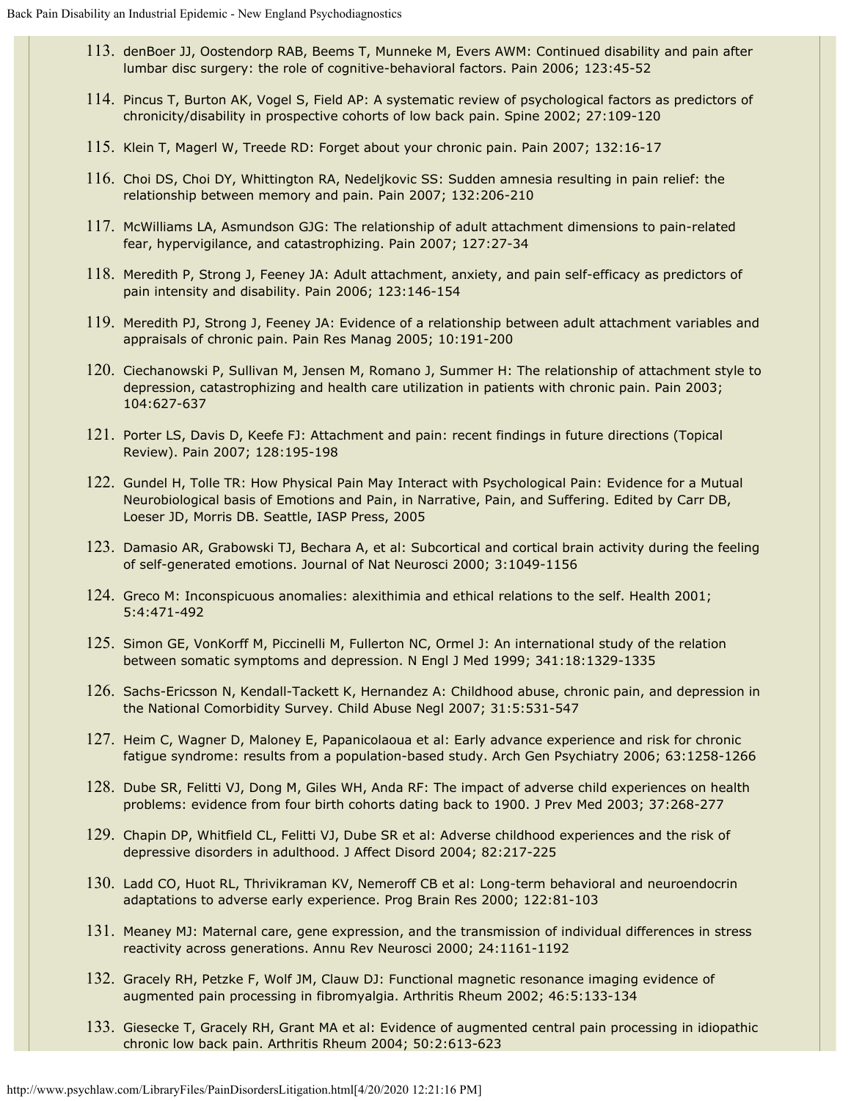- 113. denBoer JJ, Oostendorp RAB, Beems T, Munneke M, Evers AWM: Continued disability and pain after lumbar disc surgery: the role of cognitive-behavioral factors. Pain 2006; 123:45-52
- 114. Pincus T, Burton AK, Vogel S, Field AP: A systematic review of psychological factors as predictors of chronicity/disability in prospective cohorts of low back pain. Spine 2002; 27:109-120
- 115. Klein T, Magerl W, Treede RD: Forget about your chronic pain. Pain 2007; 132:16-17
- 116. Choi DS, Choi DY, Whittington RA, Nedeljkovic SS: Sudden amnesia resulting in pain relief: the relationship between memory and pain. Pain 2007; 132:206-210
- 117. McWilliams LA, Asmundson GJG: The relationship of adult attachment dimensions to pain-related fear, hypervigilance, and catastrophizing. Pain 2007; 127:27-34
- 118. Meredith P, Strong J, Feeney JA: Adult attachment, anxiety, and pain self-efficacy as predictors of pain intensity and disability. Pain 2006; 123:146-154
- 119. Meredith PJ, Strong J, Feeney JA: Evidence of a relationship between adult attachment variables and appraisals of chronic pain. Pain Res Manag 2005; 10:191-200
- 120. Ciechanowski P, Sullivan M, Jensen M, Romano J, Summer H: The relationship of attachment style to depression, catastrophizing and health care utilization in patients with chronic pain. Pain 2003; 104:627-637
- 121. Porter LS, Davis D, Keefe FJ: Attachment and pain: recent findings in future directions (Topical Review). Pain 2007; 128:195-198
- 122. Gundel H, Tolle TR: How Physical Pain May Interact with Psychological Pain: Evidence for a Mutual Neurobiological basis of Emotions and Pain, in Narrative, Pain, and Suffering. Edited by Carr DB, Loeser JD, Morris DB. Seattle, IASP Press, 2005
- 123. Damasio AR, Grabowski TJ, Bechara A, et al: Subcortical and cortical brain activity during the feeling of self-generated emotions. Journal of Nat Neurosci 2000; 3:1049-1156
- 124. Greco M: Inconspicuous anomalies: alexithimia and ethical relations to the self. Health 2001; 5:4:471-492
- 125. Simon GE, VonKorff M, Piccinelli M, Fullerton NC, Ormel J: An international study of the relation between somatic symptoms and depression. N Engl J Med 1999; 341:18:1329-1335
- 126. Sachs-Ericsson N, Kendall-Tackett K, Hernandez A: Childhood abuse, chronic pain, and depression in the National Comorbidity Survey. Child Abuse Negl 2007; 31:5:531-547
- 127. Heim C, Wagner D, Maloney E, Papanicolaoua et al: Early advance experience and risk for chronic fatigue syndrome: results from a population-based study. Arch Gen Psychiatry 2006; 63:1258-1266
- 128. Dube SR, Felitti VJ, Dong M, Giles WH, Anda RF: The impact of adverse child experiences on health problems: evidence from four birth cohorts dating back to 1900. J Prev Med 2003; 37:268-277
- 129. Chapin DP, Whitfield CL, Felitti VJ, Dube SR et al: Adverse childhood experiences and the risk of depressive disorders in adulthood. J Affect Disord 2004; 82:217-225
- 130. Ladd CO, Huot RL, Thrivikraman KV, Nemeroff CB et al: Long-term behavioral and neuroendocrin adaptations to adverse early experience. Prog Brain Res 2000; 122:81-103
- 131. Meaney MJ: Maternal care, gene expression, and the transmission of individual differences in stress reactivity across generations. Annu Rev Neurosci 2000; 24:1161-1192
- 132. Gracely RH, Petzke F, Wolf JM, Clauw DJ: Functional magnetic resonance imaging evidence of augmented pain processing in fibromyalgia. Arthritis Rheum 2002; 46:5:133-134
- 133. Giesecke T, Gracely RH, Grant MA et al: Evidence of augmented central pain processing in idiopathic chronic low back pain. Arthritis Rheum 2004; 50:2:613-623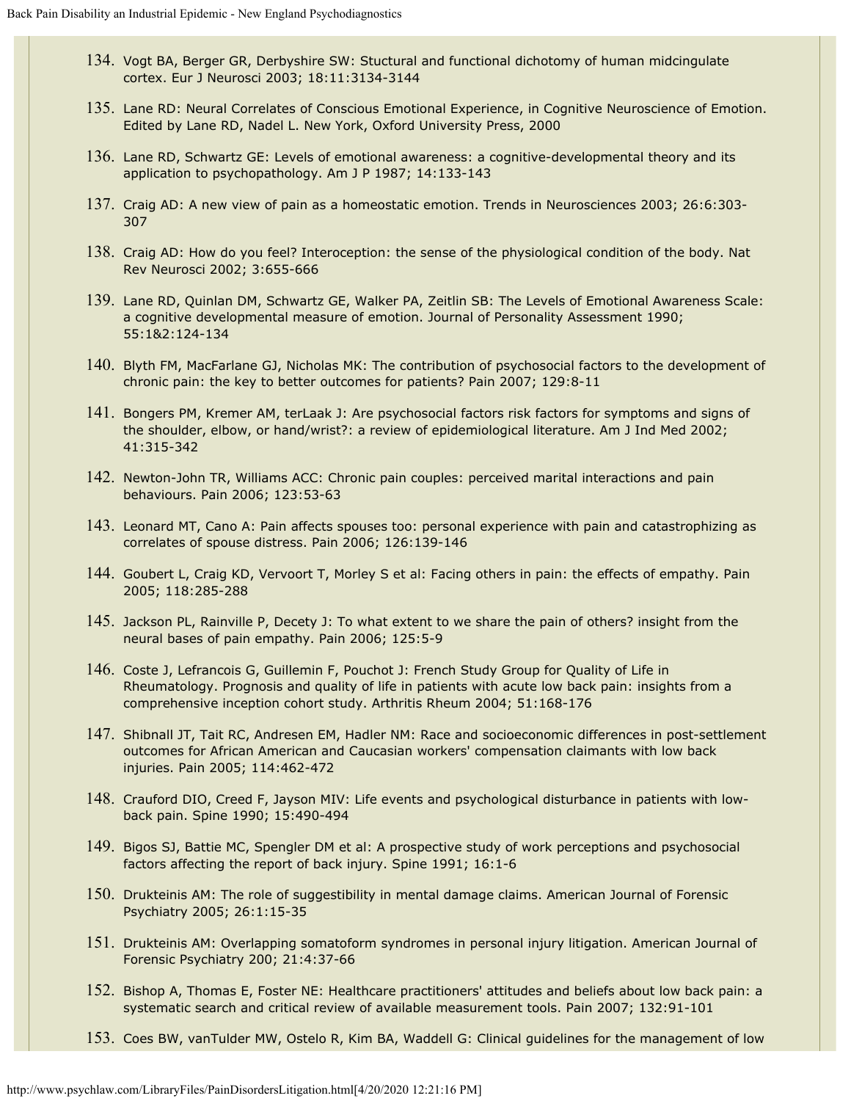- 134. Vogt BA, Berger GR, Derbyshire SW: Stuctural and functional dichotomy of human midcingulate cortex. Eur J Neurosci 2003; 18:11:3134-3144
- 135. Lane RD: Neural Correlates of Conscious Emotional Experience, in Cognitive Neuroscience of Emotion. Edited by Lane RD, Nadel L. New York, Oxford University Press, 2000
- 136. Lane RD, Schwartz GE: Levels of emotional awareness: a cognitive-developmental theory and its application to psychopathology. Am J P 1987; 14:133-143
- 137. Craig AD: A new view of pain as a homeostatic emotion. Trends in Neurosciences 2003; 26:6:303- 307
- 138. Craig AD: How do you feel? Interoception: the sense of the physiological condition of the body. Nat Rev Neurosci 2002; 3:655-666
- 139. Lane RD, Quinlan DM, Schwartz GE, Walker PA, Zeitlin SB: The Levels of Emotional Awareness Scale: a cognitive developmental measure of emotion. Journal of Personality Assessment 1990; 55:1&2:124-134
- 140. Blyth FM, MacFarlane GJ, Nicholas MK: The contribution of psychosocial factors to the development of chronic pain: the key to better outcomes for patients? Pain 2007; 129:8-11
- 141. Bongers PM, Kremer AM, terLaak J: Are psychosocial factors risk factors for symptoms and signs of the shoulder, elbow, or hand/wrist?: a review of epidemiological literature. Am J Ind Med 2002; 41:315-342
- 142. Newton-John TR, Williams ACC: Chronic pain couples: perceived marital interactions and pain behaviours. Pain 2006; 123:53-63
- 143. Leonard MT, Cano A: Pain affects spouses too: personal experience with pain and catastrophizing as correlates of spouse distress. Pain 2006; 126:139-146
- 144. Goubert L, Craig KD, Vervoort T, Morley S et al: Facing others in pain: the effects of empathy. Pain 2005; 118:285-288
- 145. Jackson PL, Rainville P, Decety J: To what extent to we share the pain of others? insight from the neural bases of pain empathy. Pain 2006; 125:5-9
- 146. Coste J, Lefrancois G, Guillemin F, Pouchot J: French Study Group for Quality of Life in Rheumatology. Prognosis and quality of life in patients with acute low back pain: insights from a comprehensive inception cohort study. Arthritis Rheum 2004; 51:168-176
- 147. Shibnall JT, Tait RC, Andresen EM, Hadler NM: Race and socioeconomic differences in post-settlement outcomes for African American and Caucasian workers' compensation claimants with low back injuries. Pain 2005; 114:462-472
- 148. Crauford DIO, Creed F, Jayson MIV: Life events and psychological disturbance in patients with lowback pain. Spine 1990; 15:490-494
- 149. Bigos SJ, Battie MC, Spengler DM et al: A prospective study of work perceptions and psychosocial factors affecting the report of back injury. Spine 1991; 16:1-6
- 150. Drukteinis AM: The role of suggestibility in mental damage claims. American Journal of Forensic Psychiatry 2005; 26:1:15-35
- 151. Drukteinis AM: Overlapping somatoform syndromes in personal injury litigation. American Journal of Forensic Psychiatry 200; 21:4:37-66
- 152. Bishop A, Thomas E, Foster NE: Healthcare practitioners' attitudes and beliefs about low back pain: a systematic search and critical review of available measurement tools. Pain 2007; 132:91-101
- 153. Coes BW, vanTulder MW, Ostelo R, Kim BA, Waddell G: Clinical guidelines for the management of low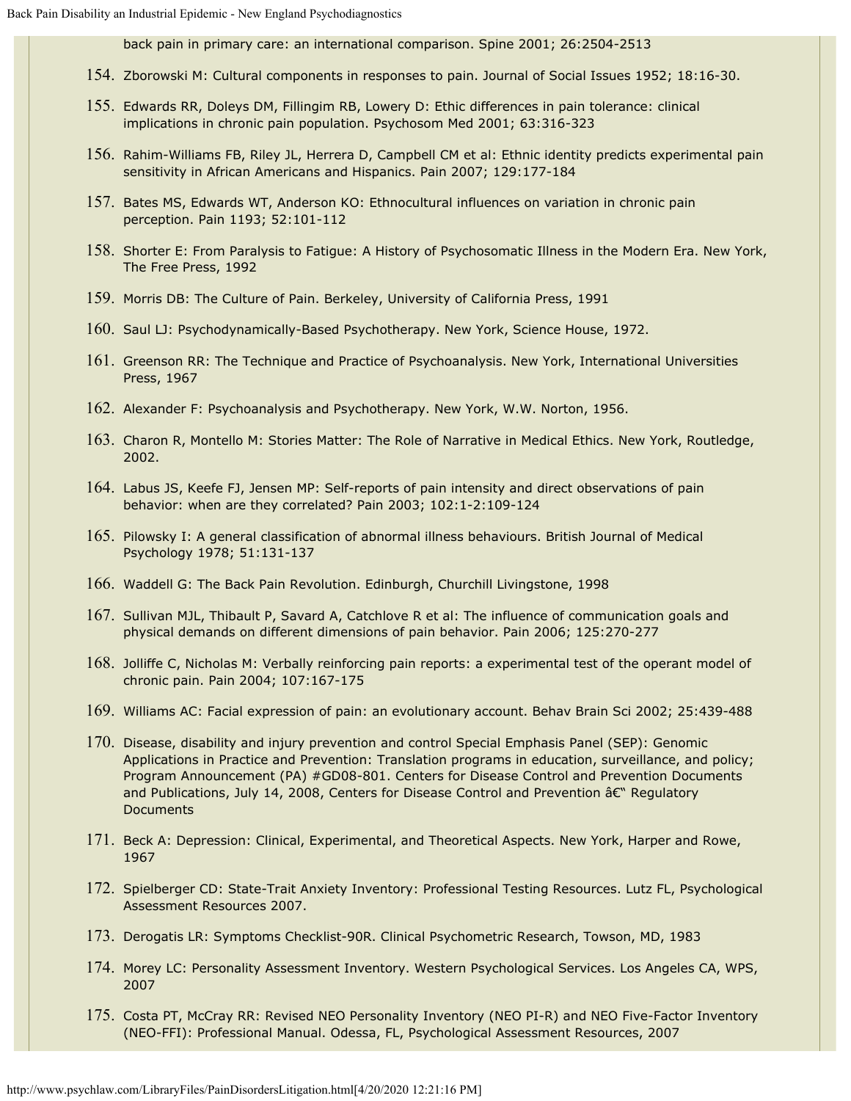back pain in primary care: an international comparison. Spine 2001; 26:2504-2513

- 154. Zborowski M: Cultural components in responses to pain. Journal of Social Issues 1952; 18:16-30.
- 155. Edwards RR, Doleys DM, Fillingim RB, Lowery D: Ethic differences in pain tolerance: clinical implications in chronic pain population. Psychosom Med 2001; 63:316-323
- 156. Rahim-Williams FB, Riley JL, Herrera D, Campbell CM et al: Ethnic identity predicts experimental pain sensitivity in African Americans and Hispanics. Pain 2007; 129:177-184
- 157. Bates MS, Edwards WT, Anderson KO: Ethnocultural influences on variation in chronic pain perception. Pain 1193; 52:101-112
- 158. Shorter E: From Paralysis to Fatigue: A History of Psychosomatic Illness in the Modern Era. New York, The Free Press, 1992
- 159. Morris DB: The Culture of Pain. Berkeley, University of California Press, 1991
- 160. Saul LJ: Psychodynamically-Based Psychotherapy. New York, Science House, 1972.
- 161. Greenson RR: The Technique and Practice of Psychoanalysis. New York, International Universities Press, 1967
- 162. Alexander F: Psychoanalysis and Psychotherapy. New York, W.W. Norton, 1956.
- 163. Charon R, Montello M: Stories Matter: The Role of Narrative in Medical Ethics. New York, Routledge, 2002.
- 164. Labus JS, Keefe FJ, Jensen MP: Self-reports of pain intensity and direct observations of pain behavior: when are they correlated? Pain 2003; 102:1-2:109-124
- 165. Pilowsky I: A general classification of abnormal illness behaviours. British Journal of Medical Psychology 1978; 51:131-137
- 166. Waddell G: The Back Pain Revolution. Edinburgh, Churchill Livingstone, 1998
- 167. Sullivan MJL, Thibault P, Savard A, Catchlove R et al: The influence of communication goals and physical demands on different dimensions of pain behavior. Pain 2006; 125:270-277
- 168. Jolliffe C, Nicholas M: Verbally reinforcing pain reports: a experimental test of the operant model of chronic pain. Pain 2004; 107:167-175
- 169. Williams AC: Facial expression of pain: an evolutionary account. Behav Brain Sci 2002; 25:439-488
- 170. Disease, disability and injury prevention and control Special Emphasis Panel (SEP): Genomic Applications in Practice and Prevention: Translation programs in education, surveillance, and policy; Program Announcement (PA) #GD08-801. Centers for Disease Control and Prevention Documents and Publications, July 14, 2008, Centers for Disease Control and Prevention  $\hat{a}\epsilon^{\omega}$  Regulatory **Documents**
- 171. Beck A: Depression: Clinical, Experimental, and Theoretical Aspects. New York, Harper and Rowe, 1967
- 172. Spielberger CD: State-Trait Anxiety Inventory: Professional Testing Resources. Lutz FL, Psychological Assessment Resources 2007.
- 173. Derogatis LR: Symptoms Checklist-90R. Clinical Psychometric Research, Towson, MD, 1983
- 174. Morey LC: Personality Assessment Inventory. Western Psychological Services. Los Angeles CA, WPS, 2007
- 175. Costa PT, McCray RR: Revised NEO Personality Inventory (NEO PI-R) and NEO Five-Factor Inventory (NEO-FFI): Professional Manual. Odessa, FL, Psychological Assessment Resources, 2007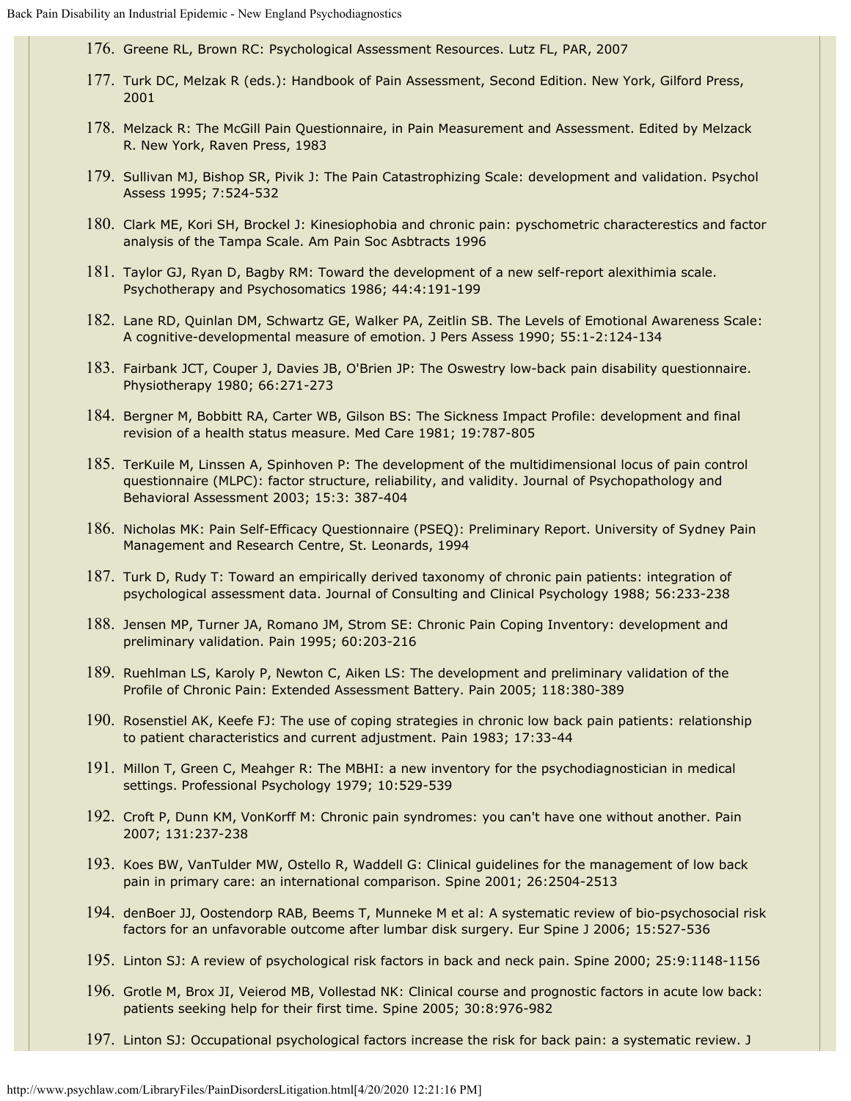- 176. Greene RL, Brown RC: Psychological Assessment Resources. Lutz FL, PAR, 2007
- 177. Turk DC, Melzak R (eds.): Handbook of Pain Assessment, Second Edition. New York, Gilford Press, 2001
- 178. Melzack R: The McGill Pain Questionnaire, in Pain Measurement and Assessment. Edited by Melzack R. New York, Raven Press, 1983
- 179. Sullivan MJ, Bishop SR, Pivik J: The Pain Catastrophizing Scale: development and validation. Psychol Assess 1995; 7:524-532
- 180. Clark ME, Kori SH, Brockel J: Kinesiophobia and chronic pain: pyschometric characterestics and factor analysis of the Tampa Scale. Am Pain Soc Asbtracts 1996
- 181. Taylor GJ, Ryan D, Bagby RM: Toward the development of a new self-report alexithimia scale. Psychotherapy and Psychosomatics 1986; 44:4:191-199
- 182. Lane RD, Quinlan DM, Schwartz GE, Walker PA, Zeitlin SB. The Levels of Emotional Awareness Scale: A cognitive-developmental measure of emotion. J Pers Assess 1990; 55:1-2:124-134
- 183. Fairbank JCT, Couper J, Davies JB, O'Brien JP: The Oswestry low-back pain disability questionnaire. Physiotherapy 1980; 66:271-273
- 184. Bergner M, Bobbitt RA, Carter WB, Gilson BS: The Sickness Impact Profile: development and final revision of a health status measure. Med Care 1981; 19:787-805
- 185. TerKuile M, Linssen A, Spinhoven P: The development of the multidimensional locus of pain control questionnaire (MLPC): factor structure, reliability, and validity. Journal of Psychopathology and Behavioral Assessment 2003; 15:3: 387-404
- 186. Nicholas MK: Pain Self-Efficacy Questionnaire (PSEQ): Preliminary Report. University of Sydney Pain Management and Research Centre, St. Leonards, 1994
- 187. Turk D, Rudy T: Toward an empirically derived taxonomy of chronic pain patients: integration of psychological assessment data. Journal of Consulting and Clinical Psychology 1988; 56:233-238
- 188. Jensen MP, Turner JA, Romano JM, Strom SE: Chronic Pain Coping Inventory: development and preliminary validation. Pain 1995; 60:203-216
- 189. Ruehlman LS, Karoly P, Newton C, Aiken LS: The development and preliminary validation of the Profile of Chronic Pain: Extended Assessment Battery. Pain 2005; 118:380-389
- 190. Rosenstiel AK, Keefe FJ: The use of coping strategies in chronic low back pain patients: relationship to patient characteristics and current adjustment. Pain 1983; 17:33-44
- 191. Millon T, Green C, Meahger R: The MBHI: a new inventory for the psychodiagnostician in medical settings. Professional Psychology 1979; 10:529-539
- 192. Croft P, Dunn KM, VonKorff M: Chronic pain syndromes: you can't have one without another. Pain 2007; 131:237-238
- 193. Koes BW, VanTulder MW, Ostello R, Waddell G: Clinical guidelines for the management of low back pain in primary care: an international comparison. Spine 2001; 26:2504-2513
- 194. denBoer JJ, Oostendorp RAB, Beems T, Munneke M et al: A systematic review of bio-psychosocial risk factors for an unfavorable outcome after lumbar disk surgery. Eur Spine J 2006; 15:527-536
- 195. Linton SJ: A review of psychological risk factors in back and neck pain. Spine 2000; 25:9:1148-1156
- 196. Grotle M, Brox JI, Veierod MB, Vollestad NK: Clinical course and prognostic factors in acute low back: patients seeking help for their first time. Spine 2005; 30:8:976-982
- 197. Linton SJ: Occupational psychological factors increase the risk for back pain: a systematic review. J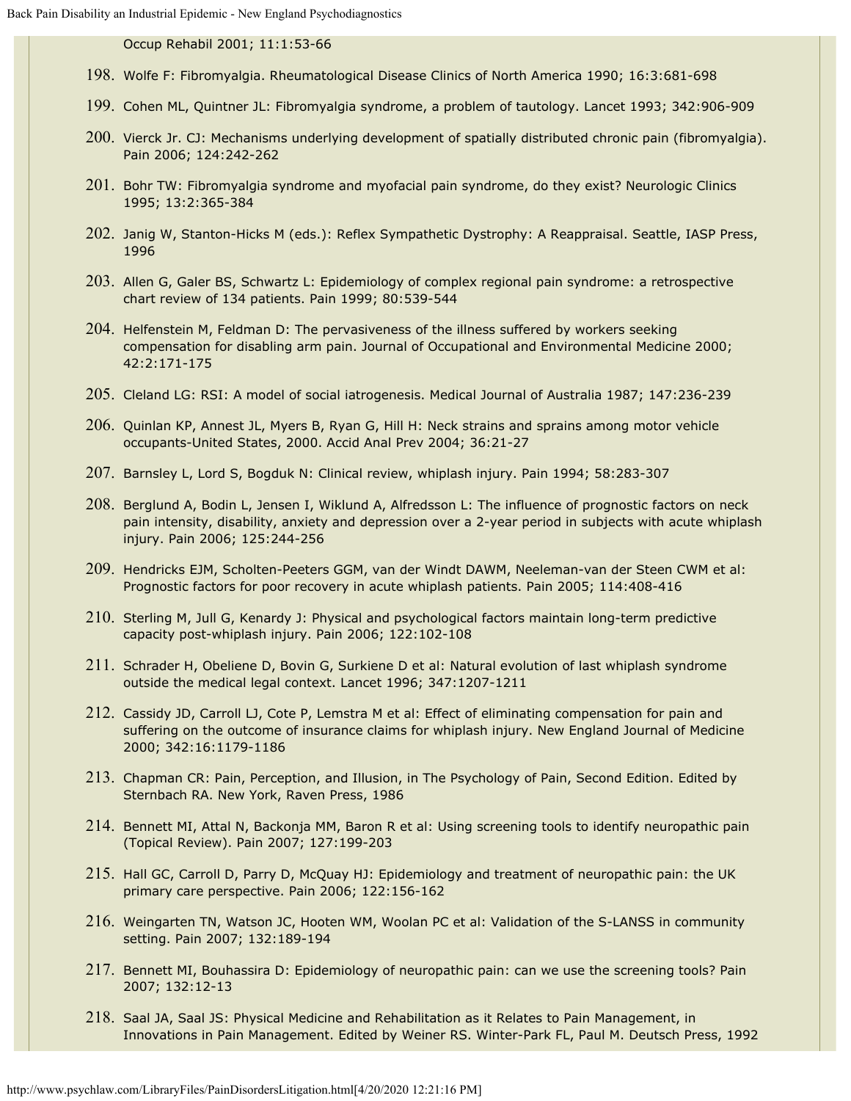Occup Rehabil 2001; 11:1:53-66

- 198. Wolfe F: Fibromyalgia. Rheumatological Disease Clinics of North America 1990; 16:3:681-698
- 199. Cohen ML, Quintner JL: Fibromyalgia syndrome, a problem of tautology. Lancet 1993; 342:906-909
- 200. Vierck Jr. CJ: Mechanisms underlying development of spatially distributed chronic pain (fibromyalgia). Pain 2006; 124:242-262
- 201. Bohr TW: Fibromyalgia syndrome and myofacial pain syndrome, do they exist? Neurologic Clinics 1995; 13:2:365-384
- 202. Janig W, Stanton-Hicks M (eds.): Reflex Sympathetic Dystrophy: A Reappraisal. Seattle, IASP Press, 1996
- 203. Allen G, Galer BS, Schwartz L: Epidemiology of complex regional pain syndrome: a retrospective chart review of 134 patients. Pain 1999; 80:539-544
- 204. Helfenstein M, Feldman D: The pervasiveness of the illness suffered by workers seeking compensation for disabling arm pain. Journal of Occupational and Environmental Medicine 2000; 42:2:171-175
- 205. Cleland LG: RSI: A model of social iatrogenesis. Medical Journal of Australia 1987; 147:236-239
- 206. Quinlan KP, Annest JL, Myers B, Ryan G, Hill H: Neck strains and sprains among motor vehicle occupants-United States, 2000. Accid Anal Prev 2004; 36:21-27
- 207. Barnsley L, Lord S, Bogduk N: Clinical review, whiplash injury. Pain 1994; 58:283-307
- 208. Berglund A, Bodin L, Jensen I, Wiklund A, Alfredsson L: The influence of prognostic factors on neck pain intensity, disability, anxiety and depression over a 2-year period in subjects with acute whiplash injury. Pain 2006; 125:244-256
- 209. Hendricks EJM, Scholten-Peeters GGM, van der Windt DAWM, Neeleman-van der Steen CWM et al: Prognostic factors for poor recovery in acute whiplash patients. Pain 2005; 114:408-416
- 210. Sterling M, Jull G, Kenardy J: Physical and psychological factors maintain long-term predictive capacity post-whiplash injury. Pain 2006; 122:102-108
- 211. Schrader H, Obeliene D, Bovin G, Surkiene D et al: Natural evolution of last whiplash syndrome outside the medical legal context. Lancet 1996; 347:1207-1211
- 212. Cassidy JD, Carroll LJ, Cote P, Lemstra M et al: Effect of eliminating compensation for pain and suffering on the outcome of insurance claims for whiplash injury. New England Journal of Medicine 2000; 342:16:1179-1186
- 213. Chapman CR: Pain, Perception, and Illusion, in The Psychology of Pain, Second Edition. Edited by Sternbach RA. New York, Raven Press, 1986
- 214. Bennett MI, Attal N, Backonja MM, Baron R et al: Using screening tools to identify neuropathic pain (Topical Review). Pain 2007; 127:199-203
- 215. Hall GC, Carroll D, Parry D, McQuay HJ: Epidemiology and treatment of neuropathic pain: the UK primary care perspective. Pain 2006; 122:156-162
- 216. Weingarten TN, Watson JC, Hooten WM, Woolan PC et al: Validation of the S-LANSS in community setting. Pain 2007; 132:189-194
- 217. Bennett MI, Bouhassira D: Epidemiology of neuropathic pain: can we use the screening tools? Pain 2007; 132:12-13
- 218. Saal JA, Saal JS: Physical Medicine and Rehabilitation as it Relates to Pain Management, in Innovations in Pain Management. Edited by Weiner RS. Winter-Park FL, Paul M. Deutsch Press, 1992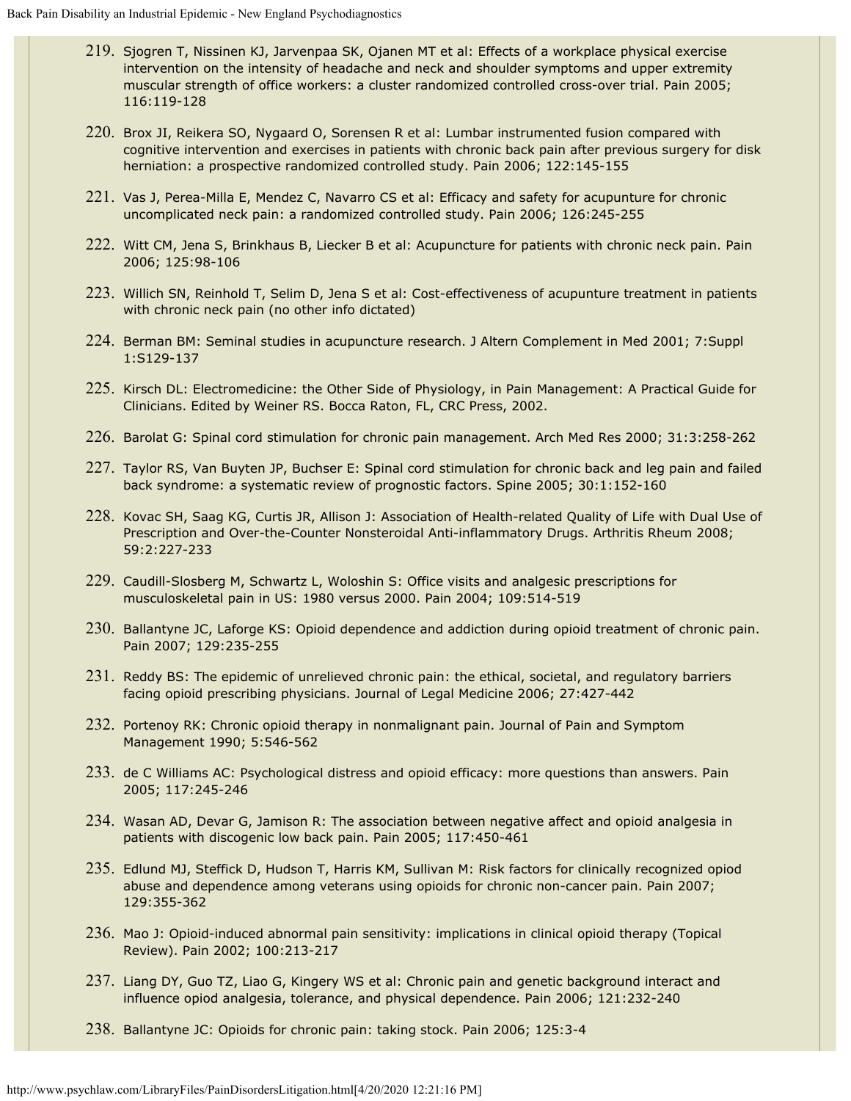- 219. Sjogren T, Nissinen KJ, Jarvenpaa SK, Ojanen MT et al: Effects of a workplace physical exercise intervention on the intensity of headache and neck and shoulder symptoms and upper extremity muscular strength of office workers: a cluster randomized controlled cross-over trial. Pain 2005; 116:119-128
- 220. Brox JI, Reikera SO, Nygaard O, Sorensen R et al: Lumbar instrumented fusion compared with cognitive intervention and exercises in patients with chronic back pain after previous surgery for disk herniation: a prospective randomized controlled study. Pain 2006; 122:145-155
- 221. Vas J, Perea-Milla E, Mendez C, Navarro CS et al: Efficacy and safety for acupunture for chronic uncomplicated neck pain: a randomized controlled study. Pain 2006; 126:245-255
- 222. Witt CM, Jena S, Brinkhaus B, Liecker B et al: Acupuncture for patients with chronic neck pain. Pain 2006; 125:98-106
- 223. Willich SN, Reinhold T, Selim D, Jena S et al: Cost-effectiveness of acupunture treatment in patients with chronic neck pain (no other info dictated)
- 224. Berman BM: Seminal studies in acupuncture research. J Altern Complement in Med 2001; 7:Suppl 1:S129-137
- 225. Kirsch DL: Electromedicine: the Other Side of Physiology, in Pain Management: A Practical Guide for Clinicians. Edited by Weiner RS. Bocca Raton, FL, CRC Press, 2002.
- 226. Barolat G: Spinal cord stimulation for chronic pain management. Arch Med Res 2000; 31:3:258-262
- 227. Taylor RS, Van Buyten JP, Buchser E: Spinal cord stimulation for chronic back and leg pain and failed back syndrome: a systematic review of prognostic factors. Spine 2005; 30:1:152-160
- 228. Kovac SH, Saag KG, Curtis JR, Allison J: Association of Health-related Quality of Life with Dual Use of Prescription and Over-the-Counter Nonsteroidal Anti-inflammatory Drugs. Arthritis Rheum 2008; 59:2:227-233
- 229. Caudill-Slosberg M, Schwartz L, Woloshin S: Office visits and analgesic prescriptions for musculoskeletal pain in US: 1980 versus 2000. Pain 2004; 109:514-519
- 230. Ballantyne JC, Laforge KS: Opioid dependence and addiction during opioid treatment of chronic pain. Pain 2007; 129:235-255
- 231. Reddy BS: The epidemic of unrelieved chronic pain: the ethical, societal, and regulatory barriers facing opioid prescribing physicians. Journal of Legal Medicine 2006; 27:427-442
- 232. Portenoy RK: Chronic opioid therapy in nonmalignant pain. Journal of Pain and Symptom Management 1990; 5:546-562
- 233. de C Williams AC: Psychological distress and opioid efficacy: more questions than answers. Pain 2005; 117:245-246
- 234. Wasan AD, Devar G, Jamison R: The association between negative affect and opioid analgesia in patients with discogenic low back pain. Pain 2005; 117:450-461
- 235. Edlund MJ, Steffick D, Hudson T, Harris KM, Sullivan M: Risk factors for clinically recognized opiod abuse and dependence among veterans using opioids for chronic non-cancer pain. Pain 2007; 129:355-362
- 236. Mao J: Opioid-induced abnormal pain sensitivity: implications in clinical opioid therapy (Topical Review). Pain 2002; 100:213-217
- 237. Liang DY, Guo TZ, Liao G, Kingery WS et al: Chronic pain and genetic background interact and influence opiod analgesia, tolerance, and physical dependence. Pain 2006; 121:232-240
- 238. Ballantyne JC: Opioids for chronic pain: taking stock. Pain 2006; 125:3-4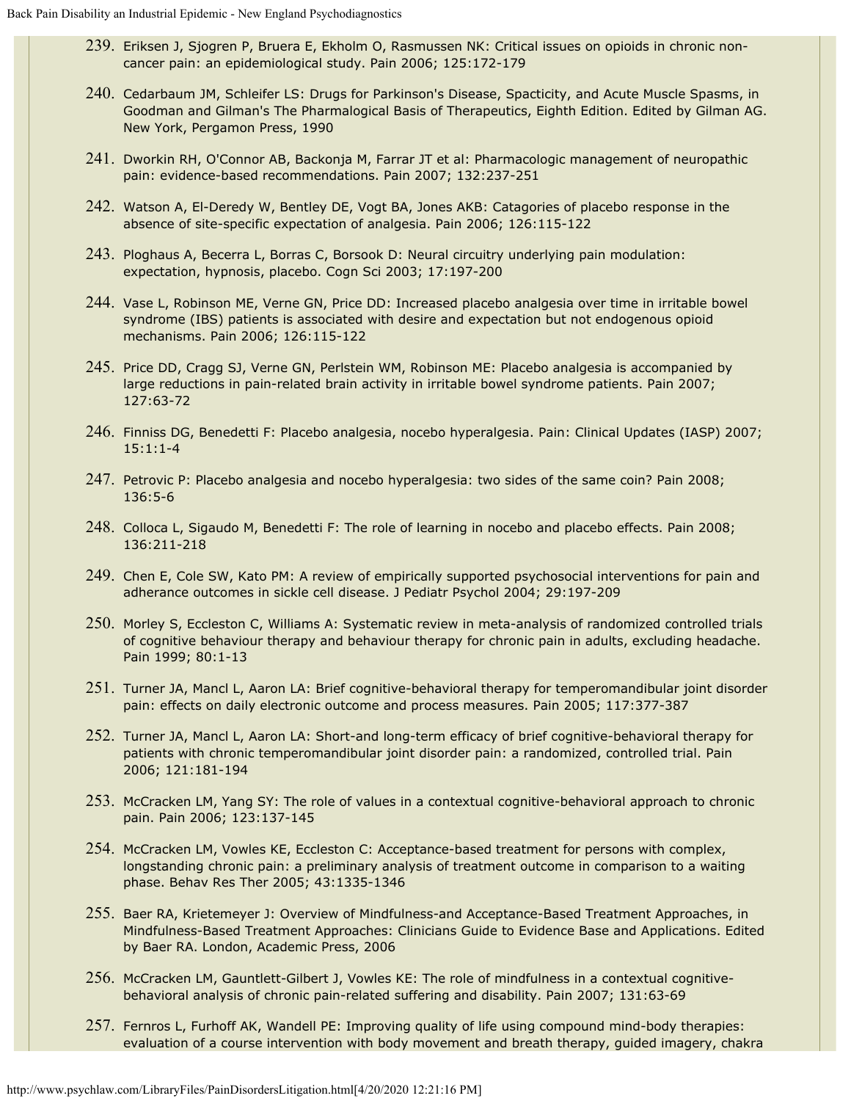- 239. Eriksen J, Sjogren P, Bruera E, Ekholm O, Rasmussen NK: Critical issues on opioids in chronic noncancer pain: an epidemiological study. Pain 2006; 125:172-179
- 240. Cedarbaum JM, Schleifer LS: Drugs for Parkinson's Disease, Spacticity, and Acute Muscle Spasms, in Goodman and Gilman's The Pharmalogical Basis of Therapeutics, Eighth Edition. Edited by Gilman AG. New York, Pergamon Press, 1990
- 241. Dworkin RH, O'Connor AB, Backonja M, Farrar JT et al: Pharmacologic management of neuropathic pain: evidence-based recommendations. Pain 2007; 132:237-251
- 242. Watson A, El-Deredy W, Bentley DE, Vogt BA, Jones AKB: Catagories of placebo response in the absence of site-specific expectation of analgesia. Pain 2006; 126:115-122
- 243. Ploghaus A, Becerra L, Borras C, Borsook D: Neural circuitry underlying pain modulation: expectation, hypnosis, placebo. Cogn Sci 2003; 17:197-200
- 244. Vase L, Robinson ME, Verne GN, Price DD: Increased placebo analgesia over time in irritable bowel syndrome (IBS) patients is associated with desire and expectation but not endogenous opioid mechanisms. Pain 2006; 126:115-122
- 245. Price DD, Cragg SJ, Verne GN, Perlstein WM, Robinson ME: Placebo analgesia is accompanied by large reductions in pain-related brain activity in irritable bowel syndrome patients. Pain 2007; 127:63-72
- 246. Finniss DG, Benedetti F: Placebo analgesia, nocebo hyperalgesia. Pain: Clinical Updates (IASP) 2007; 15:1:1-4
- 247. Petrovic P: Placebo analgesia and nocebo hyperalgesia: two sides of the same coin? Pain 2008; 136:5-6
- 248. Colloca L, Sigaudo M, Benedetti F: The role of learning in nocebo and placebo effects. Pain 2008; 136:211-218
- 249. Chen E, Cole SW, Kato PM: A review of empirically supported psychosocial interventions for pain and adherance outcomes in sickle cell disease. J Pediatr Psychol 2004; 29:197-209
- 250. Morley S, Eccleston C, Williams A: Systematic review in meta-analysis of randomized controlled trials of cognitive behaviour therapy and behaviour therapy for chronic pain in adults, excluding headache. Pain 1999; 80:1-13
- 251. Turner JA, Mancl L, Aaron LA: Brief cognitive-behavioral therapy for temperomandibular joint disorder pain: effects on daily electronic outcome and process measures. Pain 2005; 117:377-387
- 252. Turner JA, Mancl L, Aaron LA: Short-and long-term efficacy of brief cognitive-behavioral therapy for patients with chronic temperomandibular joint disorder pain: a randomized, controlled trial. Pain 2006; 121:181-194
- 253. McCracken LM, Yang SY: The role of values in a contextual cognitive-behavioral approach to chronic pain. Pain 2006; 123:137-145
- 254. McCracken LM, Vowles KE, Eccleston C: Acceptance-based treatment for persons with complex, longstanding chronic pain: a preliminary analysis of treatment outcome in comparison to a waiting phase. Behav Res Ther 2005; 43:1335-1346
- 255. Baer RA, Krietemeyer J: Overview of Mindfulness-and Acceptance-Based Treatment Approaches, in Mindfulness-Based Treatment Approaches: Clinicians Guide to Evidence Base and Applications. Edited by Baer RA. London, Academic Press, 2006
- 256. McCracken LM, Gauntlett-Gilbert J, Vowles KE: The role of mindfulness in a contextual cognitivebehavioral analysis of chronic pain-related suffering and disability. Pain 2007; 131:63-69
- 257. Fernros L, Furhoff AK, Wandell PE: Improving quality of life using compound mind-body therapies: evaluation of a course intervention with body movement and breath therapy, guided imagery, chakra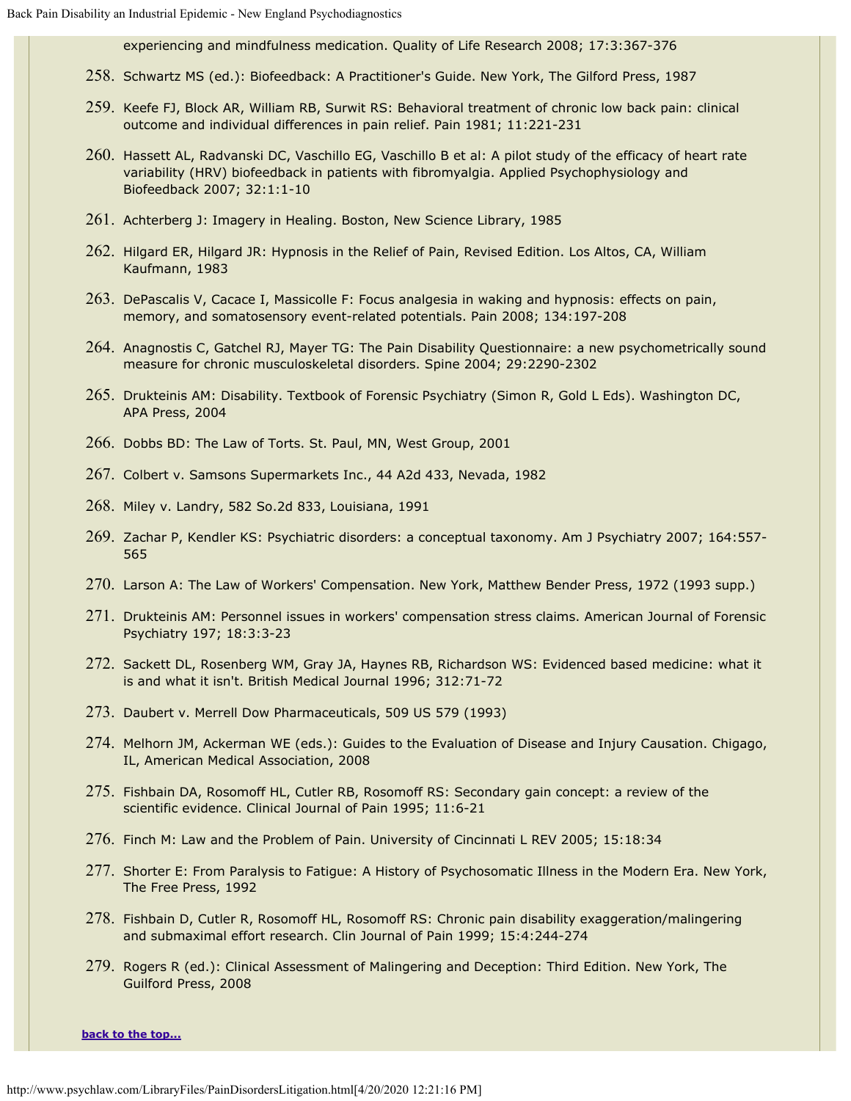experiencing and mindfulness medication. Quality of Life Research 2008; 17:3:367-376

- 258. Schwartz MS (ed.): Biofeedback: A Practitioner's Guide. New York, The Gilford Press, 1987
- 259. Keefe FJ, Block AR, William RB, Surwit RS: Behavioral treatment of chronic low back pain: clinical outcome and individual differences in pain relief. Pain 1981; 11:221-231
- 260. Hassett AL, Radvanski DC, Vaschillo EG, Vaschillo B et al: A pilot study of the efficacy of heart rate variability (HRV) biofeedback in patients with fibromyalgia. Applied Psychophysiology and Biofeedback 2007; 32:1:1-10
- 261. Achterberg J: Imagery in Healing. Boston, New Science Library, 1985
- 262. Hilgard ER, Hilgard JR: Hypnosis in the Relief of Pain, Revised Edition. Los Altos, CA, William Kaufmann, 1983
- 263. DePascalis V, Cacace I, Massicolle F: Focus analgesia in waking and hypnosis: effects on pain, memory, and somatosensory event-related potentials. Pain 2008; 134:197-208
- 264. Anagnostis C, Gatchel RJ, Mayer TG: The Pain Disability Questionnaire: a new psychometrically sound measure for chronic musculoskeletal disorders. Spine 2004; 29:2290-2302
- 265. Drukteinis AM: Disability. Textbook of Forensic Psychiatry (Simon R, Gold L Eds). Washington DC, APA Press, 2004
- 266. Dobbs BD: The Law of Torts. St. Paul, MN, West Group, 2001
- 267. Colbert v. Samsons Supermarkets Inc., 44 A2d 433, Nevada, 1982
- 268. Miley v. Landry, 582 So.2d 833, Louisiana, 1991
- 269. Zachar P, Kendler KS: Psychiatric disorders: a conceptual taxonomy. Am J Psychiatry 2007; 164:557- 565
- 270. Larson A: The Law of Workers' Compensation. New York, Matthew Bender Press, 1972 (1993 supp.)
- 271. Drukteinis AM: Personnel issues in workers' compensation stress claims. American Journal of Forensic Psychiatry 197; 18:3:3-23
- 272. Sackett DL, Rosenberg WM, Gray JA, Haynes RB, Richardson WS: Evidenced based medicine: what it is and what it isn't. British Medical Journal 1996; 312:71-72
- 273. Daubert v. Merrell Dow Pharmaceuticals, 509 US 579 (1993)
- 274. Melhorn JM, Ackerman WE (eds.): Guides to the Evaluation of Disease and Injury Causation. Chigago, IL, American Medical Association, 2008
- 275. Fishbain DA, Rosomoff HL, Cutler RB, Rosomoff RS: Secondary gain concept: a review of the scientific evidence. Clinical Journal of Pain 1995; 11:6-21
- 276. Finch M: Law and the Problem of Pain. University of Cincinnati L REV 2005; 15:18:34
- 277. Shorter E: From Paralysis to Fatigue: A History of Psychosomatic Illness in the Modern Era. New York, The Free Press, 1992
- 278. Fishbain D, Cutler R, Rosomoff HL, Rosomoff RS: Chronic pain disability exaggeration/malingering and submaximal effort research. Clin Journal of Pain 1999; 15:4:244-274
- 279. Rogers R (ed.): Clinical Assessment of Malingering and Deception: Third Edition. New York, The Guilford Press, 2008

**[back to the top...](#page-0-1)**